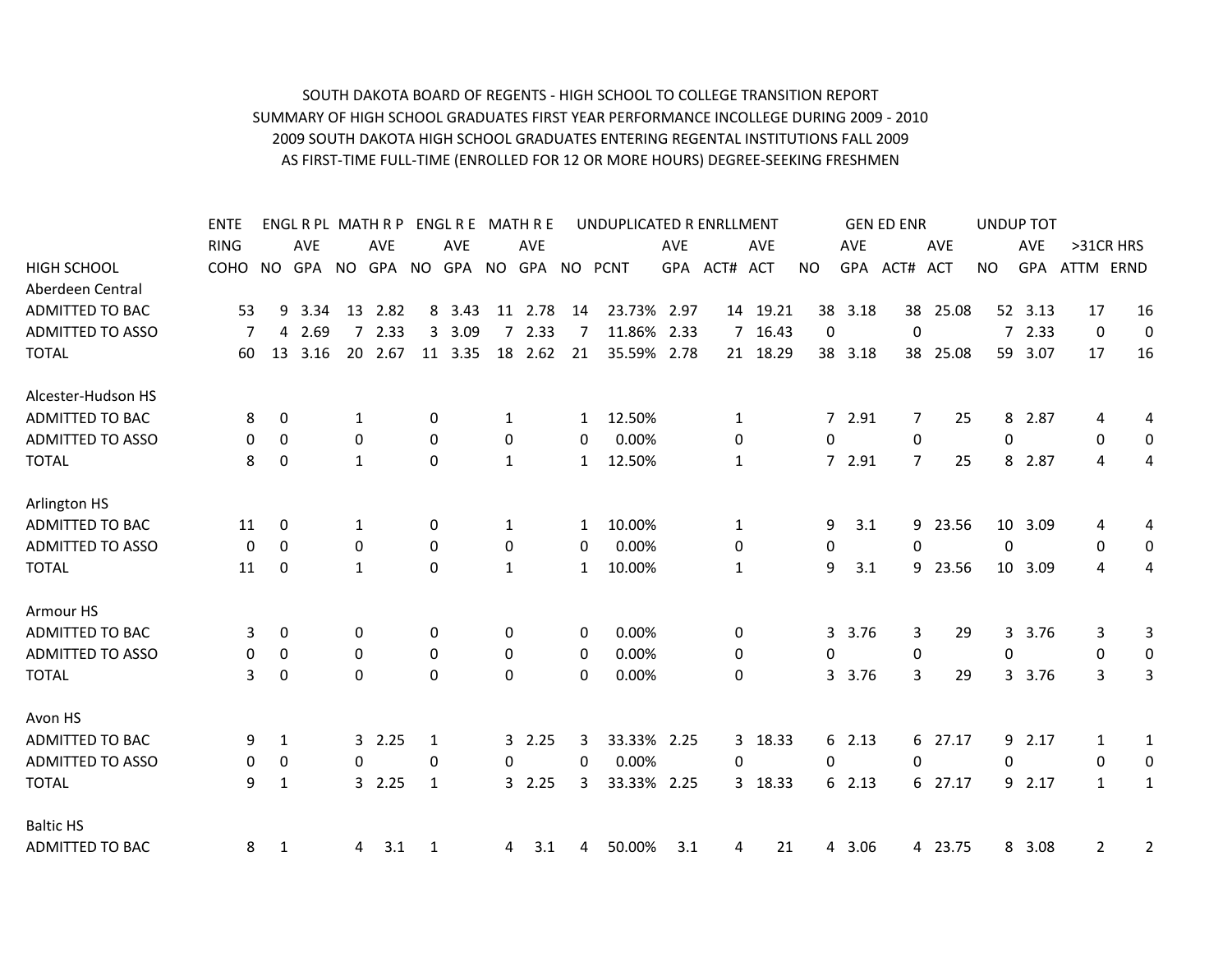## SOUTH DAKOTA BOARD OF REGENTS - HIGH SCHOOL TO COLLEGE TRANSITION REPORT SUMMARY OF HIGH SCHOOL GRADUATES FIRST YEAR PERFORMANCE INCOLLEGE DURING 2009 - 2010 2009 SOUTH DAKOTA HIGH SCHOOL GRADUATES ENTERING REGENTAL INSTITUTIONS FALL 2009 AS FIRST-TIME FULL-TIME (ENROLLED FOR 12 OR MORE HOURS) DEGREE-SEEKING FRESHMEN

|                         | <b>ENTE</b> |             |            |              | ENGL R PL MATH R P |              | ENGL R E MATH R E |              |            |              | UNDUPLICATED R ENRLLMENT         |            |              |            |    |            | <b>GEN ED ENR</b> |            | UNDUP TOT   |            |                |           |
|-------------------------|-------------|-------------|------------|--------------|--------------------|--------------|-------------------|--------------|------------|--------------|----------------------------------|------------|--------------|------------|----|------------|-------------------|------------|-------------|------------|----------------|-----------|
|                         | <b>RING</b> |             | <b>AVE</b> |              | <b>AVE</b>         |              | <b>AVE</b>        |              | <b>AVE</b> |              |                                  | <b>AVE</b> |              | <b>AVE</b> |    | <b>AVE</b> |                   | <b>AVE</b> |             | <b>AVE</b> |                | >31CR HRS |
| <b>HIGH SCHOOL</b>      | COHO NO     |             |            |              |                    |              |                   |              |            |              | GPA NO GPA NO GPA NO GPA NO PCNT |            | GPA ACT# ACT |            | NO |            | GPA ACT# ACT      |            | <b>NO</b>   | GPA        | ATTM ERND      |           |
| Aberdeen Central        |             |             |            |              |                    |              |                   |              |            |              |                                  |            |              |            |    |            |                   |            |             |            |                |           |
| ADMITTED TO BAC         | 53          | 9           | 3.34       | 13           | 2.82               |              | 8 3.43            | 11           | 2.78       | 14           | 23.73%                           | 2.97       |              | 14 19.21   | 38 | 3.18       | 38                | 25.08      |             | 52 3.13    | 17             | 16        |
| <b>ADMITTED TO ASSO</b> |             |             | 4 2.69     | 7            | 2.33               |              | 3 3.09            |              | 72.33      |              | 11.86% 2.33                      |            |              | 7 16.43    | 0  |            | $\Omega$          |            |             | 72.33      | 0              | 0         |
| <b>TOTAL</b>            | 60          | 13          | 3.16       |              | 20 2.67            |              | 11 3.35           |              | 18 2.62    | 21           | 35.59%                           | 2.78       |              | 21 18.29   |    | 38 3.18    | 38                | 25.08      |             | 59 3.07    | 17             | 16        |
| Alcester-Hudson HS      |             |             |            |              |                    |              |                   |              |            |              |                                  |            |              |            |    |            |                   |            |             |            |                |           |
| <b>ADMITTED TO BAC</b>  | 8           | 0           |            | 1            |                    | 0            |                   | 1            |            | 1            | 12.50%                           |            | 1            |            |    | 7 2.91     | 7                 | 25         | 8           | 2.87       | 4              | 4         |
| <b>ADMITTED TO ASSO</b> | 0           | $\mathbf 0$ |            | $\mathbf 0$  |                    | $\mathbf 0$  |                   | $\mathbf 0$  |            | 0            | 0.00%                            |            | 0            |            | 0  |            | $\mathbf 0$       |            | $\mathbf 0$ |            | 0              | 0         |
| <b>TOTAL</b>            | 8           | $\Omega$    |            | $\mathbf{1}$ |                    | $\mathbf{0}$ |                   | 1            |            | $\mathbf{1}$ | 12.50%                           |            | 1            |            |    | 7 2.91     | $\overline{7}$    | 25         | 8           | 2.87       | 4              | 4         |
| Arlington HS            |             |             |            |              |                    |              |                   |              |            |              |                                  |            |              |            |    |            |                   |            |             |            |                |           |
| <b>ADMITTED TO BAC</b>  | 11          | 0           |            | 1            |                    | $\mathbf 0$  |                   | 1            |            | 1            | 10.00%                           |            | 1            |            | 9  | 3.1        | 9                 | 23.56      | 10          | 3.09       | 4              | 4         |
| <b>ADMITTED TO ASSO</b> | 0           | $\mathbf 0$ |            | $\mathbf 0$  |                    | $\Omega$     |                   | 0            |            | 0            | 0.00%                            |            | 0            |            | 0  |            | $\Omega$          |            | $\Omega$    |            | 0              | 0         |
| <b>TOTAL</b>            | 11          | 0           |            | $\mathbf{1}$ |                    | $\Omega$     |                   | $\mathbf{1}$ |            | $\mathbf{1}$ | 10.00%                           |            | $\mathbf{1}$ |            | 9  | 3.1        | 9                 | 23.56      | 10          | 3.09       | 4              | 4         |
| Armour HS               |             |             |            |              |                    |              |                   |              |            |              |                                  |            |              |            |    |            |                   |            |             |            |                |           |
| <b>ADMITTED TO BAC</b>  | 3           | 0           |            | 0            |                    | $\mathbf 0$  |                   | 0            |            | 0            | 0.00%                            |            | 0            |            | 3  | 3.76       | 3                 | 29         | 3           | 3.76       | 3              | 3         |
| <b>ADMITTED TO ASSO</b> | 0           | 0           |            | 0            |                    | $\mathbf 0$  |                   | 0            |            | 0            | 0.00%                            |            | 0            |            | 0  |            | 0                 |            | $\mathbf 0$ |            | 0              | 0         |
| <b>TOTAL</b>            | 3           | 0           |            | $\Omega$     |                    | $\mathbf{0}$ |                   | $\Omega$     |            | 0            | 0.00%                            |            | 0            |            | 3  | 3.76       | 3                 | 29         | 3           | 3.76       | 3              | 3         |
| Avon HS                 |             |             |            |              |                    |              |                   |              |            |              |                                  |            |              |            |    |            |                   |            |             |            |                |           |
| <b>ADMITTED TO BAC</b>  | 9           | 1           |            |              | 32.25              | 1            |                   |              | 32.25      | 3            | 33.33% 2.25                      |            |              | 3 18.33    |    | 6 2.13     |                   | 6 27.17    | 9           | 2.17       | 1              | 1         |
| <b>ADMITTED TO ASSO</b> | 0           | 0           |            | 0            |                    | $\Omega$     |                   | 0            |            | 0            | 0.00%                            |            | 0            |            | 0  |            | 0                 |            | 0           |            | 0              | 0         |
| <b>TOTAL</b>            | 9           | 1           |            |              | 32.25              | 1            |                   | 3            | 2.25       | 3            | 33.33%                           | 2.25       |              | 3 18.33    | 6  | 2.13       |                   | 6 27.17    | 9           | 2.17       | $\mathbf{1}$   | 1         |
| <b>Baltic HS</b>        |             |             |            |              |                    |              |                   |              |            |              |                                  |            |              |            |    |            |                   |            |             |            |                |           |
| <b>ADMITTED TO BAC</b>  | 8           | 1           |            | 4            | 3.1                | 1            |                   | 4            | 3.1        | 4            | 50.00%                           | 3.1        | 4            | 21         | 4  | 3.06       |                   | 4 23.75    |             | 8 3.08     | $\overline{2}$ | 2         |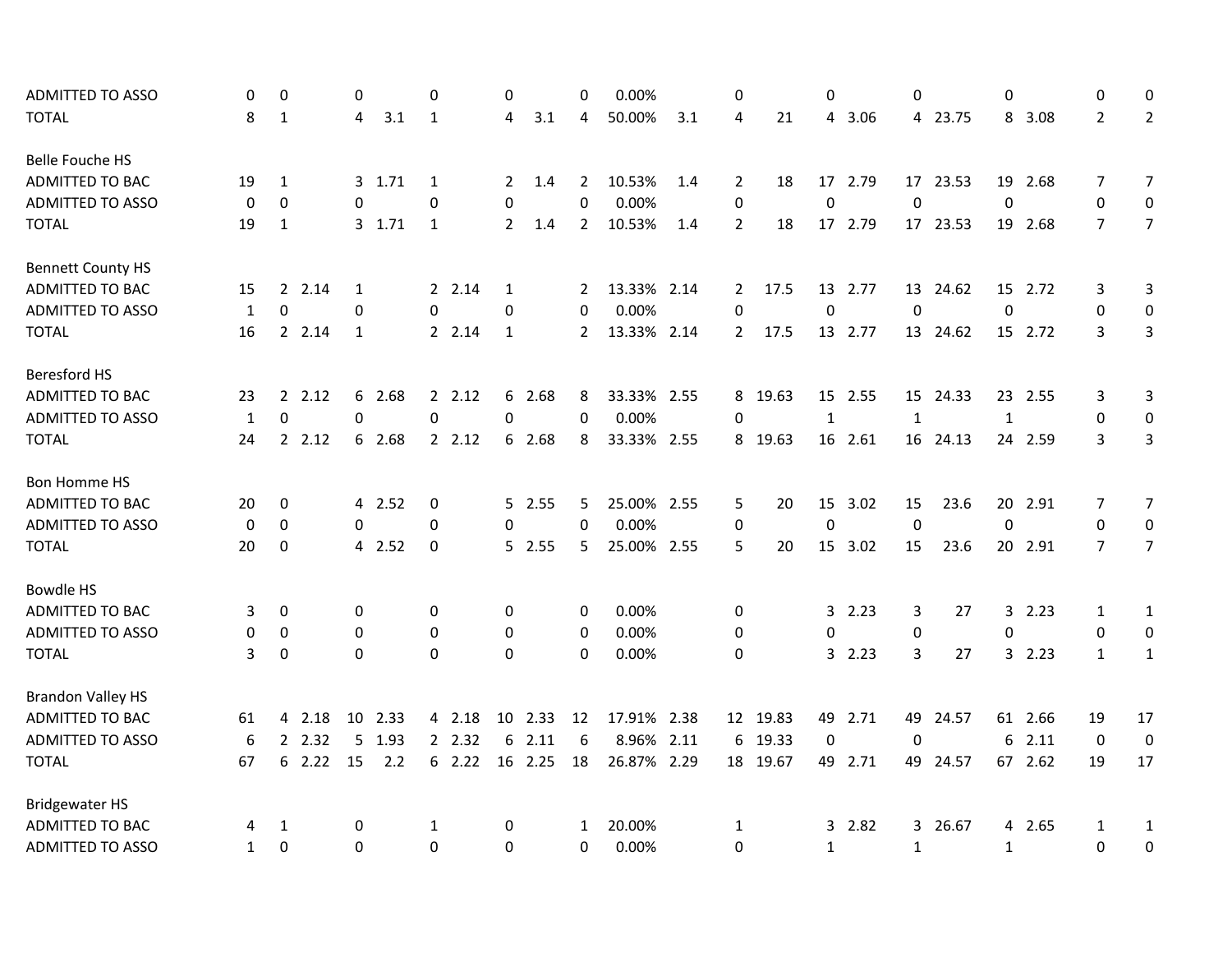| <b>ADMITTED TO ASSO</b>  | 0            | $\mathbf 0$      |        | 0            |         | $\Omega$         |        | 0            |         | $\mathbf 0$    | 0.00%       |     | 0              |          | 0            |         | $\Omega$     |          | $\mathbf 0$  |         | 0              | $\mathbf{0}$     |
|--------------------------|--------------|------------------|--------|--------------|---------|------------------|--------|--------------|---------|----------------|-------------|-----|----------------|----------|--------------|---------|--------------|----------|--------------|---------|----------------|------------------|
| <b>TOTAL</b>             | 8            | $\mathbf{1}$     |        | 4            | 3.1     | $\mathbf{1}$     |        | 4            | 3.1     | 4              | 50.00%      | 3.1 | 4              | 21       | 4            | 3.06    |              | 4 23.75  |              | 8 3.08  | $\overline{2}$ | $\overline{2}$   |
| <b>Belle Fouche HS</b>   |              |                  |        |              |         |                  |        |              |         |                |             |     |                |          |              |         |              |          |              |         |                |                  |
| <b>ADMITTED TO BAC</b>   | 19           | 1                |        |              | 3 1.71  | 1                |        | 2            | 1.4     | $\overline{2}$ | 10.53%      | 1.4 | 2              | 18       |              | 17 2.79 |              | 17 23.53 |              | 19 2.68 | $\overline{7}$ | $\overline{7}$   |
| <b>ADMITTED TO ASSO</b>  | 0            | 0                |        | 0            |         | 0                |        | 0            |         | 0              | 0.00%       |     | 0              |          | $\mathbf 0$  |         | $\mathbf 0$  |          | $\mathbf 0$  |         | $\mathbf 0$    | 0                |
| <b>TOTAL</b>             | 19           | $\mathbf{1}$     |        |              | 3, 1.71 | 1                |        | $\mathbf{2}$ | 1.4     | $\overline{2}$ | 10.53%      | 1.4 | $\overline{2}$ | 18       |              | 17 2.79 |              | 17 23.53 |              | 19 2.68 | $\overline{7}$ | $\overline{7}$   |
| <b>Bennett County HS</b> |              |                  |        |              |         |                  |        |              |         |                |             |     |                |          |              |         |              |          |              |         |                |                  |
| ADMITTED TO BAC          | 15           |                  | 2.14   | 1            |         |                  | 2.14   | 1            |         | 2              | 13.33% 2.14 |     | 2              | 17.5     |              | 13 2.77 |              | 13 24.62 |              | 15 2.72 | 3              | 3                |
| <b>ADMITTED TO ASSO</b>  | $\mathbf{1}$ | $\mathbf 0$      |        | 0            |         | $\mathbf 0$      |        | 0            |         | $\mathbf 0$    | 0.00%       |     | $\mathbf 0$    |          | $\mathbf 0$  |         | $\mathbf 0$  |          | $\mathbf 0$  |         | 0              | 0                |
| <b>TOTAL</b>             | 16           |                  | 2 2.14 | $\mathbf{1}$ |         |                  | 2 2.14 | $\mathbf{1}$ |         | $\overline{2}$ | 13.33% 2.14 |     | $\mathbf{2}$   | 17.5     |              | 13 2.77 |              | 13 24.62 |              | 15 2.72 | 3              | $\overline{3}$   |
| <b>Beresford HS</b>      |              |                  |        |              |         |                  |        |              |         |                |             |     |                |          |              |         |              |          |              |         |                |                  |
| ADMITTED TO BAC          | 23           |                  | 2.12   | 6            | 2.68    |                  | 2.12   |              | 6 2.68  | 8              | 33.33% 2.55 |     | 8              | 19.63    |              | 15 2.55 |              | 15 24.33 |              | 23 2.55 | 3              | $\mathbf{3}$     |
| <b>ADMITTED TO ASSO</b>  | $\mathbf{1}$ | $\boldsymbol{0}$ |        | 0            |         | $\boldsymbol{0}$ |        | 0            |         | 0              | 0.00%       |     | 0              |          | 1            |         | $\mathbf{1}$ |          | $1\,$        |         | 0              | $\mathbf 0$      |
| <b>TOTAL</b>             | 24           | $\overline{2}$   | 2.12   | 6            | 2.68    |                  | 2.12   |              | 6 2.68  | 8              | 33.33% 2.55 |     | 8              | 19.63    |              | 16 2.61 |              | 16 24.13 |              | 24 2.59 | 3              | $\overline{3}$   |
| <b>Bon Homme HS</b>      |              |                  |        |              |         |                  |        |              |         |                |             |     |                |          |              |         |              |          |              |         |                |                  |
| ADMITTED TO BAC          | 20           | 0                |        |              | 4 2.52  | 0                |        |              | 52.55   | 5              | 25.00% 2.55 |     | 5              | 20       |              | 15 3.02 | 15           | 23.6     |              | 20 2.91 | 7              | $\overline{7}$   |
| <b>ADMITTED TO ASSO</b>  | 0            | $\mathbf 0$      |        | 0            |         | 0                |        | 0            |         | $\mathbf 0$    | 0.00%       |     | 0              |          | $\pmb{0}$    |         | $\mathbf 0$  |          | $\mathbf 0$  |         | $\pmb{0}$      | $\boldsymbol{0}$ |
| <b>TOTAL</b>             | 20           | 0                |        |              | 4 2.52  | 0                |        |              | 5 2.55  | 5.             | 25.00% 2.55 |     | 5              | 20       |              | 15 3.02 | 15           | 23.6     |              | 20 2.91 | $\overline{7}$ | $\overline{7}$   |
| <b>Bowdle HS</b>         |              |                  |        |              |         |                  |        |              |         |                |             |     |                |          |              |         |              |          |              |         |                |                  |
| ADMITTED TO BAC          | 3            | 0                |        | 0            |         | 0                |        | 0            |         | 0              | 0.00%       |     | 0              |          | 3            | 2.23    | 3            | 27       |              | 32.23   | 1              | $\mathbf{1}$     |
| <b>ADMITTED TO ASSO</b>  | $\mathbf 0$  | $\mathbf 0$      |        | $\mathbf 0$  |         | 0                |        | $\mathbf 0$  |         | $\mathbf 0$    | 0.00%       |     | 0              |          | $\Omega$     |         | 0            |          | $\Omega$     |         | $\mathbf 0$    | $\boldsymbol{0}$ |
| <b>TOTAL</b>             | 3            | $\boldsymbol{0}$ |        | 0            |         | $\Omega$         |        | $\Omega$     |         | $\Omega$       | 0.00%       |     | 0              |          | 3            | 2.23    | 3            | 27       |              | 32.23   | $\mathbf{1}$   | $\mathbf{1}$     |
| <b>Brandon Valley HS</b> |              |                  |        |              |         |                  |        |              |         |                |             |     |                |          |              |         |              |          |              |         |                |                  |
| ADMITTED TO BAC          | 61           | 4                | 2.18   |              | 10 2.33 |                  | 4 2.18 |              | 10 2.33 | 12             | 17.91% 2.38 |     |                | 12 19.83 |              | 49 2.71 |              | 49 24.57 |              | 61 2.66 | 19             | 17               |
| <b>ADMITTED TO ASSO</b>  | 6            | $\overline{2}$   | 2.32   | 5            | 1.93    |                  | 2 2.32 | 6            | 2.11    | 6              | 8.96% 2.11  |     | 6              | 19.33    | 0            |         | 0            |          | 6            | 2.11    | $\mathbf 0$    | $\boldsymbol{0}$ |
| <b>TOTAL</b>             | 67           |                  | 62.22  | 15           | 2.2     |                  | 62.22  |              | 16 2.25 | 18             | 26.87% 2.29 |     |                | 18 19.67 |              | 49 2.71 |              | 49 24.57 |              | 67 2.62 | 19             | 17               |
| <b>Bridgewater HS</b>    |              |                  |        |              |         |                  |        |              |         |                |             |     |                |          |              |         |              |          |              |         |                |                  |
| ADMITTED TO BAC          | 4            | 1                |        | 0            |         | 1                |        | 0            |         | 1              | 20.00%      |     | 1              |          |              | 32.82   |              | 3 26.67  |              | 4 2.65  | 1              | $\mathbf{1}$     |
| <b>ADMITTED TO ASSO</b>  | 1            | $\mathbf 0$      |        | 0            |         | 0                |        | 0            |         | $\mathbf 0$    | 0.00%       |     | 0              |          | $\mathbf{1}$ |         | $\mathbf{1}$ |          | $\mathbf{1}$ |         | 0              | 0                |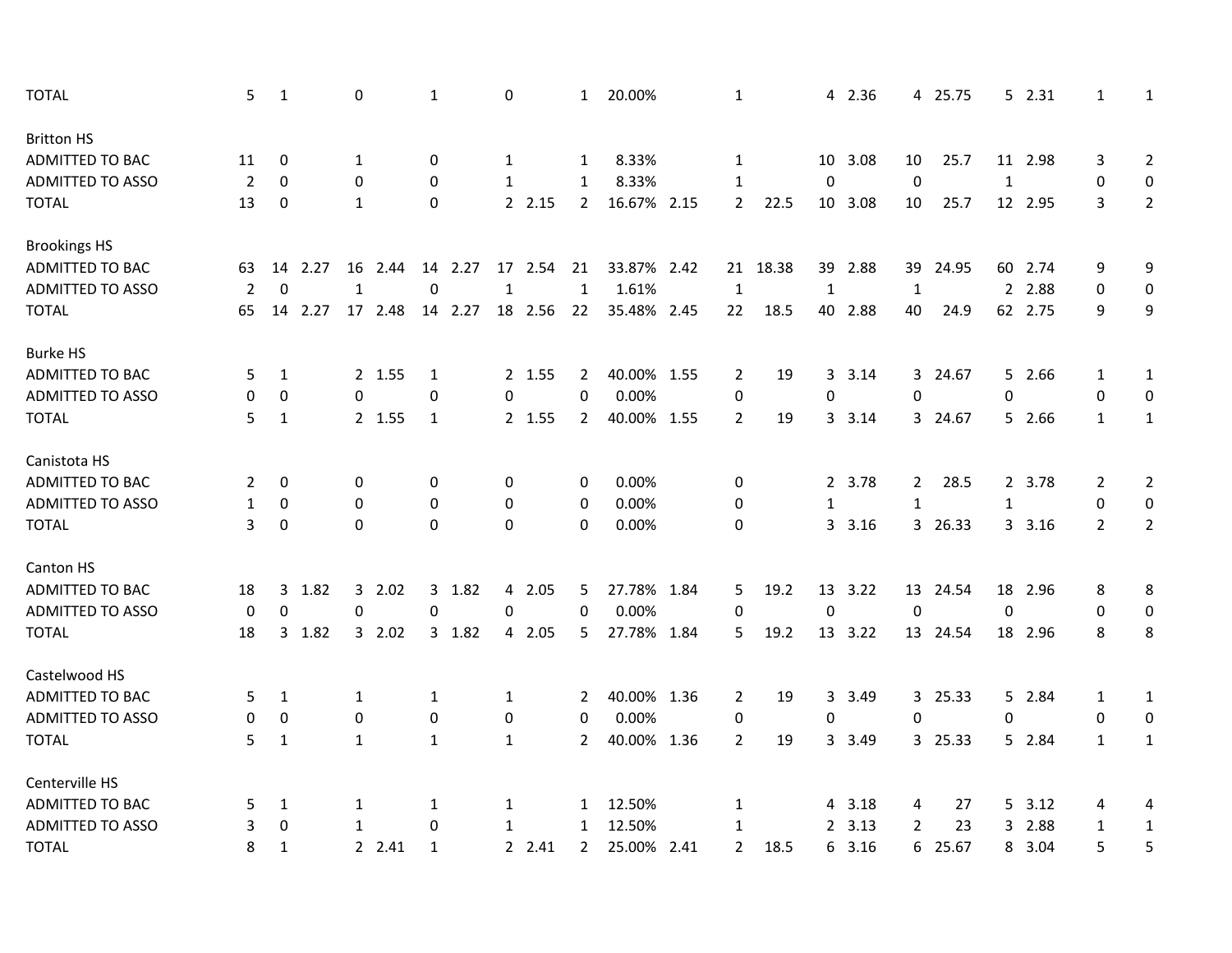| <b>TOTAL</b>            | 5              | $\mathbf{1}$ |         | 0            |         | 1            |         | 0            |          | $\mathbf{1}$   | 20.00%      | $\mathbf{1}$   |          | 4              | 2.36    |                | 4 25.75  |              | 52.31   | 1              | 1                |
|-------------------------|----------------|--------------|---------|--------------|---------|--------------|---------|--------------|----------|----------------|-------------|----------------|----------|----------------|---------|----------------|----------|--------------|---------|----------------|------------------|
| <b>Britton HS</b>       |                |              |         |              |         |              |         |              |          |                |             |                |          |                |         |                |          |              |         |                |                  |
| ADMITTED TO BAC         | 11             | 0            |         | 1            |         | $\mathbf 0$  |         | 1            |          | 1              | 8.33%       | 1              |          |                | 10 3.08 | 10             | 25.7     |              | 11 2.98 | 3              | $\overline{2}$   |
| <b>ADMITTED TO ASSO</b> | $\overline{2}$ | 0            |         | 0            |         | 0            |         | $\mathbf{1}$ |          | 1              | 8.33%       | $\mathbf{1}$   |          | $\mathbf 0$    |         | $\mathbf 0$    |          | $\mathbf{1}$ |         | 0              | $\mathbf 0$      |
| <b>TOTAL</b>            | 13             | 0            |         | $\mathbf{1}$ |         | 0            |         |              | 2 2.15   | $\mathbf{2}$   | 16.67% 2.15 | $\mathbf{2}$   | 22.5     |                | 10 3.08 | 10             | 25.7     |              | 12 2.95 | 3              | $\overline{2}$   |
| <b>Brookings HS</b>     |                |              |         |              |         |              |         |              |          |                |             |                |          |                |         |                |          |              |         |                |                  |
| ADMITTED TO BAC         | 63             |              | 14 2.27 | 16           | 2.44    |              | 14 2.27 |              | 17 2.54  | 21             | 33.87% 2.42 |                | 21 18.38 | 39             | 2.88    | 39             | 24.95    |              | 60 2.74 | 9              | 9                |
| <b>ADMITTED TO ASSO</b> | $\overline{2}$ | $\mathbf 0$  |         | $\mathbf{1}$ |         | $\pmb{0}$    |         | $\mathbf{1}$ |          | $\mathbf{1}$   | 1.61%       | $\mathbf{1}$   |          | $\mathbf{1}$   |         | $\mathbf{1}$   |          | $2^{\circ}$  | 2.88    | $\mathbf 0$    | $\boldsymbol{0}$ |
| <b>TOTAL</b>            | 65             |              | 14 2.27 |              | 17 2.48 |              | 14 2.27 |              | 18 2.56  | 22             | 35.48% 2.45 | 22             | 18.5     |                | 40 2.88 | 40             | 24.9     |              | 62 2.75 | 9              | 9                |
| <b>Burke HS</b>         |                |              |         |              |         |              |         |              |          |                |             |                |          |                |         |                |          |              |         |                |                  |
| ADMITTED TO BAC         | 5              | 1            |         |              | 2 1.55  | 1            |         |              | 2 1.55   | 2              | 40.00% 1.55 | 2              | 19       | 3              | 3.14    | 3              | 24.67    |              | 5 2.66  | 1              | 1                |
| <b>ADMITTED TO ASSO</b> | 0              | 0            |         | 0            |         | 0            |         | 0            |          | 0              | 0.00%       | 0              |          | 0              |         | 0              |          | $\pmb{0}$    |         | $\pmb{0}$      | 0                |
| <b>TOTAL</b>            | 5              | 1            |         |              | 2 1.55  | $\mathbf{1}$ |         |              | $2$ 1.55 | $\overline{2}$ | 40.00% 1.55 | $\overline{2}$ | 19       | 3              | 3.14    |                | 3 24.67  |              | 5 2.66  | $\mathbf{1}$   | $\mathbf{1}$     |
| Canistota HS            |                |              |         |              |         |              |         |              |          |                |             |                |          |                |         |                |          |              |         |                |                  |
| ADMITTED TO BAC         | 2              | 0            |         | 0            |         | 0            |         | 0            |          | 0              | 0.00%       | 0              |          |                | 2 3.78  | $\mathbf{2}$   | 28.5     |              | 2 3.78  | 2              | $\overline{2}$   |
| <b>ADMITTED TO ASSO</b> | 1              | 0            |         | 0            |         | 0            |         | $\mathbf 0$  |          | 0              | 0.00%       | 0              |          | $\mathbf{1}$   |         | $\mathbf{1}$   |          | $\mathbf{1}$ |         | 0              | $\boldsymbol{0}$ |
| <b>TOTAL</b>            | 3              | 0            |         | 0            |         | $\mathbf 0$  |         | $\mathbf 0$  |          | 0              | 0.00%       | 0              |          | $\overline{3}$ | 3.16    |                | 3 26.33  |              | 3.16    | $\overline{2}$ | $\overline{2}$   |
| Canton HS               |                |              |         |              |         |              |         |              |          |                |             |                |          |                |         |                |          |              |         |                |                  |
| <b>ADMITTED TO BAC</b>  | 18             | 3            | 1.82    | 3            | 2.02    |              | 3 1.82  | 4            | 2.05     | 5.             | 27.78% 1.84 | 5              | 19.2     | 13             | 3.22    |                | 13 24.54 |              | 18 2.96 | 8              | 8                |
| ADMITTED TO ASSO        | 0              | $\mathbf 0$  |         | 0            |         | $\mathbf 0$  |         | 0            |          | $\Omega$       | 0.00%       | $\mathbf 0$    |          | $\mathbf 0$    |         | $\mathbf 0$    |          | 0            |         | $\Omega$       | $\boldsymbol{0}$ |
| <b>TOTAL</b>            | 18             |              | 3 1.82  |              | 32.02   |              | 3 1.82  |              | 4 2.05   | 5              | 27.78% 1.84 | 5              | 19.2     |                | 13 3.22 |                | 13 24.54 |              | 18 2.96 | 8              | 8                |
| Castelwood HS           |                |              |         |              |         |              |         |              |          |                |             |                |          |                |         |                |          |              |         |                |                  |
| ADMITTED TO BAC         | 5              | 1            |         | $\mathbf{1}$ |         | 1            |         | 1            |          | 2              | 40.00% 1.36 | 2              | 19       | 3              | 3.49    |                | 3 25.33  |              | 5 2.84  | 1              | $\mathbf{1}$     |
| <b>ADMITTED TO ASSO</b> | 0              | 0            |         | 0            |         | 0            |         | 0            |          | 0              | 0.00%       | 0              |          | 0              |         | 0              |          | 0            |         | 0              | $\boldsymbol{0}$ |
| <b>TOTAL</b>            | 5              | $\mathbf{1}$ |         | $\mathbf{1}$ |         | $\mathbf{1}$ |         | $\mathbf{1}$ |          | $\overline{2}$ | 40.00% 1.36 | $\overline{2}$ | 19       | 3              | 3.49    |                | 3 25.33  |              | 5 2.84  | $\mathbf{1}$   | $\mathbf{1}$     |
| Centerville HS          |                |              |         |              |         |              |         |              |          |                |             |                |          |                |         |                |          |              |         |                |                  |
| ADMITTED TO BAC         | 5              | 1            |         | 1            |         | 1            |         | $\mathbf{1}$ |          | $\mathbf{1}$   | 12.50%      | 1              |          | 4              | 3.18    | 4              | 27       |              | 5, 3.12 | 4              | 4                |
| <b>ADMITTED TO ASSO</b> | 3              | 0            |         | $\mathbf{1}$ |         | 0            |         | 1            |          | 1              | 12.50%      | 1              |          | $\overline{2}$ | 3.13    | $\overline{2}$ | 23       | 3            | 2.88    | 1              | $\mathbf{1}$     |
| <b>TOTAL</b>            | 8              | 1            |         |              | 2 2.41  | $\mathbf{1}$ |         |              | 2 2.41   | $\overline{2}$ | 25.00% 2.41 | $\overline{2}$ | 18.5     | 6              | 3.16    |                | 6 25.67  | 8            | 3.04    | 5              | 5                |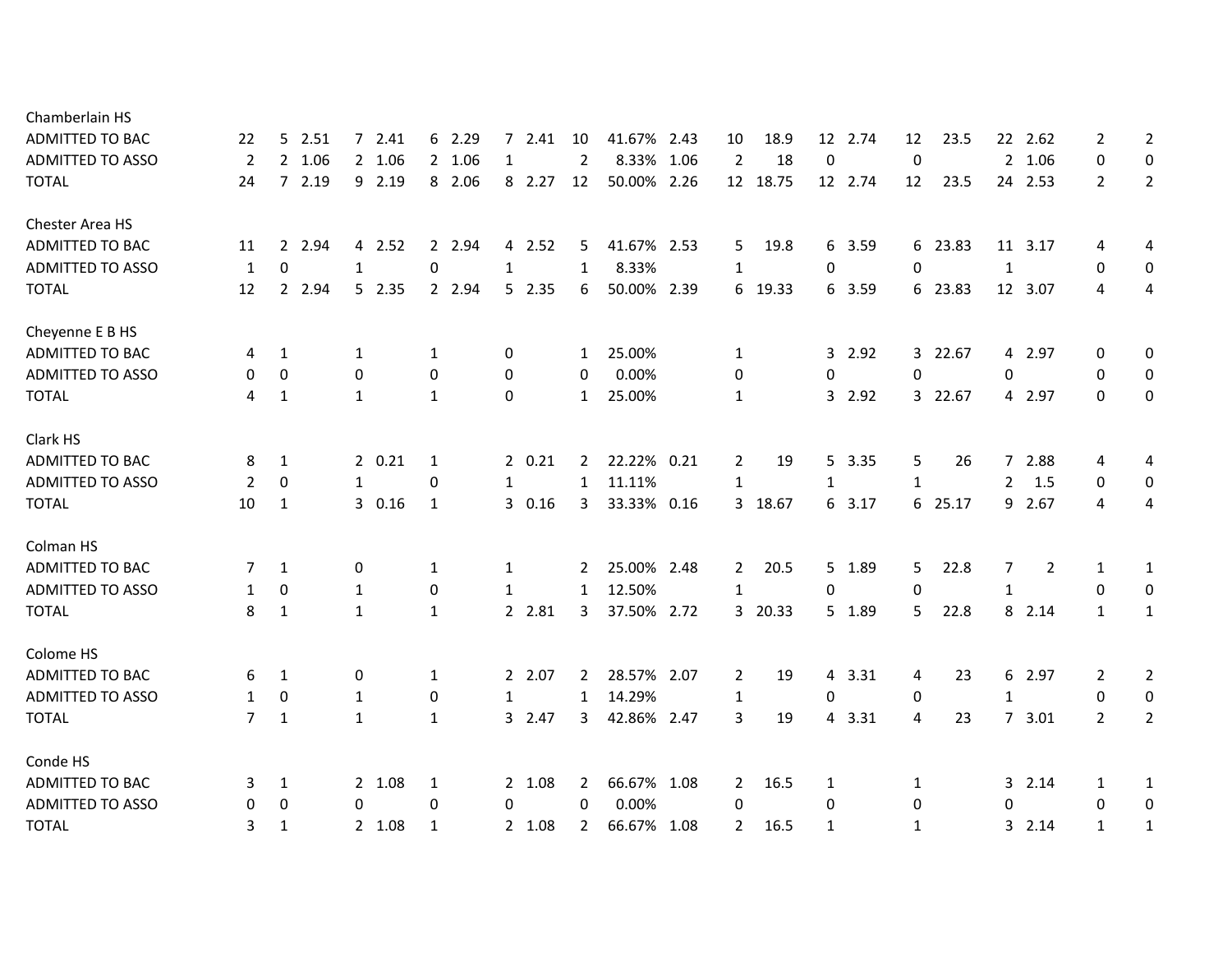| 22             | 5            |                                          |                                                                                     |                                                | 2.41 | 10                                                                                                            |        | 2.43 | 10                                                                                                                                                                                        | 18.9  |              | 2.74        | 12                                                       | 23.5 |                                                     | 2.62 | 2                                                                                                                   | $\overline{2}$   |
|----------------|--------------|------------------------------------------|-------------------------------------------------------------------------------------|------------------------------------------------|------|---------------------------------------------------------------------------------------------------------------|--------|------|-------------------------------------------------------------------------------------------------------------------------------------------------------------------------------------------|-------|--------------|-------------|----------------------------------------------------------|------|-----------------------------------------------------|------|---------------------------------------------------------------------------------------------------------------------|------------------|
| $\overline{2}$ |              |                                          |                                                                                     | 1                                              |      | $\overline{2}$                                                                                                |        |      | $\overline{2}$                                                                                                                                                                            | 18    | $\pmb{0}$    |             | $\mathbf 0$                                              |      |                                                     |      | 0                                                                                                                   | 0                |
| 24             |              |                                          |                                                                                     |                                                |      | 12                                                                                                            |        |      |                                                                                                                                                                                           |       |              |             | 12                                                       | 23.5 |                                                     |      | $\overline{2}$                                                                                                      | $\overline{2}$   |
|                |              |                                          |                                                                                     |                                                |      |                                                                                                               |        |      |                                                                                                                                                                                           |       |              |             |                                                          |      |                                                     |      |                                                                                                                     |                  |
| 11             | $2^{\circ}$  |                                          |                                                                                     |                                                |      | 5                                                                                                             |        |      | 5                                                                                                                                                                                         | 19.8  |              | 3.59        |                                                          |      |                                                     |      | 4                                                                                                                   | 4                |
| 1              | 0            | $\mathbf{1}$                             | 0                                                                                   | 1                                              |      | 1                                                                                                             | 8.33%  |      | $\mathbf{1}$                                                                                                                                                                              |       | 0            |             | $\mathbf 0$                                              |      | $\mathbf{1}$                                        |      | 0                                                                                                                   | $\mathbf 0$      |
| 12             | $2^{\circ}$  |                                          |                                                                                     |                                                |      | 6                                                                                                             |        |      | 6                                                                                                                                                                                         | 19.33 |              | 3.59        |                                                          |      |                                                     |      | 4                                                                                                                   | 4                |
|                |              |                                          |                                                                                     |                                                |      |                                                                                                               |        |      |                                                                                                                                                                                           |       |              |             |                                                          |      |                                                     |      |                                                                                                                     |                  |
| 4              | 1            | 1                                        | 1                                                                                   | 0                                              |      | $\mathbf{1}$                                                                                                  | 25.00% |      | 1                                                                                                                                                                                         |       |              | 2.92        |                                                          |      |                                                     |      | 0                                                                                                                   | 0                |
| 0              | 0            | 0                                        | $\mathbf 0$                                                                         | 0                                              |      | 0                                                                                                             | 0.00%  |      | 0                                                                                                                                                                                         |       | 0            |             | 0                                                        |      | 0                                                   |      | 0                                                                                                                   | $\mathbf 0$      |
| 4              | 1            | $\mathbf{1}$                             | $\mathbf{1}$                                                                        | 0                                              |      | $\mathbf{1}$                                                                                                  | 25.00% |      | $\mathbf{1}$                                                                                                                                                                              |       |              | 2.92        |                                                          |      |                                                     |      | $\Omega$                                                                                                            | $\boldsymbol{0}$ |
|                |              |                                          |                                                                                     |                                                |      |                                                                                                               |        |      |                                                                                                                                                                                           |       |              |             |                                                          |      |                                                     |      |                                                                                                                     |                  |
| 8              | 1            |                                          | 1                                                                                   |                                                |      | $\mathbf{2}$                                                                                                  |        |      | 2                                                                                                                                                                                         | 19    |              | 3.35        | 5                                                        | 26   |                                                     |      | 4                                                                                                                   | 4                |
| 2              | $\mathbf{0}$ | $\mathbf{1}$                             | 0                                                                                   | 1                                              |      | 1                                                                                                             | 11.11% |      | $\mathbf{1}$                                                                                                                                                                              |       | $\mathbf{1}$ |             | $\mathbf{1}$                                             |      | $\overline{2}$                                      | 1.5  | $\mathbf 0$                                                                                                         | $\mathbf 0$      |
| 10             | 1            |                                          | 1                                                                                   |                                                |      | 3                                                                                                             |        |      | 3                                                                                                                                                                                         | 18.67 | 6            | 3.17        |                                                          |      |                                                     |      | 4                                                                                                                   | 4                |
|                |              |                                          |                                                                                     |                                                |      |                                                                                                               |        |      |                                                                                                                                                                                           |       |              |             |                                                          |      |                                                     |      |                                                                                                                     |                  |
| 7              | 1            | 0                                        | 1                                                                                   | 1                                              |      | 2                                                                                                             |        |      | $\overline{2}$                                                                                                                                                                            | 20.5  |              | 1.89        | 5                                                        | 22.8 | 7                                                   | 2    | 1                                                                                                                   | $\mathbf{1}$     |
| 1              | 0            | 1                                        | 0                                                                                   | 1                                              |      | 1                                                                                                             | 12.50% |      | 1                                                                                                                                                                                         |       | 0            |             | 0                                                        |      | $\mathbf{1}$                                        |      | 0                                                                                                                   | $\boldsymbol{0}$ |
| 8              | 1            | $\mathbf{1}$                             | $\mathbf{1}$                                                                        |                                                |      | 3                                                                                                             |        |      | 3                                                                                                                                                                                         | 20.33 |              | 1.89        | 5                                                        | 22.8 |                                                     | 2.14 | $\mathbf{1}$                                                                                                        | $\mathbf{1}$     |
|                |              |                                          |                                                                                     |                                                |      |                                                                                                               |        |      |                                                                                                                                                                                           |       |              |             |                                                          |      |                                                     |      |                                                                                                                     |                  |
| 6              | 1            | 0                                        | 1                                                                                   |                                                |      | 2                                                                                                             |        |      | 2                                                                                                                                                                                         | 19    |              | 3.31        | 4                                                        | 23   |                                                     |      | 2                                                                                                                   | $\overline{2}$   |
| 1              | 0            | 1                                        | 0                                                                                   | 1                                              |      | $\mathbf{1}$                                                                                                  | 14.29% |      | $\mathbf{1}$                                                                                                                                                                              |       | 0            |             | $\mathbf 0$                                              |      | $\mathbf{1}$                                        |      | 0                                                                                                                   | $\boldsymbol{0}$ |
| 7              | 1            | $\mathbf{1}$                             | $\mathbf{1}$                                                                        |                                                |      | 3                                                                                                             |        |      | 3                                                                                                                                                                                         | 19    |              | 3.31        | 4                                                        | 23   |                                                     |      | $\overline{2}$                                                                                                      | $\overline{2}$   |
|                |              |                                          |                                                                                     |                                                |      |                                                                                                               |        |      |                                                                                                                                                                                           |       |              |             |                                                          |      |                                                     |      |                                                                                                                     |                  |
| 3              | 1            |                                          | 1                                                                                   |                                                |      | 2                                                                                                             |        |      | $\mathbf{2}$                                                                                                                                                                              | 16.5  | 1            |             | 1                                                        |      |                                                     |      | 1                                                                                                                   | $\mathbf{1}$     |
| 0              | 0            | 0                                        | 0                                                                                   | 0                                              |      | 0                                                                                                             | 0.00%  |      | 0                                                                                                                                                                                         |       | $\mathbf 0$  |             | 0                                                        |      | 0                                                   |      | 0                                                                                                                   | 0                |
| 3              | 1            |                                          | 1                                                                                   |                                                |      | $\overline{2}$                                                                                                |        |      | $\overline{2}$                                                                                                                                                                            | 16.5  | 1            |             | $\mathbf{1}$                                             |      | 3.                                                  | 2.14 | $\mathbf{1}$                                                                                                        | 1                |
|                |              | 2.51<br>2 1.06<br>7 2.19<br>2.94<br>2.94 | 72.41<br>2 1.06<br>9 2.19<br>4 2.52<br>5 2.35<br>20.21<br>30.16<br>2 1.08<br>2 1.08 | 6 2.29<br>2 1.06<br>8 2.06<br>2 2.94<br>2 2.94 |      | $7^{\circ}$<br>8 2.27<br>4 2.52<br>5 2.35<br>20.21<br>30.16<br>2 2.81<br>2 2.07<br>3 2.47<br>2 1.08<br>2 1.08 |        |      | 41.67%<br>8.33% 1.06<br>50.00% 2.26<br>41.67% 2.53<br>50.00% 2.39<br>22.22% 0.21<br>33.33% 0.16<br>25.00% 2.48<br>37.50% 2.72<br>28.57% 2.07<br>42.86% 2.47<br>66.67% 1.08<br>66.67% 1.08 |       | 12 18.75     | 6<br>6<br>4 | 12<br>12 2.74<br>3<br>3<br>5 <sup>1</sup><br>5<br>5<br>4 |      | 6 23.83<br>6 23.83<br>3 22.67<br>3 22.67<br>6 25.17 | 8    | 22<br>2 1.06<br>24 2.53<br>11 3.17<br>12 3.07<br>4 2.97<br>4 2.97<br>7 2.88<br>9 2.67<br>6 2.97<br>7, 3.01<br>32.14 |                  |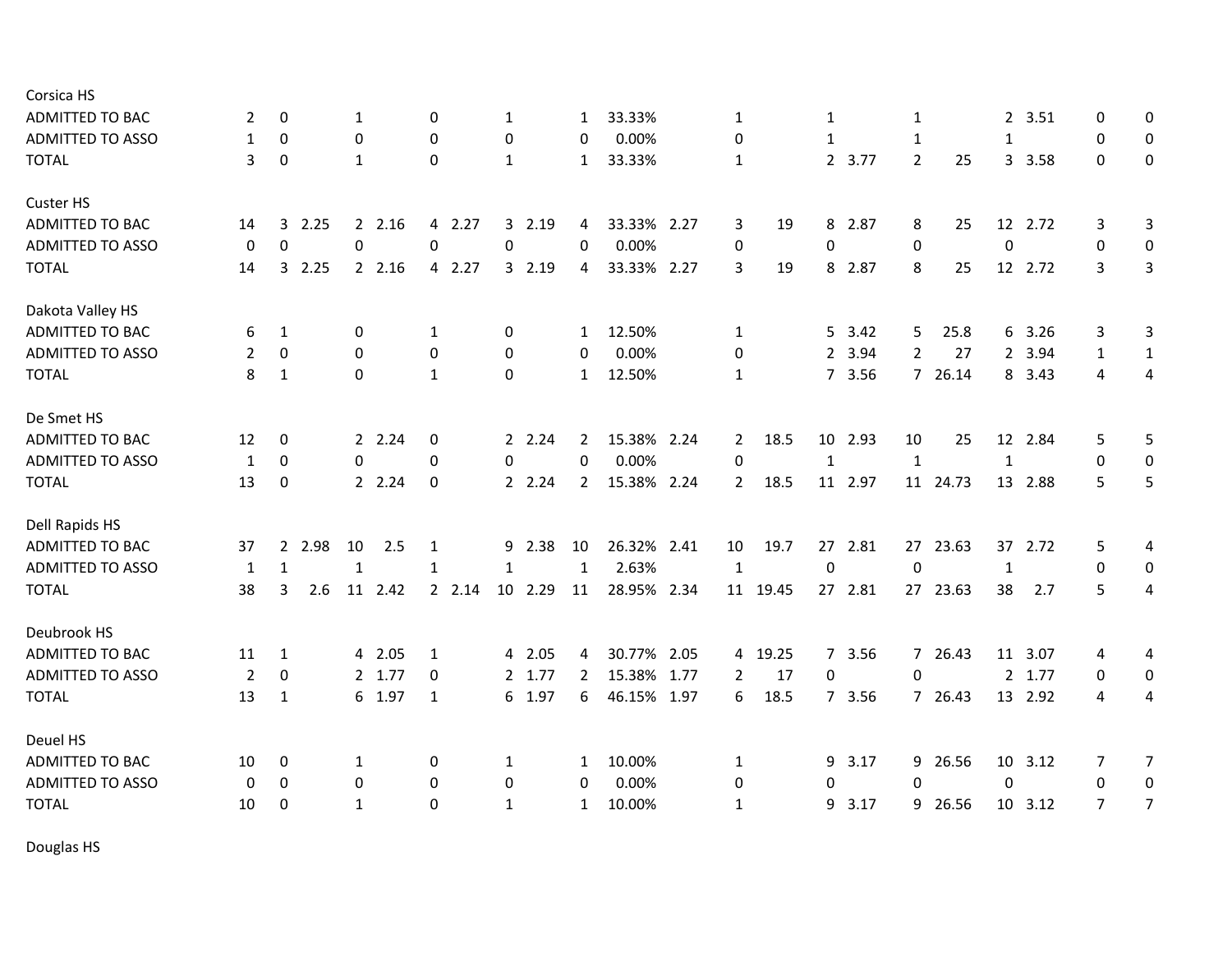| Corsica HS              |                  |              |        |              |         |              |         |              |         |                |             |                |          |                  |         |                |          |              |         |              |                  |
|-------------------------|------------------|--------------|--------|--------------|---------|--------------|---------|--------------|---------|----------------|-------------|----------------|----------|------------------|---------|----------------|----------|--------------|---------|--------------|------------------|
| <b>ADMITTED TO BAC</b>  | 2                | 0            |        | 1            |         | 0            |         | $\mathbf{1}$ |         | $\mathbf{1}$   | 33.33%      | 1              |          | 1                |         | $\mathbf{1}$   |          |              | 2 3.51  | 0            | 0                |
| <b>ADMITTED TO ASSO</b> | 1                | 0            |        | 0            |         | $\mathbf 0$  |         | 0            |         | 0              | 0.00%       | 0              |          | 1                |         | $\mathbf{1}$   |          | 1            |         | 0            | 0                |
| <b>TOTAL</b>            | 3                | 0            |        | 1            |         | $\mathbf 0$  |         | $\mathbf{1}$ |         | 1              | 33.33%      | $\mathbf{1}$   |          |                  | 2 3.77  | $\overline{2}$ | 25       |              | 3 3.58  | $\Omega$     | 0                |
| Custer HS               |                  |              |        |              |         |              |         |              |         |                |             |                |          |                  |         |                |          |              |         |              |                  |
| ADMITTED TO BAC         | 14               | 3            | 2.25   |              | 2.16    |              | 4 2.27  |              | 3 2.19  | 4              | 33.33% 2.27 | 3              | 19       | 8                | 2.87    | 8              | 25       |              | 12 2.72 | 3            | $\mathbf{3}$     |
| <b>ADMITTED TO ASSO</b> | $\boldsymbol{0}$ | $\pmb{0}$    |        | 0            |         | $\mathbf 0$  |         | 0            |         | $\Omega$       | 0.00%       | 0              |          | 0                |         | 0              |          | $\pmb{0}$    |         | 0            | $\boldsymbol{0}$ |
| <b>TOTAL</b>            | 14               | $\mathbf{3}$ | 2.25   |              | 2.16    |              | 4 2.27  |              | 3 2.19  | 4              | 33.33% 2.27 | 3              | 19       | 8                | 2.87    | 8              | 25       |              | 12 2.72 | 3            | 3                |
| Dakota Valley HS        |                  |              |        |              |         |              |         |              |         |                |             |                |          |                  |         |                |          |              |         |              |                  |
| ADMITTED TO BAC         | 6                | 1            |        | 0            |         | $\mathbf{1}$ |         | 0            |         | 1              | 12.50%      | $\mathbf{1}$   |          | 5                | 3.42    | 5              | 25.8     |              | 6 3.26  | 3            | 3                |
| <b>ADMITTED TO ASSO</b> | 2                | 0            |        | 0            |         | 0            |         | 0            |         | 0              | 0.00%       | 0              |          | $2^{\circ}$      | 3.94    | $\overline{2}$ | 27       |              | 2 3.94  | $\mathbf{1}$ | $\mathbf{1}$     |
| <b>TOTAL</b>            | 8                | 1            |        | $\mathbf 0$  |         | $\mathbf{1}$ |         | $\Omega$     |         | $\mathbf{1}$   | 12.50%      | 1              |          |                  | 7 3.56  |                | 7 26.14  |              | 8 3.43  | 4            | 4                |
| De Smet HS              |                  |              |        |              |         |              |         |              |         |                |             |                |          |                  |         |                |          |              |         |              |                  |
| <b>ADMITTED TO BAC</b>  | 12               | 0            |        |              | 2 2.24  | 0            |         |              | 2 2.24  | 2              | 15.38% 2.24 | $\mathbf{2}$   | 18.5     |                  | 10 2.93 | 10             | 25       |              | 12 2.84 | 5            | 5                |
| <b>ADMITTED TO ASSO</b> | $\mathbf{1}$     | 0            |        | 0            |         | 0            |         | 0            |         | $\mathbf 0$    | 0.00%       | 0              |          | $\mathbf 1$      |         | $\mathbf{1}$   |          | $\mathbf{1}$ |         | $\mathbf 0$  | 0                |
| <b>TOTAL</b>            | 13               | 0            |        |              | 2 2.24  | 0            |         |              | 2 2.24  | $\overline{2}$ | 15.38% 2.24 | $\mathbf{2}$   | 18.5     |                  | 11 2.97 |                | 11 24.73 |              | 13 2.88 | 5            | 5                |
| Dell Rapids HS          |                  |              |        |              |         |              |         |              |         |                |             |                |          |                  |         |                |          |              |         |              |                  |
| ADMITTED TO BAC         | 37               |              | 2 2.98 | 10           | 2.5     | 1            |         |              | 9 2.38  | 10             | 26.32% 2.41 | 10             | 19.7     | 27               | 2.81    |                | 27 23.63 |              | 37 2.72 | 5            | 4                |
| ADMITTED TO ASSO        | $\mathbf{1}$     | $\mathbf{1}$ |        | $\mathbf{1}$ |         | 1            |         | $\mathbf{1}$ |         | $\mathbf{1}$   | 2.63%       | $\mathbf{1}$   |          | $\boldsymbol{0}$ |         | $\mathbf 0$    |          | $\mathbf{1}$ |         | $\mathbf 0$  | $\boldsymbol{0}$ |
| <b>TOTAL</b>            | 38               | 3            | 2.6    |              | 11 2.42 |              | 2, 2.14 |              | 10 2.29 | 11             | 28.95% 2.34 |                | 11 19.45 |                  | 27 2.81 |                | 27 23.63 | 38           | 2.7     | 5            | 4                |
| Deubrook HS             |                  |              |        |              |         |              |         |              |         |                |             |                |          |                  |         |                |          |              |         |              |                  |
| ADMITTED TO BAC         | 11               | 1            |        |              | 4 2.05  | 1            |         |              | 4 2.05  | 4              | 30.77% 2.05 |                | 4 19.25  |                  | 7 3.56  |                | 7 26.43  |              | 11 3.07 | 4            | 4                |
| <b>ADMITTED TO ASSO</b> | $\overline{2}$   | 0            |        |              | 2 1.77  | 0            |         |              | 2 1.77  | $\overline{2}$ | 15.38% 1.77 | $\overline{2}$ | 17       | 0                |         | $\Omega$       |          |              | 2 1.77  | $\mathbf{0}$ | $\mathbf 0$      |
| <b>TOTAL</b>            | 13               | $\mathbf{1}$ |        |              | 6 1.97  | $\mathbf{1}$ |         |              | 6 1.97  | 6              | 46.15% 1.97 | 6              | 18.5     |                  | 7 3.56  |                | 7 26.43  |              | 13 2.92 | 4            | 4                |
| Deuel HS                |                  |              |        |              |         |              |         |              |         |                |             |                |          |                  |         |                |          |              |         |              |                  |
| ADMITTED TO BAC         | 10               | 0            |        | 1            |         | 0            |         | 1            |         | 1              | 10.00%      | 1              |          | 9                | 3.17    | 9              | 26.56    |              | 10 3.12 | 7            | $\overline{7}$   |
| <b>ADMITTED TO ASSO</b> | 0                | 0            |        | $\mathbf 0$  |         | 0            |         | 0            |         | 0              | 0.00%       | 0              |          | 0                |         | $\Omega$       |          | $\mathbf 0$  |         | $\mathbf{0}$ | $\mathbf 0$      |
| <b>TOTAL</b>            | 10               | 0            |        | $\mathbf{1}$ |         | $\Omega$     |         | 1            |         | $\mathbf{1}$   | 10.00%      | $\mathbf{1}$   |          | 9                | 3.17    | 9              | 26.56    |              | 10 3.12 | 7            | $\overline{7}$   |
|                         |                  |              |        |              |         |              |         |              |         |                |             |                |          |                  |         |                |          |              |         |              |                  |

Douglas HS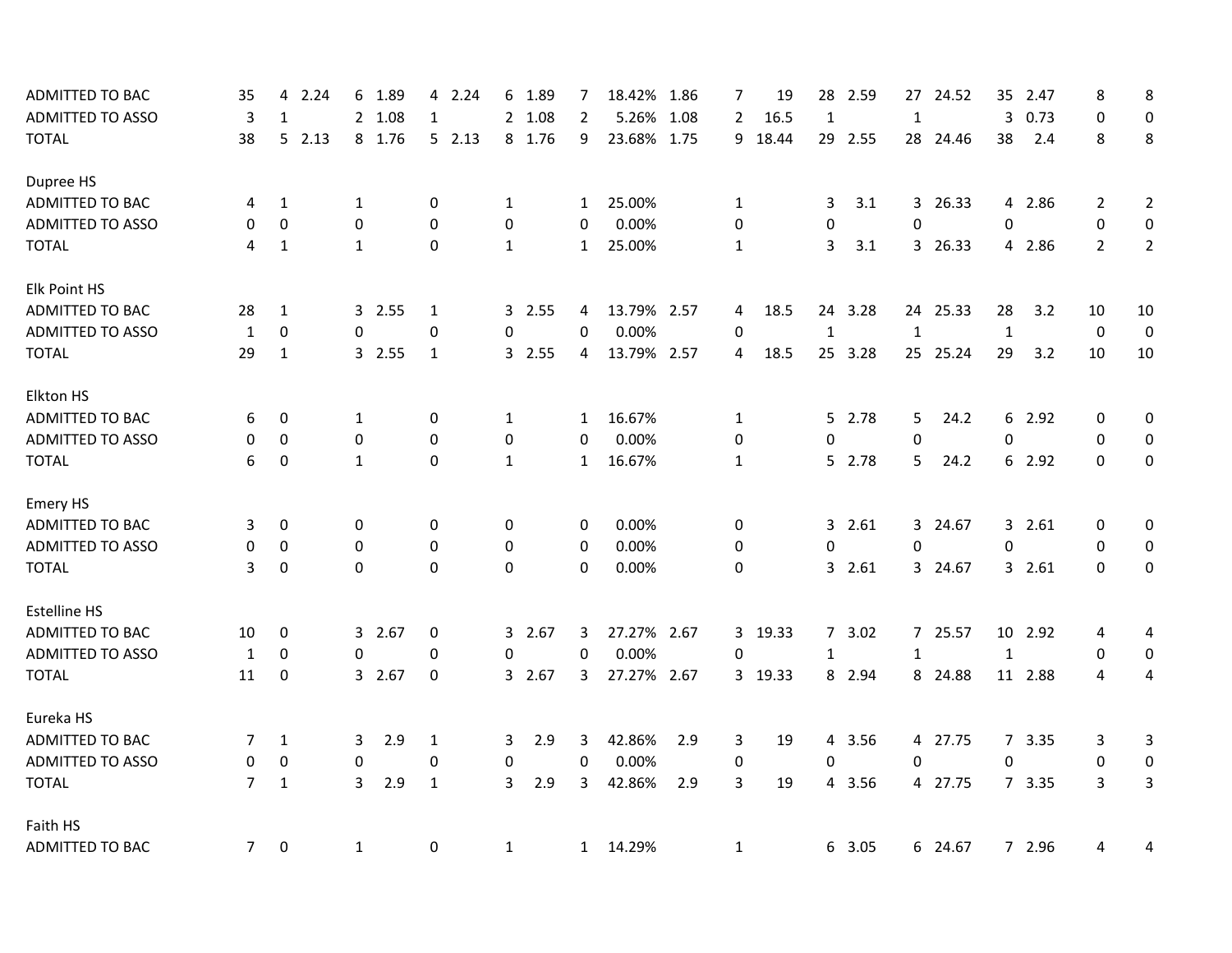| <b>ADMITTED TO BAC</b>  | 35             | 4            | 2.24  | 6            | 1.89   | $\overline{4}$ | 2.24  |              | 6 1.89 | 7            | 18.42% 1.86 |      | 7              | 19      | 28             | 2.59    | 27           | 24.52    | 35           | 2.47    | 8              | 8                |
|-------------------------|----------------|--------------|-------|--------------|--------|----------------|-------|--------------|--------|--------------|-------------|------|----------------|---------|----------------|---------|--------------|----------|--------------|---------|----------------|------------------|
| <b>ADMITTED TO ASSO</b> | 3              | 1            |       |              | 2 1.08 | 1              |       |              | 2 1.08 | 2            | 5.26%       | 1.08 | $\overline{2}$ | 16.5    | $\mathbf{1}$   |         | 1            |          | 3            | 0.73    | $\mathbf 0$    | $\mathbf 0$      |
| <b>TOTAL</b>            | 38             |              | 52.13 |              | 8 1.76 |                | 52.13 |              | 8 1.76 | 9            | 23.68% 1.75 |      | 9              | 18.44   |                | 29 2.55 |              | 28 24.46 | 38           | 2.4     | 8              | 8                |
| Dupree HS               |                |              |       |              |        |                |       |              |        |              |             |      |                |         |                |         |              |          |              |         |                |                  |
| ADMITTED TO BAC         | 4              | $\mathbf{1}$ |       | 1            |        | 0              |       | $\mathbf{1}$ |        | $\mathbf{1}$ | 25.00%      |      | $\mathbf{1}$   |         | 3              | 3.1     |              | 3 26.33  |              | 4 2.86  | 2              | $\overline{2}$   |
| <b>ADMITTED TO ASSO</b> | $\mathbf 0$    | 0            |       | 0            |        | 0              |       | 0            |        | $\mathbf 0$  | 0.00%       |      | 0              |         | 0              |         | $\Omega$     |          | $\Omega$     |         | 0              | $\boldsymbol{0}$ |
| <b>TOTAL</b>            | 4              | 1            |       | $\mathbf{1}$ |        | 0              |       | $\mathbf{1}$ |        | $\mathbf{1}$ | 25.00%      |      | $\mathbf{1}$   |         | 3              | 3.1     |              | 3 26.33  |              | 4 2.86  | $\overline{2}$ | $\overline{2}$   |
| Elk Point HS            |                |              |       |              |        |                |       |              |        |              |             |      |                |         |                |         |              |          |              |         |                |                  |
| <b>ADMITTED TO BAC</b>  | 28             | 1            |       |              | 3 2.55 | 1              |       |              | 3 2.55 | 4            | 13.79% 2.57 |      | 4              | 18.5    | 24             | 3.28    |              | 24 25.33 | 28           | 3.2     | 10             | 10               |
| <b>ADMITTED TO ASSO</b> | $\mathbf{1}$   | 0            |       | 0            |        | 0              |       | 0            |        | 0            | 0.00%       |      | 0              |         | $\mathbf 1$    |         | $\mathbf{1}$ |          | $\mathbf{1}$ |         | $\mathbf 0$    | $\mathbf 0$      |
| <b>TOTAL</b>            | 29             | $\mathbf{1}$ |       |              | 3 2.55 | $\mathbf{1}$   |       |              | 3 2.55 | 4            | 13.79% 2.57 |      | 4              | 18.5    |                | 25 3.28 |              | 25 25.24 | 29           | 3.2     | 10             | 10               |
| Elkton HS               |                |              |       |              |        |                |       |              |        |              |             |      |                |         |                |         |              |          |              |         |                |                  |
| ADMITTED TO BAC         | 6              | 0            |       | 1            |        | 0              |       | $\mathbf{1}$ |        | 1            | 16.67%      |      | 1              |         |                | 5 2.78  | 5            | 24.2     |              | 6 2.92  | 0              | 0                |
| <b>ADMITTED TO ASSO</b> | 0              | 0            |       | 0            |        | 0              |       | 0            |        | $\mathbf 0$  | 0.00%       |      | 0              |         | $\mathbf 0$    |         | 0            |          | 0            |         | $\mathbf 0$    | $\mathbf 0$      |
| <b>TOTAL</b>            | 6              | 0            |       | $\mathbf{1}$ |        | 0              |       | $\mathbf{1}$ |        | $\mathbf{1}$ | 16.67%      |      | $\mathbf{1}$   |         |                | 5 2.78  | 5            | 24.2     |              | 6 2.92  | $\mathbf 0$    | $\pmb{0}$        |
| <b>Emery HS</b>         |                |              |       |              |        |                |       |              |        |              |             |      |                |         |                |         |              |          |              |         |                |                  |
| ADMITTED TO BAC         | 3              | 0            |       | 0            |        | 0              |       | $\mathbf 0$  |        | 0            | 0.00%       |      | 0              |         | 3              | 2.61    |              | 3 24.67  |              | 32.61   | 0              | 0                |
| ADMITTED TO ASSO        | 0              | 0            |       | 0            |        | 0              |       | 0            |        | 0            | 0.00%       |      | 0              |         | 0              |         | 0            |          | $\mathbf 0$  |         | $\mathbf 0$    | 0                |
| <b>TOTAL</b>            | 3              | 0            |       | $\mathbf 0$  |        | $\Omega$       |       | 0            |        | $\Omega$     | 0.00%       |      | $\mathbf 0$    |         | 3              | 2.61    |              | 3 24.67  |              | 32.61   | $\mathbf{0}$   | 0                |
| <b>Estelline HS</b>     |                |              |       |              |        |                |       |              |        |              |             |      |                |         |                |         |              |          |              |         |                |                  |
| ADMITTED TO BAC         | 10             | 0            |       |              | 3 2.67 | 0              |       |              | 3 2.67 | 3            | 27.27% 2.67 |      | 3              | 19.33   | 7 <sup>7</sup> | 3.02    |              | 7 25.57  |              | 10 2.92 | 4              | 4                |
| <b>ADMITTED TO ASSO</b> | 1              | $\mathbf 0$  |       | 0            |        | 0              |       | 0            |        | $\mathbf 0$  | 0.00%       |      | 0              |         | 1              |         | $\mathbf{1}$ |          | $\mathbf{1}$ |         | $\mathbf 0$    | $\boldsymbol{0}$ |
| <b>TOTAL</b>            | 11             | 0            |       |              | 3 2.67 | 0              |       |              | 3 2.67 | 3            | 27.27% 2.67 |      |                | 3 19.33 |                | 8 2.94  |              | 8 24.88  |              | 11 2.88 | 4              | 4                |
| Eureka HS               |                |              |       |              |        |                |       |              |        |              |             |      |                |         |                |         |              |          |              |         |                |                  |
| <b>ADMITTED TO BAC</b>  | 7              | 1            |       | 3            | 2.9    | 1              |       | 3            | 2.9    | 3            | 42.86%      | 2.9  | 3              | 19      | 4              | 3.56    |              | 4 27.75  |              | 7 3.35  | 3              | 3                |
| <b>ADMITTED TO ASSO</b> | 0              | 0            |       | 0            |        | 0              |       | 0            |        | 0            | 0.00%       |      | 0              |         | 0              |         | 0            |          | 0            |         | 0              | $\boldsymbol{0}$ |
| <b>TOTAL</b>            | $\overline{7}$ | $\mathbf{1}$ |       | 3            | 2.9    | $\mathbf{1}$   |       | 3            | 2.9    | 3            | 42.86%      | 2.9  | 3              | 19      | 4              | 3.56    |              | 4 27.75  |              | 7 3.35  | 3              | $\overline{3}$   |
| Faith HS                |                |              |       |              |        |                |       |              |        |              |             |      |                |         |                |         |              |          |              |         |                |                  |
| <b>ADMITTED TO BAC</b>  | 7 <sup>7</sup> | $\mathbf 0$  |       | $\mathbf{1}$ |        | 0              |       | $\mathbf{1}$ |        |              | 1 14.29%    |      | $\mathbf{1}$   |         |                | 6 3.05  |              | 6 24.67  |              | 7 2.96  | 4              | 4                |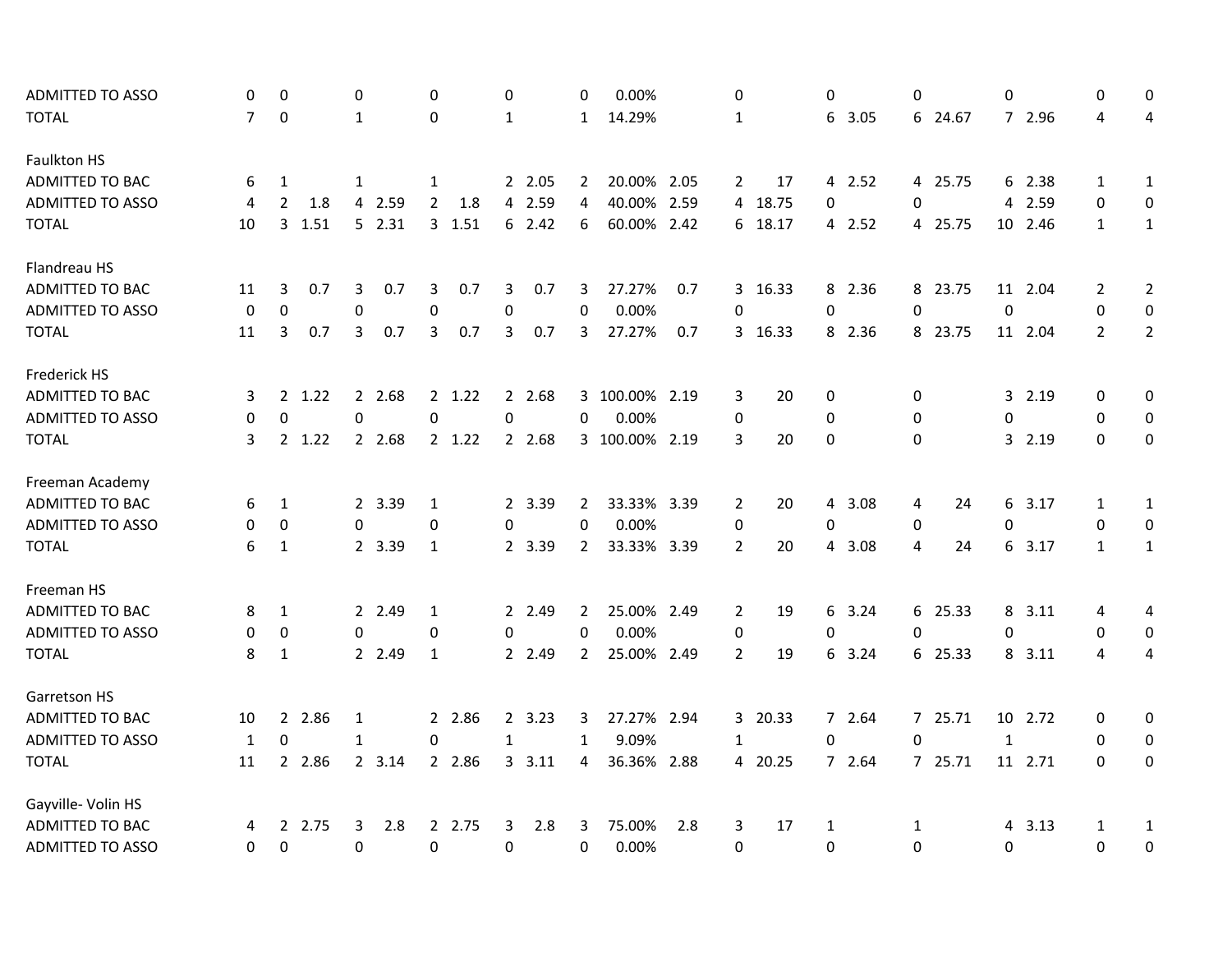| ADMITTED TO ASSO        | 0                | 0                |        | 0            |        | $\Omega$         |          | 0            |         | 0              | 0.00%          |     | 0              |         | 0                |        | $\Omega$ |         | 0                |         | 0              | $\mathbf{0}$     |
|-------------------------|------------------|------------------|--------|--------------|--------|------------------|----------|--------------|---------|----------------|----------------|-----|----------------|---------|------------------|--------|----------|---------|------------------|---------|----------------|------------------|
| <b>TOTAL</b>            | $\overline{7}$   | $\mathbf 0$      |        | 1            |        | 0                |          | $\mathbf{1}$ |         | $\mathbf{1}$   | 14.29%         |     | $\mathbf{1}$   |         | 6                | 3.05   |          | 6 24.67 |                  | 7 2.96  | 4              | 4                |
| Faulkton HS             |                  |                  |        |              |        |                  |          |              |         |                |                |     |                |         |                  |        |          |         |                  |         |                |                  |
| <b>ADMITTED TO BAC</b>  | 6                | 1                |        | 1            |        | 1                |          |              | 2 2.05  | $\overline{2}$ | 20.00% 2.05    |     | $\overline{2}$ | 17      |                  | 4 2.52 |          | 4 25.75 |                  | 6 2.38  | $\mathbf{1}$   | $\mathbf{1}$     |
| <b>ADMITTED TO ASSO</b> | 4                | $\overline{2}$   | 1.8    |              | 4 2.59 | $\overline{2}$   | 1.8      |              | 4 2.59  | 4              | 40.00% 2.59    |     | 4              | 18.75   | 0                |        | 0        |         |                  | 4 2.59  | 0              | 0                |
| <b>TOTAL</b>            | 10               | 3                | 1.51   |              | 52.31  |                  | 3, 1.51  |              | 62.42   | 6              | 60.00% 2.42    |     | 6              | 18.17   |                  | 4 2.52 |          | 4 25.75 |                  | 10 2.46 | $\mathbf{1}$   | $\mathbf{1}$     |
| Flandreau HS            |                  |                  |        |              |        |                  |          |              |         |                |                |     |                |         |                  |        |          |         |                  |         |                |                  |
| <b>ADMITTED TO BAC</b>  | 11               | 3                | 0.7    | 3            | 0.7    | 3                | 0.7      | 3            | 0.7     | 3              | 27.27%         | 0.7 |                | 3 16.33 |                  | 8 2.36 |          | 8 23.75 |                  | 11 2.04 | $\overline{2}$ | $\overline{2}$   |
| <b>ADMITTED TO ASSO</b> | $\boldsymbol{0}$ | $\boldsymbol{0}$ |        | $\mathbf 0$  |        | 0                |          | 0            |         | 0              | 0.00%          |     | 0              |         | $\boldsymbol{0}$ |        | 0        |         | $\boldsymbol{0}$ |         | $\mathbf 0$    | 0                |
| <b>TOTAL</b>            | 11               | 3                | 0.7    | 3            | 0.7    | 3                | 0.7      | 3            | 0.7     | 3              | 27.27%         | 0.7 |                | 3 16.33 |                  | 8 2.36 |          | 8 23.75 |                  | 11 2.04 | $\overline{2}$ | $\overline{2}$   |
| Frederick HS            |                  |                  |        |              |        |                  |          |              |         |                |                |     |                |         |                  |        |          |         |                  |         |                |                  |
| ADMITTED TO BAC         | 3                | $\overline{2}$   | 1.22   |              | 2 2.68 |                  | 2 1.22   |              | 2 2.68  |                | 3 100.00% 2.19 |     | 3              | 20      | $\mathbf 0$      |        | 0        |         |                  | 3 2.19  | 0              | 0                |
| <b>ADMITTED TO ASSO</b> | 0                | $\mathbf 0$      |        | 0            |        | $\boldsymbol{0}$ |          | 0            |         | 0              | 0.00%          |     | $\mathbf 0$    |         | $\mathbf 0$      |        | 0        |         | $\boldsymbol{0}$ |         | 0              | $\boldsymbol{0}$ |
| <b>TOTAL</b>            | 3                |                  | 2 1.22 |              | 2 2.68 |                  | $2$ 1.22 |              | 2 2.68  |                | 3 100.00% 2.19 |     | 3              | 20      | $\mathbf{0}$     |        | $\Omega$ |         |                  | 3 2.19  | $\Omega$       | 0                |
| Freeman Academy         |                  |                  |        |              |        |                  |          |              |         |                |                |     |                |         |                  |        |          |         |                  |         |                |                  |
| ADMITTED TO BAC         | 6                | 1                |        |              | 2 3.39 | 1                |          |              | 2 3.39  | 2              | 33.33% 3.39    |     | 2              | 20      | 4                | 3.08   | 4        | 24      |                  | 6 3.17  | 1              | $\mathbf{1}$     |
| <b>ADMITTED TO ASSO</b> | 0                | $\mathbf 0$      |        | 0            |        | 0                |          | 0            |         | 0              | 0.00%          |     | $\mathbf 0$    |         | 0                |        | 0        |         | 0                |         | 0              | $\boldsymbol{0}$ |
| <b>TOTAL</b>            | 6                | $\mathbf{1}$     |        |              | 2 3.39 | $\mathbf{1}$     |          |              | 2 3.39  | $\overline{2}$ | 33.33% 3.39    |     | $\overline{2}$ | 20      | 4                | 3.08   | 4        | 24      |                  | 6 3.17  | $\mathbf{1}$   | $\mathbf{1}$     |
| Freeman HS              |                  |                  |        |              |        |                  |          |              |         |                |                |     |                |         |                  |        |          |         |                  |         |                |                  |
| ADMITTED TO BAC         | 8                | $\mathbf{1}$     |        |              | 2 2.49 | $\mathbf{1}$     |          |              | 2 2.49  | 2              | 25.00% 2.49    |     | 2              | 19      | 6                | 3.24   |          | 6 25.33 |                  | 8 3.11  | 4              | 4                |
| <b>ADMITTED TO ASSO</b> | 0                | $\pmb{0}$        |        | 0            |        | $\boldsymbol{0}$ |          | $\Omega$     |         | 0              | 0.00%          |     | 0              |         | 0                |        | 0        |         | 0                |         | $\mathbf 0$    | $\mathbf 0$      |
| <b>TOTAL</b>            | 8                | 1                |        |              | 2 2.49 | $\mathbf{1}$     |          |              | 2 2.49  | $\overline{2}$ | 25.00% 2.49    |     | $\overline{2}$ | 19      | 6                | 3.24   |          | 6 25.33 |                  | 8 3.11  | 4              | 4                |
| Garretson HS            |                  |                  |        |              |        |                  |          |              |         |                |                |     |                |         |                  |        |          |         |                  |         |                |                  |
| ADMITTED TO BAC         | 10               |                  | 2 2.86 | 1            |        |                  | 2 2.86   |              | 2, 3.23 | 3              | 27.27% 2.94    |     | 3              | 20.33   |                  | 7 2.64 |          | 7 25.71 |                  | 10 2.72 | 0              | 0                |
| <b>ADMITTED TO ASSO</b> | 1                | $\mathbf 0$      |        | $\mathbf{1}$ |        | 0                |          | $\mathbf{1}$ |         | $\mathbf{1}$   | 9.09%          |     | 1              |         | 0                |        | 0        |         | $\mathbf{1}$     |         | $\mathbf{0}$   | 0                |
| <b>TOTAL</b>            | 11               |                  | 2 2.86 |              | 2 3.14 |                  | 2 2.86   |              | 3.11    | 4              | 36.36% 2.88    |     | 4              | 20.25   |                  | 7 2.64 |          | 7 25.71 |                  | 11 2.71 | $\Omega$       | 0                |
| Gayville- Volin HS      |                  |                  |        |              |        |                  |          |              |         |                |                |     |                |         |                  |        |          |         |                  |         |                |                  |
| ADMITTED TO BAC         | 4                |                  | 2 2.75 | 3            | 2.8    |                  | 2 2.75   | 3            | 2.8     | 3              | 75.00%         | 2.8 | 3              | 17      | 1                |        | 1        |         |                  | 4 3.13  | 1              | 1                |
| <b>ADMITTED TO ASSO</b> | 0                | $\mathbf 0$      |        | 0            |        | 0                |          | 0            |         | 0              | 0.00%          |     | $\Omega$       |         | 0                |        | $\Omega$ |         | 0                |         | 0              | 0                |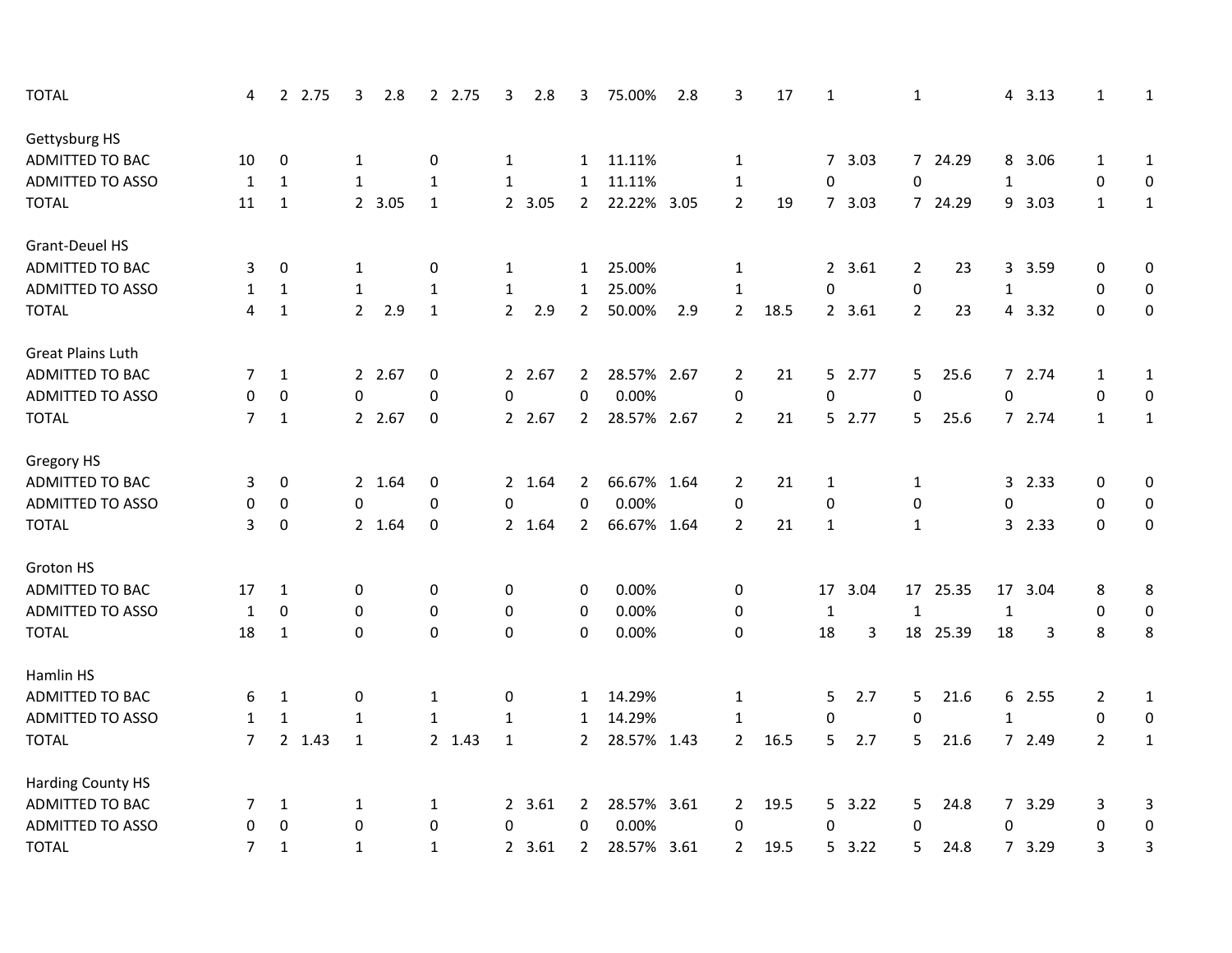| <b>TOTAL</b>             | 4              | 2 2.75       | 3                | 2.8    | 2 2.75       | 3              | 2.8    | 3              | 75.00%      | 2.8  | 3              | 17   | $\mathbf{1}$   |         | $\mathbf{1}$   |          |                | 4 3.13 | 1              | 1                |
|--------------------------|----------------|--------------|------------------|--------|--------------|----------------|--------|----------------|-------------|------|----------------|------|----------------|---------|----------------|----------|----------------|--------|----------------|------------------|
| Gettysburg HS            |                |              |                  |        |              |                |        |                |             |      |                |      |                |         |                |          |                |        |                |                  |
| <b>ADMITTED TO BAC</b>   | 10             | 0            | 1                |        | 0            | $\mathbf{1}$   |        | $\mathbf{1}$   | 11.11%      |      | 1              |      |                | 7, 3.03 |                | 7 24.29  |                | 8 3.06 | 1              | $\mathbf{1}$     |
| <b>ADMITTED TO ASSO</b>  | $\mathbf{1}$   | 1            | 1                |        | 1            | $\mathbf{1}$   |        | 1              | 11.11%      |      | 1              |      | 0              |         | 0              |          | $\mathbf{1}$   |        | 0              | $\pmb{0}$        |
| <b>TOTAL</b>             | 11             | $\mathbf{1}$ |                  | 2 3.05 | $\mathbf{1}$ |                | 2 3.05 | $\overline{2}$ | 22.22% 3.05 |      | $\overline{2}$ | 19   |                | 7 3.03  |                | 7 24.29  |                | 9 3.03 | $\mathbf{1}$   | $\mathbf{1}$     |
| Grant-Deuel HS           |                |              |                  |        |              |                |        |                |             |      |                |      |                |         |                |          |                |        |                |                  |
| ADMITTED TO BAC          | 3              | 0            | 1                |        | 0            | $\mathbf{1}$   |        | $\mathbf{1}$   | 25.00%      |      | $\mathbf{1}$   |      |                | 2 3.61  | $\overline{2}$ | 23       | 3              | 3.59   | 0              | $\pmb{0}$        |
| <b>ADMITTED TO ASSO</b>  | $\mathbf{1}$   | $\mathbf{1}$ | $\mathbf{1}$     |        | $\mathbf{1}$ | $\mathbf{1}$   |        | $\mathbf{1}$   | 25.00%      |      | $\mathbf{1}$   |      | $\mathbf 0$    |         | 0              |          | $\mathbf{1}$   |        | 0              | 0                |
| <b>TOTAL</b>             | 4              | $\mathbf{1}$ | $\overline{2}$   | 2.9    | $\mathbf{1}$ | $\overline{2}$ | 2.9    | $\overline{2}$ | 50.00%      | 2.9  | $\overline{2}$ | 18.5 |                | 2 3.61  | $\overline{2}$ | 23       | $\overline{4}$ | 3.32   | $\mathbf 0$    | $\boldsymbol{0}$ |
| <b>Great Plains Luth</b> |                |              |                  |        |              |                |        |                |             |      |                |      |                |         |                |          |                |        |                |                  |
| <b>ADMITTED TO BAC</b>   | 7              | 1            |                  | 2 2.67 | 0            |                | 2 2.67 | $\overline{2}$ | 28.57% 2.67 |      | 2              | 21   |                | 5 2.77  | 5              | 25.6     |                | 7 2.74 | 1              | 1                |
| <b>ADMITTED TO ASSO</b>  | 0              | 0            | 0                |        | 0            | $\pmb{0}$      |        | 0              | 0.00%       |      | 0              |      | 0              |         | 0              |          | 0              |        | $\mathbf 0$    | $\pmb{0}$        |
| <b>TOTAL</b>             | $\overline{7}$ | $\mathbf{1}$ |                  | 2 2.67 | $\pmb{0}$    |                | 2 2.67 | $\overline{2}$ | 28.57% 2.67 |      | $\overline{2}$ | 21   |                | 5 2.77  | 5              | 25.6     |                | 7 2.74 | $\mathbf{1}$   | $\mathbf 1$      |
| Gregory HS               |                |              |                  |        |              |                |        |                |             |      |                |      |                |         |                |          |                |        |                |                  |
| ADMITTED TO BAC          | 3              | 0            |                  | 2 1.64 | 0            |                | 2 1.64 | $\overline{2}$ | 66.67% 1.64 |      | 2              | 21   | 1              |         | $\mathbf{1}$   |          | $\mathbf{3}$   | 2.33   | 0              | 0                |
| <b>ADMITTED TO ASSO</b>  | 0              | 0            | 0                |        | 0            | $\mathbf 0$    |        | 0              | 0.00%       |      | 0              |      | 0              |         | 0              |          | $\mathbf 0$    |        | 0              | $\mathbf 0$      |
| <b>TOTAL</b>             | 3              | 0            |                  | 2 1.64 | 0            |                | 2 1.64 | $\overline{2}$ | 66.67% 1.64 |      | $\overline{2}$ | 21   | $\mathbf{1}$   |         | $\mathbf{1}$   |          | 3 <sup>1</sup> | 2.33   | $\mathbf{0}$   | $\pmb{0}$        |
| Groton HS                |                |              |                  |        |              |                |        |                |             |      |                |      |                |         |                |          |                |        |                |                  |
| <b>ADMITTED TO BAC</b>   | 17             | $\mathbf{1}$ | 0                |        | 0            | 0              |        | 0              | 0.00%       |      | 0              |      | 17             | 3.04    |                | 17 25.35 | 17             | 3.04   | 8              | 8                |
| <b>ADMITTED TO ASSO</b>  | 1              | 0            | $\boldsymbol{0}$ |        | $\pmb{0}$    | 0              |        | 0              | 0.00%       |      | 0              |      | $\mathbf{1}$   |         | $\mathbf{1}$   |          | $\mathbf{1}$   |        | 0              | 0                |
| <b>TOTAL</b>             | 18             | $\mathbf{1}$ | 0                |        | 0            | 0              |        | $\Omega$       | 0.00%       |      | 0              |      | 18             | 3       |                | 18 25.39 | 18             | 3      | 8              | 8                |
| Hamlin HS                |                |              |                  |        |              |                |        |                |             |      |                |      |                |         |                |          |                |        |                |                  |
| ADMITTED TO BAC          | 6              | 1            | 0                |        | 1            | 0              |        | 1              | 14.29%      |      | $\mathbf{1}$   |      | 5              | 2.7     | 5              | 21.6     |                | 6 2.55 | $\overline{2}$ | 1                |
| <b>ADMITTED TO ASSO</b>  | $\mathbf{1}$   | $\mathbf{1}$ | $\mathbf{1}$     |        | $\mathbf{1}$ | $\mathbf{1}$   |        | $\mathbf{1}$   | 14.29%      |      | $\mathbf{1}$   |      | 0              |         | 0              |          | $\mathbf{1}$   |        | 0              | $\pmb{0}$        |
| <b>TOTAL</b>             | $\overline{7}$ | 2 1.43       | $\mathbf{1}$     |        | 2 1.43       | $\mathbf{1}$   |        | $\overline{2}$ | 28.57%      | 1.43 | $\overline{2}$ | 16.5 | 5              | 2.7     | 5              | 21.6     |                | 7 2.49 | $\overline{2}$ | $\mathbf{1}$     |
| <b>Harding County HS</b> |                |              |                  |        |              |                |        |                |             |      |                |      |                |         |                |          |                |        |                |                  |
| <b>ADMITTED TO BAC</b>   | 7              | 1            | 1                |        | 1            |                | 2 3.61 | $\overline{2}$ | 28.57% 3.61 |      | $\overline{2}$ | 19.5 |                | 5 3.22  | 5              | 24.8     |                | 7 3.29 | 3              | 3                |
| <b>ADMITTED TO ASSO</b>  | 0              | 0            | 0                |        | 0            | 0              |        | 0              | 0.00%       |      | 0              |      | 0              |         | $\Omega$       |          | 0              |        | 0              | 0                |
| <b>TOTAL</b>             | 7              | $\mathbf{1}$ | $\mathbf{1}$     |        | $\mathbf{1}$ |                | 2 3.61 | $\overline{2}$ | 28.57% 3.61 |      | 2              | 19.5 | 5 <sub>1</sub> | 3.22    | 5              | 24.8     |                | 7 3.29 | 3              | 3                |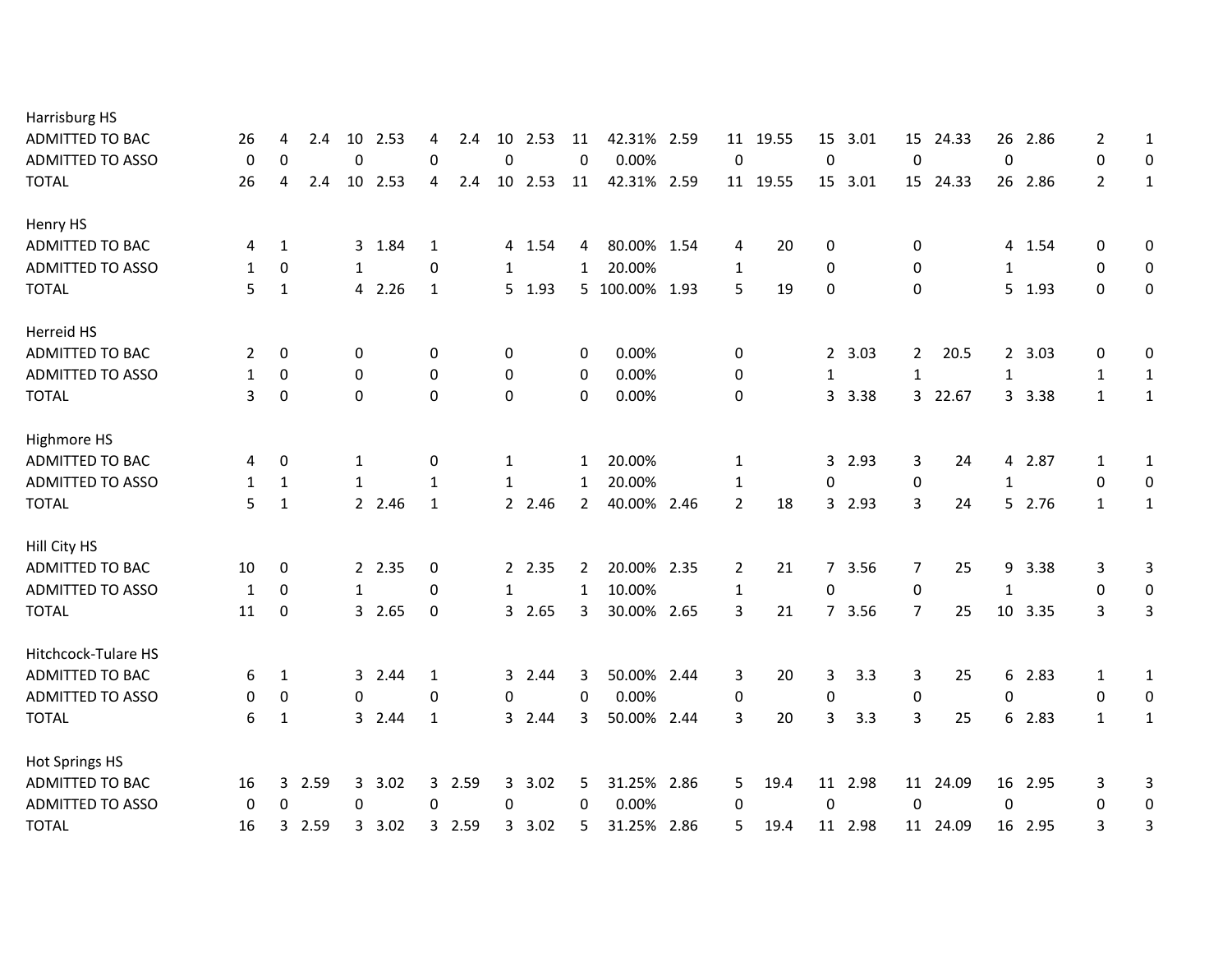| Harrisburg HS              |              |              |        |                  |         |              |        |              |         |                |                |      |                |          |              |         |                |          |                |         |                |                  |
|----------------------------|--------------|--------------|--------|------------------|---------|--------------|--------|--------------|---------|----------------|----------------|------|----------------|----------|--------------|---------|----------------|----------|----------------|---------|----------------|------------------|
| ADMITTED TO BAC            | 26           | 4            | 2.4    | 10               | 2.53    | 4            | 2.4    | 10           | 2.53    | 11             | 42.31% 2.59    |      | 11             | 19.55    | 15           | 3.01    | 15             | 24.33    | 26             | 2.86    | 2              | 1                |
| <b>ADMITTED TO ASSO</b>    | 0            | 0            |        | 0                |         | $\Omega$     |        | $\mathbf 0$  |         | $\mathbf 0$    | 0.00%          |      | $\mathbf 0$    |          | $\pmb{0}$    |         | $\mathbf 0$    |          | $\mathbf 0$    |         | 0              | $\mathbf 0$      |
| <b>TOTAL</b>               | 26           | 4            | 2.4    |                  | 10 2.53 | 4            | 2.4    |              | 10 2.53 | 11             | 42.31% 2.59    |      |                | 11 19.55 |              | 15 3.01 |                | 15 24.33 |                | 26 2.86 | $\overline{2}$ | $\mathbf{1}$     |
| Henry HS                   |              |              |        |                  |         |              |        |              |         |                |                |      |                |          |              |         |                |          |                |         |                |                  |
| ADMITTED TO BAC            | 4            | 1            |        |                  | 3 1.84  | 1            |        |              | 4 1.54  | 4              | 80.00% 1.54    |      | 4              | 20       | 0            |         | 0              |          |                | 4 1.54  | 0              | 0                |
| <b>ADMITTED TO ASSO</b>    | $\mathbf{1}$ | 0            |        | $\mathbf{1}$     |         | 0            |        | $\mathbf{1}$ |         | $\mathbf{1}$   | 20.00%         |      | $\mathbf{1}$   |          | 0            |         | $\mathbf 0$    |          | $\mathbf{1}$   |         | 0              | $\mathbf 0$      |
| <b>TOTAL</b>               | 5            | 1            |        |                  | 4 2.26  | 1            |        |              | 5 1.93  |                | 5 100.00% 1.93 |      | 5              | 19       | 0            |         | $\Omega$       |          |                | 5 1.93  | $\Omega$       | 0                |
| Herreid HS                 |              |              |        |                  |         |              |        |              |         |                |                |      |                |          |              |         |                |          |                |         |                |                  |
| <b>ADMITTED TO BAC</b>     | 2            | 0            |        | 0                |         | 0            |        | 0            |         | 0              | 0.00%          |      | 0              |          | $\mathbf{2}$ | 3.03    | $\mathbf{2}$   | 20.5     |                | 2, 3.03 | 0              | 0                |
| <b>ADMITTED TO ASSO</b>    | $\mathbf{1}$ | 0            |        | $\boldsymbol{0}$ |         | 0            |        | 0            |         | 0              | 0.00%          |      | 0              |          | 1            |         | $\mathbf{1}$   |          | $\mathbf{1}$   |         | 1              | $\mathbf{1}$     |
| <b>TOTAL</b>               | 3            | 0            |        | 0                |         | $\Omega$     |        | 0            |         | $\mathbf 0$    | 0.00%          |      | 0              |          | 3            | 3.38    | $\mathbf{3}$   | 22.67    | $\mathbf{3}$   | 3.38    | $\mathbf{1}$   | $\mathbf{1}$     |
| Highmore HS                |              |              |        |                  |         |              |        |              |         |                |                |      |                |          |              |         |                |          |                |         |                |                  |
| ADMITTED TO BAC            | 4            | 0            |        | 1                |         | 0            |        | 1            |         | $\mathbf{1}$   | 20.00%         |      | 1              |          | 3            | 2.93    | 3              | 24       |                | 4 2.87  | 1              | $\mathbf{1}$     |
| <b>ADMITTED TO ASSO</b>    | $\mathbf{1}$ | $\mathbf{1}$ |        | $\mathbf{1}$     |         | 1            |        | $\mathbf{1}$ |         | 1              | 20.00%         |      | $\mathbf{1}$   |          | 0            |         | 0              |          | $\mathbf{1}$   |         | 0              | $\mathbf 0$      |
| <b>TOTAL</b>               | 5            | 1            |        |                  | 2 2.46  | $\mathbf{1}$ |        |              | 2 2.46  | $\overline{2}$ | 40.00% 2.46    |      | $\overline{2}$ | 18       | 3            | 2.93    | 3              | 24       | 5 <sup>1</sup> | 2.76    | $\mathbf{1}$   | $\mathbf{1}$     |
| Hill City HS               |              |              |        |                  |         |              |        |              |         |                |                |      |                |          |              |         |                |          |                |         |                |                  |
| ADMITTED TO BAC            | 10           | 0            |        |                  | 2 2.35  | 0            |        |              | 2 2.35  | 2              | 20.00% 2.35    |      | 2              | 21       |              | 7 3.56  | 7              | 25       | 9              | 3.38    | 3              | 3                |
| <b>ADMITTED TO ASSO</b>    | 1            | 0            |        | 1                |         | 0            |        | 1            |         | 1              | 10.00%         |      | $\mathbf{1}$   |          | $\mathbf 0$  |         | $\pmb{0}$      |          | 1              |         | 0              | 0                |
| <b>TOTAL</b>               | 11           | 0            |        |                  | 3 2.65  | 0            |        | 3            | 2.65    | 3              | 30.00% 2.65    |      | 3              | 21       | $7^{\circ}$  | 3.56    | $\overline{7}$ | 25       | 10             | 3.35    | 3              | 3                |
| <b>Hitchcock-Tulare HS</b> |              |              |        |                  |         |              |        |              |         |                |                |      |                |          |              |         |                |          |                |         |                |                  |
| ADMITTED TO BAC            | 6            | $\mathbf{1}$ |        |                  | 3 2.44  | 1            |        |              | 3 2.44  | 3              | 50.00% 2.44    |      | 3              | 20       | 3            | 3.3     | 3              | 25       |                | 6 2.83  | 1              | $\mathbf{1}$     |
| <b>ADMITTED TO ASSO</b>    | 0            | 0            |        | 0                |         | 0            |        | 0            |         | $\mathbf 0$    | 0.00%          |      | 0              |          | $\mathbf 0$  |         | 0              |          | $\Omega$       |         | 0              | $\boldsymbol{0}$ |
| <b>TOTAL</b>               | 6            | $\mathbf{1}$ |        |                  | 3 2.44  | 1            |        |              | 3 2.44  | 3              | 50.00% 2.44    |      | 3              | 20       | 3            | 3.3     | 3              | 25       |                | 6 2.83  | $\mathbf{1}$   | $\mathbf{1}$     |
| <b>Hot Springs HS</b>      |              |              |        |                  |         |              |        |              |         |                |                |      |                |          |              |         |                |          |                |         |                |                  |
| <b>ADMITTED TO BAC</b>     | 16           |              | 3 2.59 | 3                | 3.02    |              | 3 2.59 |              | 3 3.02  | 5.             | 31.25% 2.86    |      | 5              | 19.4     |              | 11 2.98 |                | 11 24.09 |                | 16 2.95 | 3              | 3                |
| <b>ADMITTED TO ASSO</b>    | 0            | 0            |        | 0                |         | 0            |        | 0            |         | 0              | 0.00%          |      | 0              |          | $\mathbf 0$  |         | 0              |          | $\mathbf 0$    |         | 0              | $\boldsymbol{0}$ |
| <b>TOTAL</b>               | 16           | 3            | 2.59   |                  | 3 3.02  |              | 3 2.59 |              | 3 3.02  | 5              | 31.25%         | 2.86 | 5              | 19.4     | 11           | 2.98    |                | 11 24.09 |                | 16 2.95 | 3              | 3                |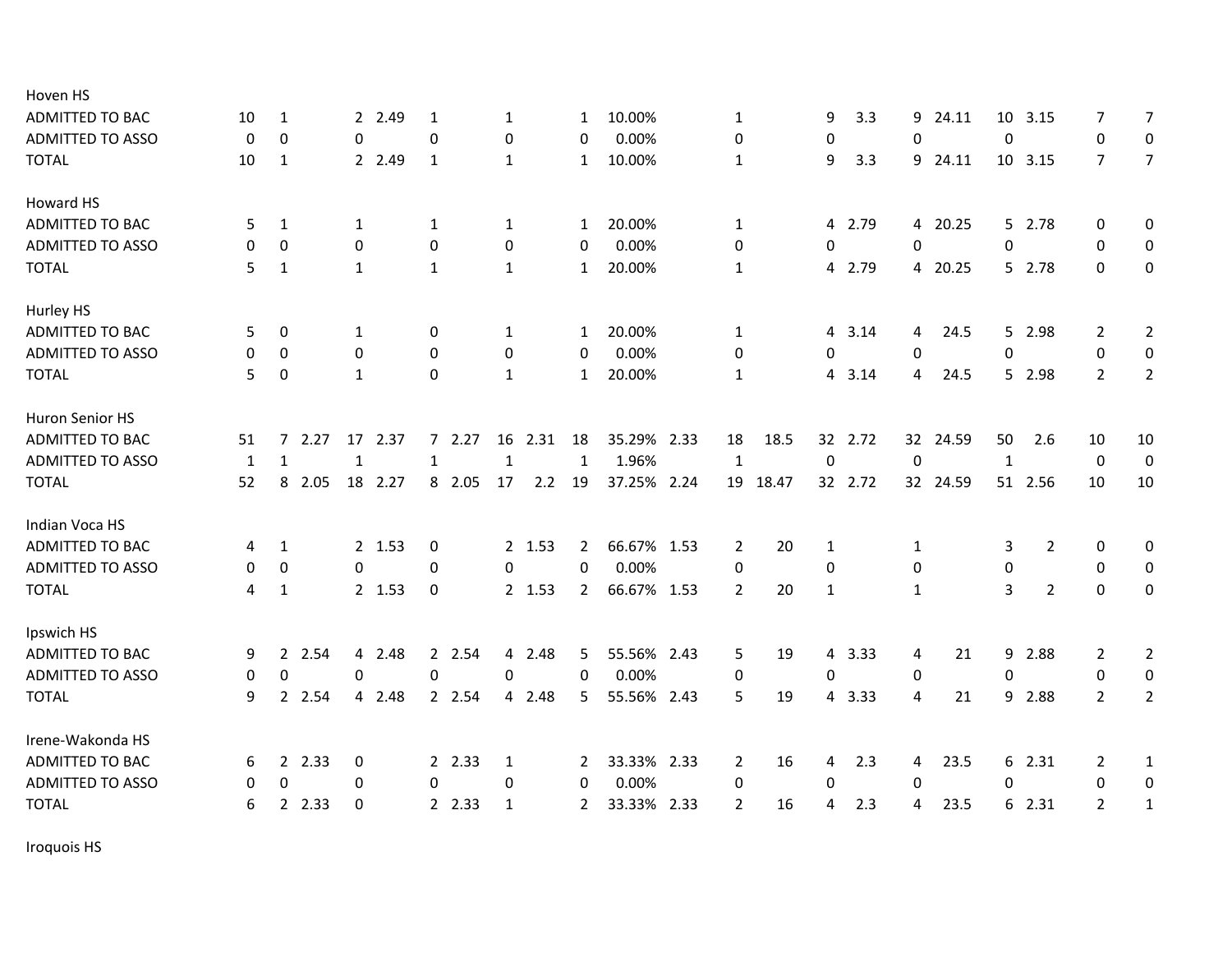| Hoven HS                |          |              |        |              |         |              |        |              |        |                |             |              |       |                  |         |              |          |                  |                |                |                |
|-------------------------|----------|--------------|--------|--------------|---------|--------------|--------|--------------|--------|----------------|-------------|--------------|-------|------------------|---------|--------------|----------|------------------|----------------|----------------|----------------|
| <b>ADMITTED TO BAC</b>  | 10       | 1            |        |              | 2 2.49  | 1            |        | 1            |        | 1              | 10.00%      | 1            |       | 9                | 3.3     | 9            | 24.11    | 10               | 3.15           | 7              | 7              |
| <b>ADMITTED TO ASSO</b> | 0        | 0            |        | 0            |         | $\mathbf 0$  |        | 0            |        | 0              | 0.00%       | 0            |       | 0                |         | 0            |          | 0                |                | 0              | 0              |
| <b>TOTAL</b>            | 10       | 1            |        |              | 2 2.49  | 1            |        | $\mathbf{1}$ |        | 1              | 10.00%      | $\mathbf{1}$ |       | 9                | 3.3     |              | 9 24.11  |                  | 10 3.15        | $\overline{7}$ | $\overline{7}$ |
| Howard HS               |          |              |        |              |         |              |        |              |        |                |             |              |       |                  |         |              |          |                  |                |                |                |
| <b>ADMITTED TO BAC</b>  | 5        | $\mathbf{1}$ |        | $\mathbf{1}$ |         | 1            |        | $\mathbf{1}$ |        | 1              | 20.00%      | $\mathbf{1}$ |       | 4                | 2.79    |              | 4 20.25  |                  | 5 2.78         | $\mathbf{0}$   | 0              |
| <b>ADMITTED TO ASSO</b> | 0        | 0            |        | 0            |         | 0            |        | 0            |        | 0              | 0.00%       | 0            |       | 0                |         | 0            |          | $\pmb{0}$        |                | $\mathbf{0}$   | $\mathbf 0$    |
| <b>TOTAL</b>            | 5        | 1            |        | $\mathbf{1}$ |         | 1            |        | $\mathbf{1}$ |        | $\mathbf{1}$   | 20.00%      | $\mathbf{1}$ |       | 4                | 2.79    |              | 4 20.25  |                  | 5 2.78         | 0              | $\pmb{0}$      |
| Hurley HS               |          |              |        |              |         |              |        |              |        |                |             |              |       |                  |         |              |          |                  |                |                |                |
| ADMITTED TO BAC         | 5        | 0            |        | 1            |         | 0            |        | $\mathbf{1}$ |        | 1              | 20.00%      | $\mathbf{1}$ |       | 4                | 3.14    | 4            | 24.5     | 5                | 2.98           | 2              | $\overline{2}$ |
| <b>ADMITTED TO ASSO</b> | 0        | 0            |        | 0            |         | 0            |        | 0            |        | $\Omega$       | 0.00%       | 0            |       | 0                |         | $\mathbf 0$  |          | $\mathbf 0$      |                | 0              | $\mathbf 0$    |
| <b>TOTAL</b>            | 5        | 0            |        | $\mathbf{1}$ |         | $\Omega$     |        | $\mathbf{1}$ |        | $\mathbf{1}$   | 20.00%      | $\mathbf{1}$ |       | 4                | 3.14    | 4            | 24.5     |                  | 5 2.98         | $\overline{2}$ | $\overline{2}$ |
| Huron Senior HS         |          |              |        |              |         |              |        |              |        |                |             |              |       |                  |         |              |          |                  |                |                |                |
| ADMITTED TO BAC         | 51       |              | 72.27  | 17           | 2.37    |              | 72.27  | 16           | 2.31   | 18             | 35.29% 2.33 | 18           | 18.5  |                  | 32 2.72 |              | 32 24.59 | 50               | 2.6            | 10             | 10             |
| <b>ADMITTED TO ASSO</b> | 1        | $\mathbf{1}$ |        | $\mathbf{1}$ |         | $\mathbf{1}$ |        | $\mathbf{1}$ |        | 1              | 1.96%       | $\mathbf{1}$ |       | $\boldsymbol{0}$ |         | $\mathbf 0$  |          | $\mathbf{1}$     |                | 0              | 0              |
| <b>TOTAL</b>            | 52       | 8            | 2.05   |              | 18 2.27 |              | 8 2.05 | 17           | 2.2    | 19             | 37.25% 2.24 | 19           | 18.47 |                  | 32 2.72 |              | 32 24.59 |                  | 51 2.56        | 10             | 10             |
| Indian Voca HS          |          |              |        |              |         |              |        |              |        |                |             |              |       |                  |         |              |          |                  |                |                |                |
| ADMITTED TO BAC         | 4        | $\mathbf{1}$ |        |              | 2 1.53  | 0            |        |              | 2 1.53 | $\overline{2}$ | 66.67% 1.53 | 2            | 20    | 1                |         | $\mathbf{1}$ |          | 3                | 2              | 0              | 0              |
| <b>ADMITTED TO ASSO</b> | 0        | 0            |        | $\Omega$     |         | 0            |        | 0            |        | $\Omega$       | 0.00%       | 0            |       | 0                |         | $\mathbf 0$  |          | $\boldsymbol{0}$ |                | $\mathbf 0$    | 0              |
| <b>TOTAL</b>            | 4        | $\mathbf{1}$ |        |              | 2 1.53  | 0            |        |              | 2 1.53 | 2              | 66.67% 1.53 | 2            | 20    | $\mathbf{1}$     |         | $\mathbf{1}$ |          | 3                | $\overline{2}$ | $\Omega$       | 0              |
| Ipswich HS              |          |              |        |              |         |              |        |              |        |                |             |              |       |                  |         |              |          |                  |                |                |                |
| <b>ADMITTED TO BAC</b>  | 9        |              | 2 2.54 |              | 4 2.48  |              | 2 2.54 |              | 4 2.48 | 5              | 55.56% 2.43 | 5            | 19    | 4                | 3.33    | 4            | 21       | 9                | 2.88           | 2              | $\overline{2}$ |
| <b>ADMITTED TO ASSO</b> | 0        | 0            |        | 0            |         | $\pmb{0}$    |        | 0            |        | $\mathbf 0$    | 0.00%       | 0            |       | 0                |         | 0            |          | $\pmb{0}$        |                | 0              | $\mathbf 0$    |
| <b>TOTAL</b>            | 9        |              | 2 2.54 |              | 4 2.48  |              | 2 2.54 | 4            | 2.48   | 5              | 55.56% 2.43 | 5            | 19    | 4                | 3.33    | 4            | 21       | 9                | 2.88           | $\overline{2}$ | $\overline{2}$ |
| Irene-Wakonda HS        |          |              |        |              |         |              |        |              |        |                |             |              |       |                  |         |              |          |                  |                |                |                |
| <b>ADMITTED TO BAC</b>  | 6        |              | 2 2.33 | 0            |         |              | 2 2.33 | $\mathbf{1}$ |        | 2              | 33.33% 2.33 | 2            | 16    | 4                | 2.3     | 4            | 23.5     |                  | 6 2.31         | 2              | $\mathbf{1}$   |
| <b>ADMITTED TO ASSO</b> | $\Omega$ | 0            |        | 0            |         | 0            |        | 0            |        | 0              | 0.00%       | 0            |       | 0                |         | 0            |          | $\Omega$         |                | $\mathbf 0$    | $\mathbf 0$    |
| <b>TOTAL</b>            | 6        |              | 2 2.33 | $\mathbf 0$  |         |              | 2 2.33 | 1            |        | $\overline{2}$ | 33.33% 2.33 | 2            | 16    | 4                | 2.3     | 4            | 23.5     |                  | 6 2.31         | 2              | $\mathbf{1}$   |
|                         |          |              |        |              |         |              |        |              |        |                |             |              |       |                  |         |              |          |                  |                |                |                |

Iroquois HS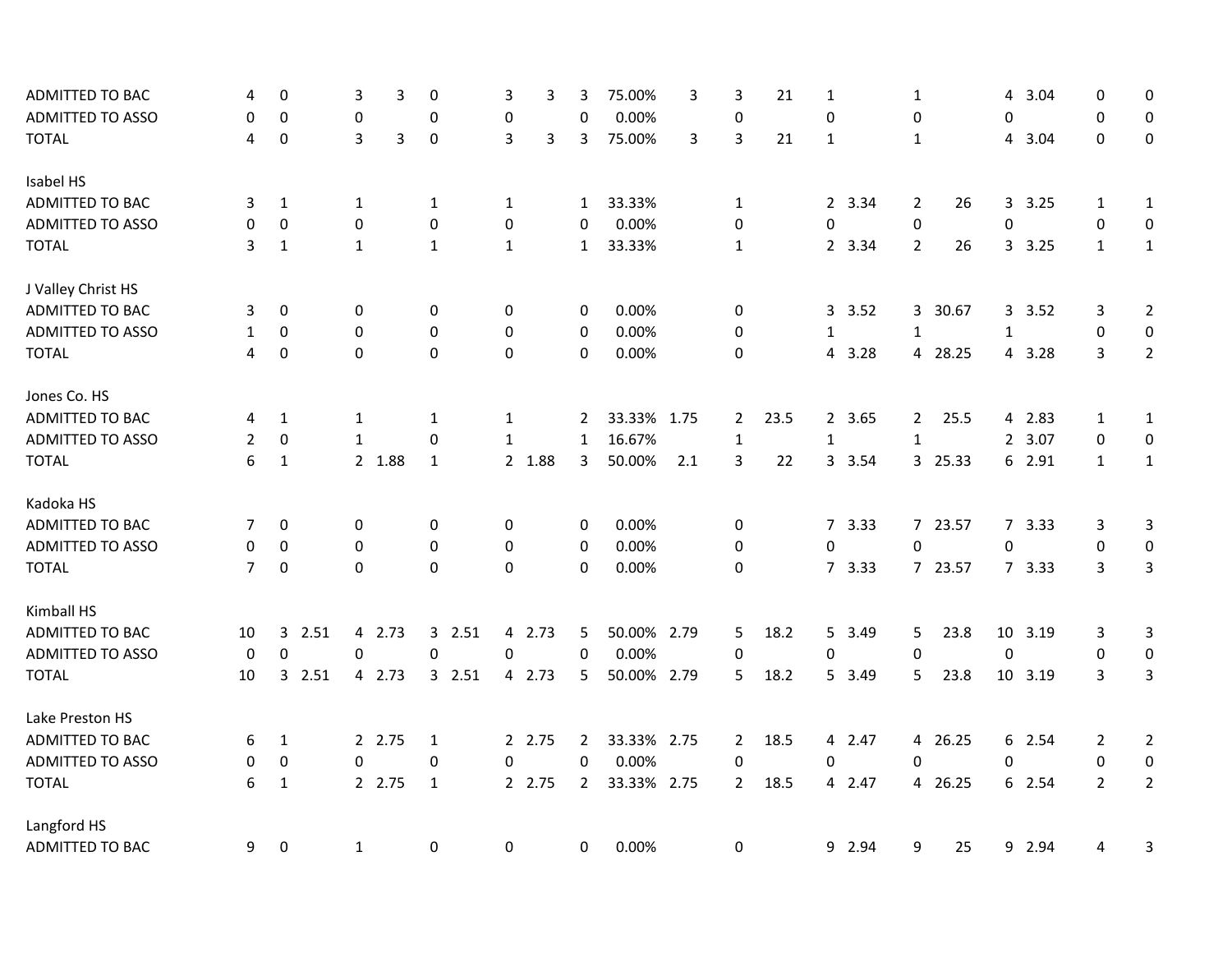| ADMITTED TO BAC         | 4              | 0            | 3                | 3 | 0            | 3                | 3      | 3              | 75.00%      | 3   | 3              | 21   | 1              |        | 1              |         | 4                | 3.04    | 0              | 0                |
|-------------------------|----------------|--------------|------------------|---|--------------|------------------|--------|----------------|-------------|-----|----------------|------|----------------|--------|----------------|---------|------------------|---------|----------------|------------------|
| <b>ADMITTED TO ASSO</b> | 0              | 0            | $\boldsymbol{0}$ |   | 0            | $\pmb{0}$        |        | $\mathbf{0}$   | 0.00%       |     | $\mathbf 0$    |      | $\mathbf 0$    |        | 0              |         | 0                |         | $\mathbf 0$    | $\boldsymbol{0}$ |
| <b>TOTAL</b>            | 4              | 0            | 3                | 3 | $\mathbf 0$  | 3                | 3      | 3              | 75.00%      | 3   | 3              | 21   | 1              |        | $\mathbf{1}$   |         | 4                | 3.04    | $\mathbf{0}$   | $\mathbf 0$      |
| Isabel HS               |                |              |                  |   |              |                  |        |                |             |     |                |      |                |        |                |         |                  |         |                |                  |
| ADMITTED TO BAC         | 3              | $\mathbf{1}$ | 1                |   | 1            | 1                |        | $\mathbf{1}$   | 33.33%      |     | $\mathbf{1}$   |      |                | 2 3.34 | 2              | 26      |                  | 3.25    | $\mathbf{1}$   | $\mathbf{1}$     |
| <b>ADMITTED TO ASSO</b> | $\Omega$       | $\pmb{0}$    | 0                |   | 0            | $\pmb{0}$        |        | 0              | 0.00%       |     | 0              |      | 0              |        | 0              |         | 0                |         | $\pmb{0}$      | $\pmb{0}$        |
| <b>TOTAL</b>            | 3              | $\mathbf{1}$ | $\mathbf{1}$     |   | $\mathbf{1}$ | $\mathbf{1}$     |        | $\mathbf{1}$   | 33.33%      |     | $\mathbf{1}$   |      |                | 2 3.34 | $\overline{2}$ | 26      |                  | 3 3.25  | $\mathbf{1}$   | $\mathbf{1}$     |
| J Valley Christ HS      |                |              |                  |   |              |                  |        |                |             |     |                |      |                |        |                |         |                  |         |                |                  |
| <b>ADMITTED TO BAC</b>  | 3              | 0            | 0                |   | 0            | 0                |        | 0              | 0.00%       |     | 0              |      | 3              | 3.52   |                | 3 30.67 |                  | 3 3.52  | 3              | $\overline{2}$   |
| ADMITTED TO ASSO        | $\mathbf{1}$   | $\mathbf 0$  | $\boldsymbol{0}$ |   | 0            | $\pmb{0}$        |        | 0              | 0.00%       |     | 0              |      | $\mathbf{1}$   |        | $\mathbf 1$    |         | $\mathbf{1}$     |         | $\pmb{0}$      | $\pmb{0}$        |
| <b>TOTAL</b>            | 4              | $\pmb{0}$    | $\pmb{0}$        |   | 0            | $\boldsymbol{0}$ |        | 0              | 0.00%       |     | 0              |      | 4              | 3.28   |                | 4 28.25 |                  | 4 3.28  | 3              | $\overline{2}$   |
| Jones Co. HS            |                |              |                  |   |              |                  |        |                |             |     |                |      |                |        |                |         |                  |         |                |                  |
| ADMITTED TO BAC         | 4              | 1            | 1                |   | 1            | 1                |        | 2              | 33.33% 1.75 |     | $\overline{2}$ | 23.5 |                | 2 3.65 | $\mathbf{2}$   | 25.5    |                  | 4 2.83  | 1              | $\mathbf{1}$     |
| ADMITTED TO ASSO        | 2              | 0            | $\mathbf{1}$     |   | $\Omega$     | $\mathbf{1}$     |        | $\mathbf{1}$   | 16.67%      |     | $\mathbf{1}$   |      | $\mathbf{1}$   |        | $\mathbf{1}$   |         |                  | 2 3.07  | 0              | $\pmb{0}$        |
| <b>TOTAL</b>            | 6              | $\mathbf{1}$ | 2 1.88           |   | $\mathbf{1}$ |                  | 2 1.88 | 3              | 50.00%      | 2.1 | 3              | 22   | $\mathbf{3}$   | 3.54   |                | 3 25.33 |                  | 6 2.91  | $\mathbf{1}$   | $\mathbf{1}$     |
| Kadoka HS               |                |              |                  |   |              |                  |        |                |             |     |                |      |                |        |                |         |                  |         |                |                  |
| ADMITTED TO BAC         | 7              | 0            | 0                |   | 0            | 0                |        | 0              | 0.00%       |     | 0              |      |                | 7 3.33 |                | 7 23.57 |                  | 7 3.33  | 3              | 3                |
| <b>ADMITTED TO ASSO</b> | 0              | 0            | 0                |   | 0            | 0                |        | 0              | 0.00%       |     | 0              |      | $\pmb{0}$      |        | 0              |         | $\boldsymbol{0}$ |         | 0              | 0                |
| <b>TOTAL</b>            | $\overline{7}$ | 0            | $\mathbf 0$      |   | $\Omega$     | 0                |        | 0              | 0.00%       |     | 0              |      |                | 7 3.33 |                | 7 23.57 |                  | 7 3.33  | 3              | 3                |
| Kimball HS              |                |              |                  |   |              |                  |        |                |             |     |                |      |                |        |                |         |                  |         |                |                  |
| ADMITTED TO BAC         | 10             | 2.51<br>3    | 4 2.73           |   | 3 2.51       |                  | 4 2.73 | 5              | 50.00% 2.79 |     | 5              | 18.2 | 5              | 3.49   | 5              | 23.8    | 10               | 3.19    | 3              | 3                |
| ADMITTED TO ASSO        | 0              | $\pmb{0}$    | 0                |   | 0            | $\pmb{0}$        |        | $\mathbf 0$    | 0.00%       |     | 0              |      | 0              |        | 0              |         | $\pmb{0}$        |         | $\pmb{0}$      | $\pmb{0}$        |
| <b>TOTAL</b>            | 10             | 2.51<br>3    | 4 2.73           |   | 3 2.51       |                  | 4 2.73 | 5              | 50.00% 2.79 |     | 5              | 18.2 |                | 5 3.49 | 5              | 23.8    |                  | 10 3.19 | 3              | $\overline{3}$   |
| Lake Preston HS         |                |              |                  |   |              |                  |        |                |             |     |                |      |                |        |                |         |                  |         |                |                  |
| <b>ADMITTED TO BAC</b>  | 6              | 1            | 2 2.75           |   | $\mathbf{1}$ |                  | 2 2.75 | $\mathbf{2}$   | 33.33% 2.75 |     | $\overline{2}$ | 18.5 |                | 4 2.47 |                | 4 26.25 |                  | 6 2.54  | $\overline{2}$ | $\overline{2}$   |
| <b>ADMITTED TO ASSO</b> | 0              | 0            | 0                |   | 0            | 0                |        | 0              | 0.00%       |     | 0              |      | 0              |        | 0              |         | 0                |         | 0              | $\pmb{0}$        |
| <b>TOTAL</b>            | 6              | $\mathbf{1}$ | 2 2.75           |   | 1            |                  | 2 2.75 | $\overline{2}$ | 33.33% 2.75 |     | 2              | 18.5 | $\overline{4}$ | 2.47   |                | 4 26.25 |                  | 6 2.54  | $\overline{2}$ | $\overline{2}$   |
| Langford HS             |                |              |                  |   |              |                  |        |                |             |     |                |      |                |        |                |         |                  |         |                |                  |
| <b>ADMITTED TO BAC</b>  | 9              | $\pmb{0}$    | $\mathbf{1}$     |   | 0            | $\pmb{0}$        |        | 0              | 0.00%       |     | 0              |      | 9              | 2.94   | 9              | 25      | 9                | 2.94    | 4              | 3                |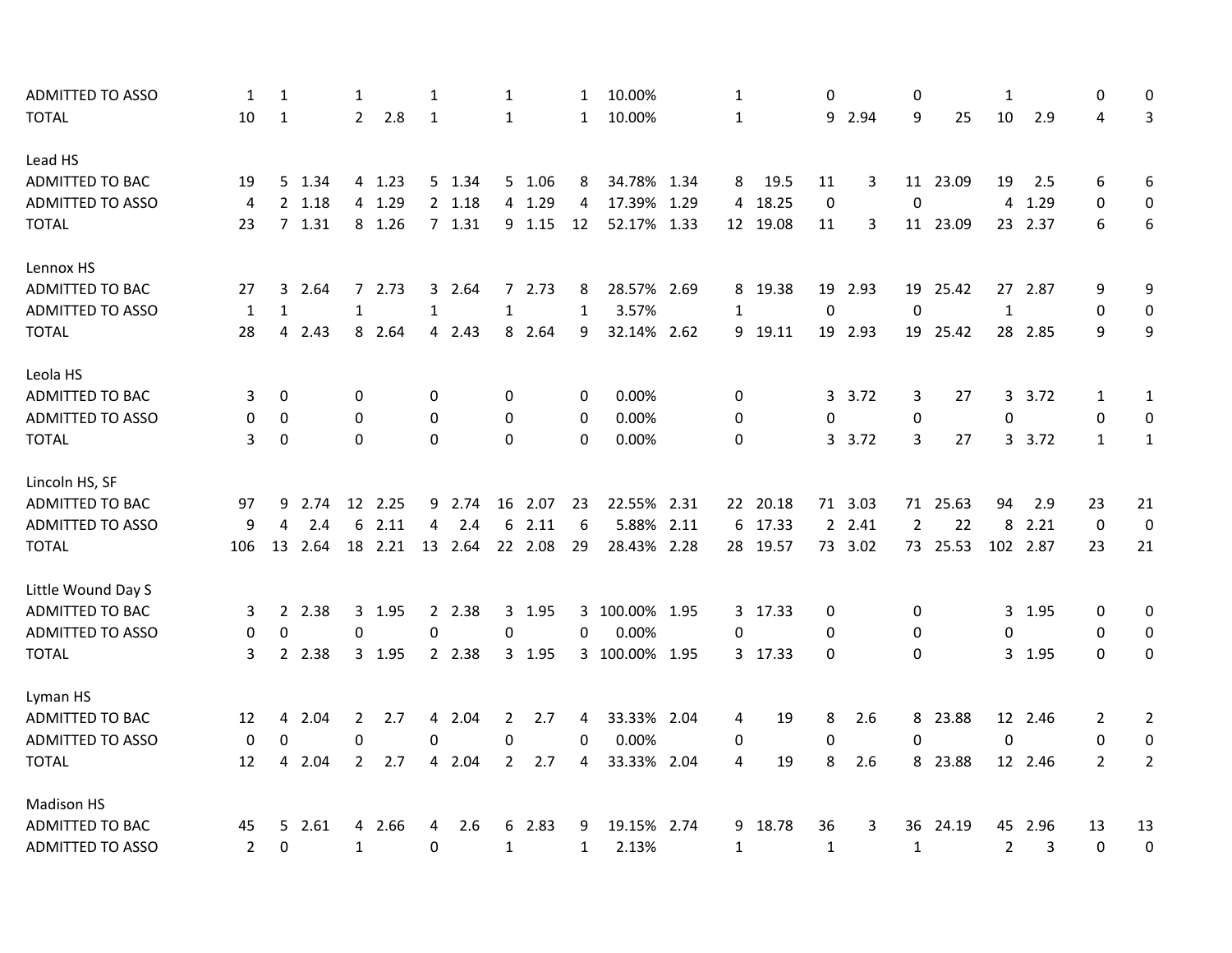| ADMITTED TO ASSO        | 1              | 1              |        | 1              |         | 1            |         | 1              |         | 1            | 10.00%         | $\mathbf{1}$ |          | 0            |         | 0              |          | $\mathbf{1}$ |          | 0              | 0                |
|-------------------------|----------------|----------------|--------|----------------|---------|--------------|---------|----------------|---------|--------------|----------------|--------------|----------|--------------|---------|----------------|----------|--------------|----------|----------------|------------------|
| <b>TOTAL</b>            | 10             | $\mathbf{1}$   |        | $\overline{2}$ | 2.8     | $\mathbf{1}$ |         | 1              |         | $\mathbf{1}$ | 10.00%         | $\mathbf{1}$ |          |              | 9 2.94  | 9              | 25       | 10           | 2.9      | 4              | 3                |
| Lead HS                 |                |                |        |                |         |              |         |                |         |              |                |              |          |              |         |                |          |              |          |                |                  |
| ADMITTED TO BAC         | 19             |                | 5 1.34 |                | 4 1.23  |              | 5 1.34  |                | 5 1.06  | 8            | 34.78% 1.34    | 8            | 19.5     | 11           | 3       |                | 11 23.09 | 19           | 2.5      | 6              | 6                |
| ADMITTED TO ASSO        | 4              |                | 2 1.18 |                | 4 1.29  |              | 2 1.18  |                | 4 1.29  | 4            | 17.39% 1.29    | 4            | 18.25    | $\mathbf 0$  |         | $\mathbf 0$    |          | 4            | 1.29     | $\Omega$       | $\boldsymbol{0}$ |
| <b>TOTAL</b>            | 23             |                | 7 1.31 |                | 8 1.26  |              | 7 1.31  |                | 9 1.15  | 12           | 52.17% 1.33    |              | 12 19.08 | 11           | 3       |                | 11 23.09 |              | 23 2.37  | 6              | 6                |
| Lennox HS               |                |                |        |                |         |              |         |                |         |              |                |              |          |              |         |                |          |              |          |                |                  |
| ADMITTED TO BAC         | 27             | 3              | 2.64   |                | 72.73   |              | 3 2.64  |                | 72.73   | 8            | 28.57% 2.69    | 8            | 19.38    | 19           | 2.93    |                | 19 25.42 |              | 27 2.87  | 9              | 9                |
| <b>ADMITTED TO ASSO</b> | $\mathbf{1}$   | 1              |        | $\mathbf{1}$   |         | $\mathbf{1}$ |         | 1              |         | 1            | 3.57%          | $\mathbf{1}$ |          | $\mathbf 0$  |         | $\mathbf 0$    |          | $\mathbf 1$  |          | 0              | 0                |
| <b>TOTAL</b>            | 28             | $\overline{4}$ | 2.43   |                | 8 2.64  |              | 4 2.43  |                | 8 2.64  | 9            | 32.14% 2.62    |              | 9 19.11  |              | 19 2.93 |                | 19 25.42 |              | 28 2.85  | 9              | 9                |
| Leola HS                |                |                |        |                |         |              |         |                |         |              |                |              |          |              |         |                |          |              |          |                |                  |
| <b>ADMITTED TO BAC</b>  | 3              | 0              |        | 0              |         | 0            |         | 0              |         | 0            | 0.00%          | 0            |          | 3            | 3.72    | 3              | 27       | 3            | 3.72     | 1              | $\mathbf{1}$     |
| <b>ADMITTED TO ASSO</b> | 0              | 0              |        | 0              |         | $\mathbf 0$  |         | 0              |         | 0            | 0.00%          | 0            |          | $\mathbf 0$  |         | 0              |          | $\mathbf 0$  |          | 0              | 0                |
| <b>TOTAL</b>            | 3              | 0              |        | 0              |         | $\Omega$     |         | 0              |         | $\Omega$     | 0.00%          | 0            |          |              | 3 3.72  | 3              | 27       |              | 3 3.72   | $\mathbf{1}$   | $\mathbf{1}$     |
| Lincoln HS, SF          |                |                |        |                |         |              |         |                |         |              |                |              |          |              |         |                |          |              |          |                |                  |
| ADMITTED TO BAC         | 97             | 9              | 2.74   |                | 12 2.25 |              | 9 2.74  |                | 16 2.07 | 23           | 22.55% 2.31    |              | 22 20.18 |              | 71 3.03 |                | 71 25.63 | 94           | 2.9      | 23             | 21               |
| <b>ADMITTED TO ASSO</b> | 9              | 4              | 2.4    | 6              | 2.11    | 4            | 2.4     | 6              | 2.11    | 6            | 5.88% 2.11     | 6            | 17.33    |              | 2 2.41  | $\overline{2}$ | 22       | 8            | 2.21     | $\mathbf 0$    | $\mathbf 0$      |
| <b>TOTAL</b>            | 106            | 13             | 2.64   |                | 18 2.21 |              | 13 2.64 |                | 22 2.08 | 29           | 28.43% 2.28    |              | 28 19.57 |              | 73 3.02 |                | 73 25.53 |              | 102 2.87 | 23             | 21               |
| Little Wound Day S      |                |                |        |                |         |              |         |                |         |              |                |              |          |              |         |                |          |              |          |                |                  |
| ADMITTED TO BAC         | 3              | $2^{\circ}$    | 2.38   | 3              | 1.95    |              | 2 2.38  |                | 3 1.95  |              | 3 100.00% 1.95 | 3            | 17.33    | 0            |         | 0              |          |              | 3 1.95   | 0              | 0                |
| <b>ADMITTED TO ASSO</b> | 0              | $\Omega$       |        | 0              |         | 0            |         | $\mathbf 0$    |         | 0            | 0.00%          | $\Omega$     |          | $\mathbf 0$  |         | 0              |          | $\mathbf 0$  |          | $\Omega$       | $\mathbf 0$      |
| <b>TOTAL</b>            | 3              |                | 2 2.38 |                | 3 1.95  |              | 2 2.38  |                | 3 1.95  |              | 3 100.00% 1.95 |              | 3 17.33  | $\mathbf{0}$ |         | $\Omega$       |          |              | 3 1.95   | 0              | 0                |
| Lyman HS                |                |                |        |                |         |              |         |                |         |              |                |              |          |              |         |                |          |              |          |                |                  |
| ADMITTED TO BAC         | 12             |                | 4 2.04 | 2              | 2.7     |              | 4 2.04  | 2              | 2.7     | 4            | 33.33% 2.04    | 4            | 19       | 8            | 2.6     |                | 8 23.88  |              | 12 2.46  | 2              | $\overline{2}$   |
| <b>ADMITTED TO ASSO</b> | $\mathbf 0$    | 0              |        | 0              |         | 0            |         | 0              |         | $\Omega$     | 0.00%          | 0            |          | 0            |         | $\Omega$       |          | $\mathbf 0$  |          | $\mathbf{0}$   | $\mathbf 0$      |
| <b>TOTAL</b>            | 12             | 4              | 2.04   | $\overline{2}$ | 2.7     |              | 4 2.04  | $\overline{2}$ | 2.7     | 4            | 33.33% 2.04    | 4            | 19       | 8            | 2.6     |                | 8 23.88  |              | 12 2.46  | $\overline{2}$ | $\overline{2}$   |
| <b>Madison HS</b>       |                |                |        |                |         |              |         |                |         |              |                |              |          |              |         |                |          |              |          |                |                  |
| ADMITTED TO BAC         | 45             |                | 5 2.61 |                | 4 2.66  | 4            | 2.6     |                | 6 2.83  | 9            | 19.15% 2.74    | 9            | 18.78    | 36           | 3       | 36             | 24.19    |              | 45 2.96  | 13             | 13               |
| <b>ADMITTED TO ASSO</b> | $\overline{2}$ | $\mathbf 0$    |        | $\mathbf{1}$   |         | 0            |         | $\mathbf{1}$   |         | $\mathbf{1}$ | 2.13%          | $\mathbf{1}$ |          | $\mathbf{1}$ |         | $\mathbf{1}$   |          | 2            | 3        | 0              | $\boldsymbol{0}$ |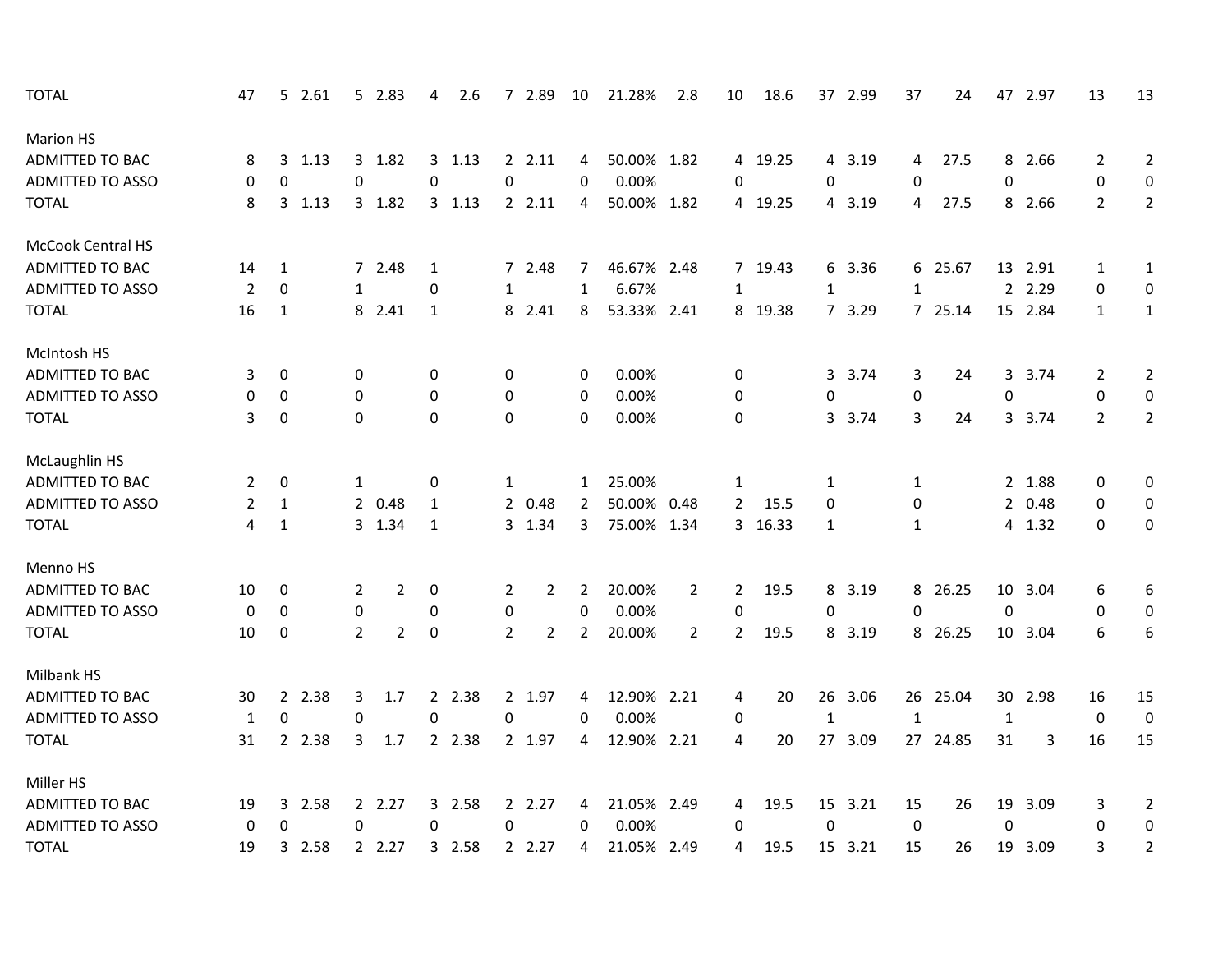| <b>TOTAL</b>            | 47               |              | 5 2.61  |                  | 5 2.83         | 4            | 2.6     |                | 7 2.89         | 10             | 21.28%      | 2.8            | 10             | 18.6    |              | 37 2.99 | 37           | 24       |              | 47 2.97 | 13             | 13             |
|-------------------------|------------------|--------------|---------|------------------|----------------|--------------|---------|----------------|----------------|----------------|-------------|----------------|----------------|---------|--------------|---------|--------------|----------|--------------|---------|----------------|----------------|
| <b>Marion HS</b>        |                  |              |         |                  |                |              |         |                |                |                |             |                |                |         |              |         |              |          |              |         |                |                |
| <b>ADMITTED TO BAC</b>  | 8                |              | 3, 1.13 |                  | 3 1.82         |              | 3, 1.13 |                | 2.11           | 4              | 50.00% 1.82 |                |                | 4 19.25 |              | 4 3.19  | 4            | 27.5     |              | 8 2.66  | 2              | $\overline{2}$ |
| ADMITTED TO ASSO        | 0                | 0            |         | $\mathbf 0$      |                | 0            |         | 0              |                | 0              | 0.00%       |                | 0              |         | $\mathbf 0$  |         | 0            |          | 0            |         | 0              | $\mathbf 0$    |
| <b>TOTAL</b>            | 8                |              | 3, 1.13 |                  | 3 1.82         |              | 3, 1.13 |                | 2.11           | 4              | 50.00% 1.82 |                |                | 4 19.25 |              | 4 3.19  | 4            | 27.5     |              | 8 2.66  | $\overline{2}$ | $\overline{2}$ |
| McCook Central HS       |                  |              |         |                  |                |              |         |                |                |                |             |                |                |         |              |         |              |          |              |         |                |                |
| <b>ADMITTED TO BAC</b>  | 14               | 1            |         |                  | 7 2.48         | 1            |         |                | 7 2.48         | 7              | 46.67% 2.48 |                |                | 7 19.43 | 6            | 3.36    |              | 6 25.67  |              | 13 2.91 | $\mathbf{1}$   | $\mathbf{1}$   |
| <b>ADMITTED TO ASSO</b> | $\overline{2}$   | 0            |         | $\mathbf{1}$     |                | 0            |         | $\mathbf{1}$   |                | $\mathbf{1}$   | 6.67%       |                | $\mathbf{1}$   |         | $\mathbf{1}$ |         | $\mathbf{1}$ |          |              | 2 2.29  | 0              | 0              |
| <b>TOTAL</b>            | 16               | 1            |         |                  | 8 2.41         | 1            |         |                | 8 2.41         | 8              | 53.33% 2.41 |                |                | 8 19.38 |              | 7 3.29  |              | 7 25.14  |              | 15 2.84 | $\mathbf{1}$   | $\mathbf{1}$   |
| McIntosh HS             |                  |              |         |                  |                |              |         |                |                |                |             |                |                |         |              |         |              |          |              |         |                |                |
| ADMITTED TO BAC         | 3                | 0            |         | 0                |                | 0            |         | 0              |                | 0              | 0.00%       |                | 0              |         | 3            | 3.74    | 3            | 24       | 3            | 3.74    | 2              | $\overline{2}$ |
| <b>ADMITTED TO ASSO</b> | 0                | 0            |         | 0                |                | 0            |         | 0              |                | 0              | 0.00%       |                | 0              |         | $\pmb{0}$    |         | $\pmb{0}$    |          | $\pmb{0}$    |         | 0              | $\mathbf 0$    |
| <b>TOTAL</b>            | 3                | 0            |         | $\mathbf 0$      |                | 0            |         | 0              |                | $\mathbf 0$    | 0.00%       |                | 0              |         | 3            | 3.74    | 3            | 24       |              | 3 3.74  | $\overline{2}$ | $\overline{2}$ |
| McLaughlin HS           |                  |              |         |                  |                |              |         |                |                |                |             |                |                |         |              |         |              |          |              |         |                |                |
| ADMITTED TO BAC         | 2                | 0            |         | 1                |                | 0            |         | 1              |                | $\mathbf{1}$   | 25.00%      |                | 1              |         | 1            |         | 1            |          |              | 2 1.88  | 0              | $\pmb{0}$      |
| ADMITTED TO ASSO        | 2                | $\mathbf{1}$ |         |                  | 2 0.48         | 1            |         |                | 2 0.48         | 2              | 50.00% 0.48 |                | $\overline{2}$ | 15.5    | $\Omega$     |         | 0            |          |              | 2 0.48  | 0              | 0              |
| <b>TOTAL</b>            | 4                | $\mathbf{1}$ |         |                  | 3 1.34         | $\mathbf{1}$ |         |                | 3 1.34         | 3              | 75.00% 1.34 |                | 3              | 16.33   | $\mathbf{1}$ |         | $\mathbf{1}$ |          |              | 4 1.32  | $\Omega$       | 0              |
| Menno HS                |                  |              |         |                  |                |              |         |                |                |                |             |                |                |         |              |         |              |          |              |         |                |                |
| <b>ADMITTED TO BAC</b>  | 10               | 0            |         | $\overline{2}$   | $\overline{2}$ | 0            |         | 2              | 2              | 2              | 20.00%      | $\overline{2}$ | $\overline{2}$ | 19.5    | 8            | 3.19    |              | 8 26.25  |              | 10 3.04 | 6              | 6              |
| <b>ADMITTED TO ASSO</b> | $\boldsymbol{0}$ | 0            |         | $\boldsymbol{0}$ |                | 0            |         | 0              |                | 0              | 0.00%       |                | $\mathbf 0$    |         | 0            |         | 0            |          | $\mathbf 0$  |         | 0              | 0              |
| <b>TOTAL</b>            | 10               | 0            |         | $\overline{2}$   | $\overline{2}$ | 0            |         | $\overline{2}$ | $\overline{2}$ | $\overline{2}$ | 20.00%      | $\overline{2}$ | $\overline{2}$ | 19.5    | 8            | 3.19    |              | 8 26.25  |              | 10 3.04 | 6              | 6              |
| Milbank HS              |                  |              |         |                  |                |              |         |                |                |                |             |                |                |         |              |         |              |          |              |         |                |                |
| ADMITTED TO BAC         | 30               |              | 2 2.38  | 3                | 1.7            |              | 2 2.38  |                | 2 1.97         | 4              | 12.90% 2.21 |                | 4              | 20      | 26           | 3.06    |              | 26 25.04 |              | 30 2.98 | 16             | 15             |
| <b>ADMITTED TO ASSO</b> | $\mathbf{1}$     | 0            |         | $\mathbf 0$      |                | 0            |         | 0              |                | 0              | 0.00%       |                | 0              |         | $\mathbf{1}$ |         | $\mathbf{1}$ |          | $\mathbf{1}$ |         | 0              | $\mathbf 0$    |
| <b>TOTAL</b>            | 31               |              | 2 2.38  | 3                | 1.7            |              | 2 2.38  |                | 2 1.97         | 4              | 12.90% 2.21 |                | 4              | 20      |              | 27 3.09 |              | 27 24.85 | 31           | 3       | 16             | 15             |
| Miller HS               |                  |              |         |                  |                |              |         |                |                |                |             |                |                |         |              |         |              |          |              |         |                |                |
| <b>ADMITTED TO BAC</b>  | 19               |              | 3 2.58  |                  | 2 2.27         |              | 3 2.58  |                | 2 2.27         | 4              | 21.05% 2.49 |                | 4              | 19.5    |              | 15 3.21 | 15           | 26       | 19           | 3.09    | 3              | $\overline{2}$ |
| <b>ADMITTED TO ASSO</b> | 0                | 0            |         | 0                |                | 0            |         | 0              |                | 0              | 0.00%       |                | 0              |         | 0            |         | 0            |          | 0            |         | 0              | 0              |
| <b>TOTAL</b>            | 19               |              | 3 2.58  |                  | 2.27           |              | 3 2.58  |                | 2.27           | 4              | 21.05% 2.49 |                | 4              | 19.5    |              | 15 3.21 | 15           | 26       | 19           | 3.09    | 3              | $\overline{2}$ |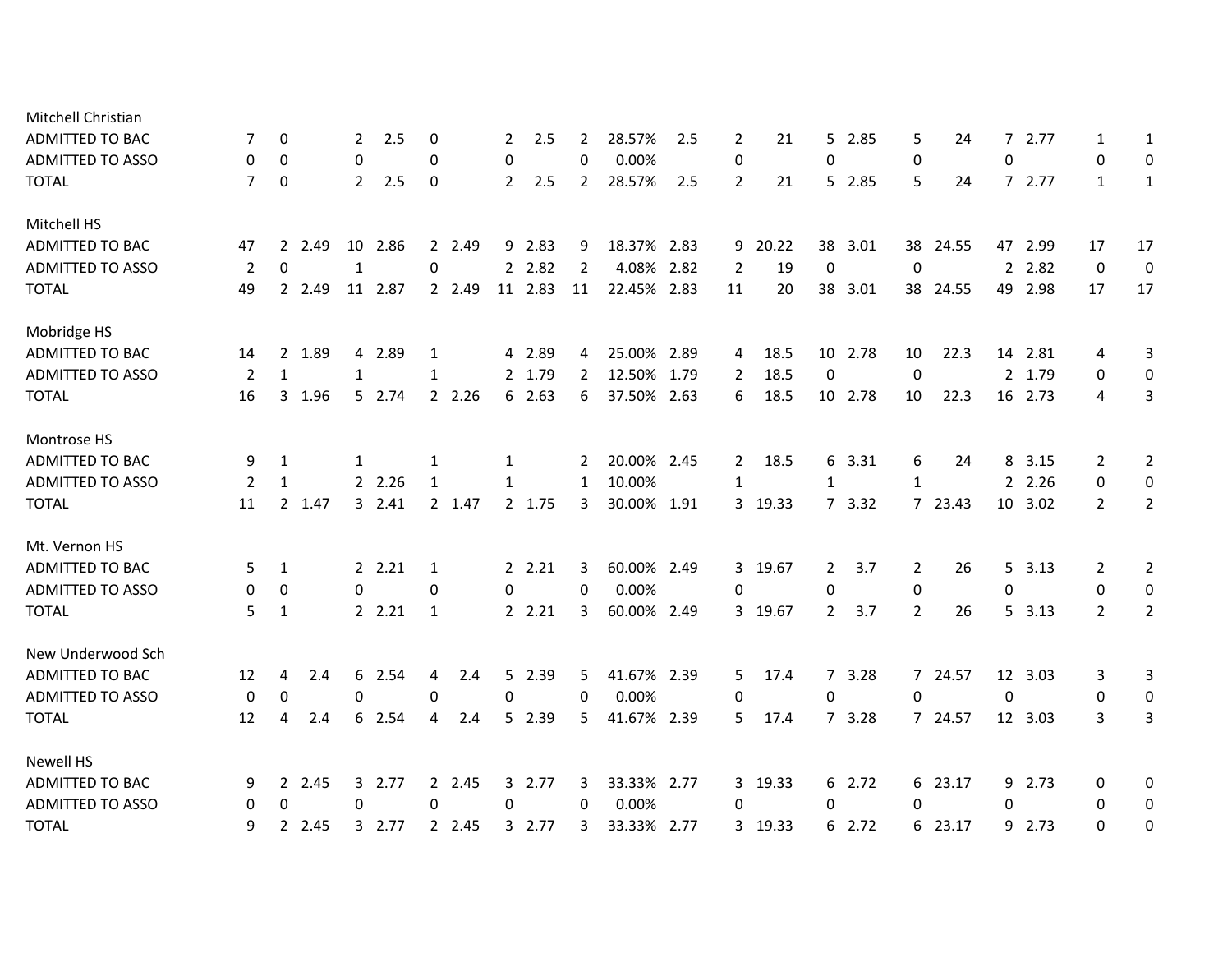| 7              | 0            |      | $\mathbf{2}^{\prime}$                                                   | 2.5  | 0                                                                                                         |     | 2                                                        | 2.5 | 2                                                                                                                           | 28.57% | 2.5 | 2                                                                                                                                                                                                             | 21    |                                                   | 2.85 | 5                                                                                                                                     | 24   |                                                                             | 2.77 | 1                                                                                                                                                     | 1                |
|----------------|--------------|------|-------------------------------------------------------------------------|------|-----------------------------------------------------------------------------------------------------------|-----|----------------------------------------------------------|-----|-----------------------------------------------------------------------------------------------------------------------------|--------|-----|---------------------------------------------------------------------------------------------------------------------------------------------------------------------------------------------------------------|-------|---------------------------------------------------|------|---------------------------------------------------------------------------------------------------------------------------------------|------|-----------------------------------------------------------------------------|------|-------------------------------------------------------------------------------------------------------------------------------------------------------|------------------|
| 0              | 0            |      | 0                                                                       |      | 0                                                                                                         |     | 0                                                        |     | $\Omega$                                                                                                                    | 0.00%  |     | 0                                                                                                                                                                                                             |       | 0                                                 |      | $\mathbf 0$                                                                                                                           |      | 0                                                                           |      | 0                                                                                                                                                     | 0                |
| $\overline{7}$ | 0            |      | $\overline{2}$                                                          | 2.5  | 0                                                                                                         |     | $\overline{2}$                                           | 2.5 | $\mathbf{2}$                                                                                                                | 28.57% | 2.5 | $\overline{2}$                                                                                                                                                                                                | 21    |                                                   |      | 5                                                                                                                                     | 24   |                                                                             |      | $\mathbf{1}$                                                                                                                                          | 1                |
|                |              |      |                                                                         |      |                                                                                                           |     |                                                          |     |                                                                                                                             |        |     |                                                                                                                                                                                                               |       |                                                   |      |                                                                                                                                       |      |                                                                             |      |                                                                                                                                                       |                  |
| 47             |              | 2.49 |                                                                         |      |                                                                                                           |     |                                                          |     | 9                                                                                                                           |        |     |                                                                                                                                                                                                               | 20.22 |                                                   | 3.01 |                                                                                                                                       |      |                                                                             |      | 17                                                                                                                                                    | 17               |
| 2              | 0            |      | 1                                                                       |      | 0                                                                                                         |     |                                                          |     | $\overline{2}$                                                                                                              |        |     | $\overline{2}$                                                                                                                                                                                                | 19    | $\boldsymbol{0}$                                  |      | 0                                                                                                                                     |      |                                                                             |      | 0                                                                                                                                                     | $\boldsymbol{0}$ |
| 49             |              |      |                                                                         |      |                                                                                                           |     |                                                          |     | 11                                                                                                                          |        |     | 11                                                                                                                                                                                                            | 20    |                                                   | 3.01 |                                                                                                                                       |      |                                                                             | 2.98 | 17                                                                                                                                                    | 17               |
|                |              |      |                                                                         |      |                                                                                                           |     |                                                          |     |                                                                                                                             |        |     |                                                                                                                                                                                                               |       |                                                   |      |                                                                                                                                       |      |                                                                             |      |                                                                                                                                                       |                  |
| 14             |              |      |                                                                         |      | 1                                                                                                         |     |                                                          |     | 4                                                                                                                           |        |     | 4                                                                                                                                                                                                             | 18.5  |                                                   |      | 10                                                                                                                                    | 22.3 |                                                                             |      | 4                                                                                                                                                     | 3                |
| 2              | 1            |      | 1                                                                       |      | $\mathbf{1}$                                                                                              |     |                                                          |     | $\overline{2}$                                                                                                              |        |     | 2                                                                                                                                                                                                             | 18.5  | 0                                                 |      | $\mathbf 0$                                                                                                                           |      |                                                                             |      | 0                                                                                                                                                     | 0                |
| 16             |              |      |                                                                         |      |                                                                                                           |     |                                                          |     | 6                                                                                                                           |        |     | 6                                                                                                                                                                                                             | 18.5  |                                                   |      | 10                                                                                                                                    | 22.3 |                                                                             |      | 4                                                                                                                                                     | 3                |
|                |              |      |                                                                         |      |                                                                                                           |     |                                                          |     |                                                                                                                             |        |     |                                                                                                                                                                                                               |       |                                                   |      |                                                                                                                                       |      |                                                                             |      |                                                                                                                                                       |                  |
| 9              | 1            |      | 1                                                                       |      | 1                                                                                                         |     | 1                                                        |     | 2                                                                                                                           |        |     | 2                                                                                                                                                                                                             | 18.5  |                                                   | 3.31 | 6                                                                                                                                     | 24   |                                                                             | 3.15 | 2                                                                                                                                                     | $\overline{2}$   |
| 2              | $\mathbf{1}$ |      |                                                                         |      | $\mathbf{1}$                                                                                              |     | 1                                                        |     | 1                                                                                                                           | 10.00% |     | $\mathbf{1}$                                                                                                                                                                                                  |       | $\mathbf{1}$                                      |      | $\mathbf{1}$                                                                                                                          |      |                                                                             |      | 0                                                                                                                                                     | $\boldsymbol{0}$ |
| 11             |              |      |                                                                         |      |                                                                                                           |     |                                                          |     | 3                                                                                                                           |        |     |                                                                                                                                                                                                               | 19.33 |                                                   | 3.32 |                                                                                                                                       |      |                                                                             | 3.02 | $\overline{2}$                                                                                                                                        | $\overline{2}$   |
|                |              |      |                                                                         |      |                                                                                                           |     |                                                          |     |                                                                                                                             |        |     |                                                                                                                                                                                                               |       |                                                   |      |                                                                                                                                       |      |                                                                             |      |                                                                                                                                                       |                  |
| 5              | 1            |      |                                                                         |      | 1                                                                                                         |     |                                                          |     | 3                                                                                                                           |        |     |                                                                                                                                                                                                               |       |                                                   | 3.7  | 2                                                                                                                                     | 26   |                                                                             |      | 2                                                                                                                                                     | $\overline{2}$   |
| 0              | 0            |      | 0                                                                       |      | 0                                                                                                         |     | 0                                                        |     | 0                                                                                                                           | 0.00%  |     | 0                                                                                                                                                                                                             |       | 0                                                 |      | $\mathbf 0$                                                                                                                           |      | 0                                                                           |      | 0                                                                                                                                                     | 0                |
| 5              | 1            |      |                                                                         |      | 1                                                                                                         |     |                                                          |     | 3                                                                                                                           |        |     |                                                                                                                                                                                                               | 19.67 |                                                   | 3.7  | $\overline{2}$                                                                                                                        | 26   |                                                                             | 3.13 | $\mathbf{2}^{\prime}$                                                                                                                                 | $\overline{2}$   |
|                |              |      |                                                                         |      |                                                                                                           |     |                                                          |     |                                                                                                                             |        |     |                                                                                                                                                                                                               |       |                                                   |      |                                                                                                                                       |      |                                                                             |      |                                                                                                                                                       |                  |
| 12             | 4            | 2.4  |                                                                         | 2.54 | 4                                                                                                         | 2.4 |                                                          |     | 5                                                                                                                           |        |     | 5                                                                                                                                                                                                             | 17.4  |                                                   | 3.28 |                                                                                                                                       |      |                                                                             |      | 3                                                                                                                                                     | 3                |
| 0              | 0            |      | 0                                                                       |      | 0                                                                                                         |     | 0                                                        |     | 0                                                                                                                           | 0.00%  |     | 0                                                                                                                                                                                                             |       | $\mathbf 0$                                       |      | $\mathbf 0$                                                                                                                           |      | 0                                                                           |      | 0                                                                                                                                                     | $\mathbf 0$      |
| 12             | 4            | 2.4  |                                                                         | 2.54 | 4                                                                                                         | 2.4 |                                                          |     | 5                                                                                                                           |        |     | 5                                                                                                                                                                                                             | 17.4  |                                                   | 3.28 |                                                                                                                                       |      |                                                                             |      | 3                                                                                                                                                     | 3                |
|                |              |      |                                                                         |      |                                                                                                           |     |                                                          |     |                                                                                                                             |        |     |                                                                                                                                                                                                               |       |                                                   |      |                                                                                                                                       |      |                                                                             |      |                                                                                                                                                       |                  |
| 9              |              |      |                                                                         |      |                                                                                                           |     |                                                          |     | 3                                                                                                                           |        |     |                                                                                                                                                                                                               |       |                                                   |      |                                                                                                                                       |      |                                                                             |      | 0                                                                                                                                                     | 0                |
| 0              | 0            |      | 0                                                                       |      | 0                                                                                                         |     | 0                                                        |     | 0                                                                                                                           | 0.00%  |     | 0                                                                                                                                                                                                             |       | 0                                                 |      | 0                                                                                                                                     |      | 0                                                                           |      | 0                                                                                                                                                     | $\mathbf 0$      |
| 9              |              |      |                                                                         |      |                                                                                                           |     |                                                          |     | 3                                                                                                                           |        |     |                                                                                                                                                                                                               | 19.33 |                                                   | 2.72 |                                                                                                                                       |      |                                                                             | 2.73 | 0                                                                                                                                                     | 0                |
|                |              |      | $2^{\circ}$<br>2 2.49<br>2 1.89<br>3 1.96<br>2 1.47<br>2 2.45<br>2 2.45 |      | 10 2.86<br>11 2.87<br>4 2.89<br>5 2.74<br>2 2.26<br>3, 2.41<br>2.21<br>2.21<br>6<br>6<br>3 2.77<br>3 2.77 |     | 2 2.49<br>2 2.49<br>2 2.26<br>2 1.47<br>2 2.45<br>2 2.45 |     | 9 2.83<br>2 2.82<br>11 2.83<br>4 2.89<br>2 1.79<br>6 2.63<br>2 1.75<br>2.21<br>2.21<br>5 2.39<br>5 2.39<br>3 2.77<br>3 2.77 |        |     | 18.37% 2.83<br>4.08% 2.82<br>22.45% 2.83<br>25.00% 2.89<br>12.50% 1.79<br>37.50% 2.63<br>20.00% 2.45<br>30.00% 1.91<br>60.00% 2.49<br>60.00% 2.49<br>41.67% 2.39<br>41.67% 2.39<br>33.33% 2.77<br>33.33% 2.77 |       | 9<br>3<br>3 19.67<br>$\mathbf{3}$<br>3 19.33<br>3 |      | 5<br>5 2.85<br>38<br>38<br>10 2.78<br>10 2.78<br>6<br>$7^{\circ}$<br>2<br>$\overline{2}$<br>$7^{\circ}$<br>$7^{\circ}$<br>6 2.72<br>6 |      | 38 24.55<br>38 24.55<br>7 23.43<br>7 24.57<br>7 24.57<br>6 23.17<br>6 23.17 |      | 7<br>72.77<br>47 2.99<br>2 2.82<br>49<br>14 2.81<br>2 1.79<br>16 2.73<br>8<br>2 2.26<br>10<br>$5\quad 3.13$<br>5<br>12 3.03<br>12 3.03<br>9 2.73<br>9 |                  |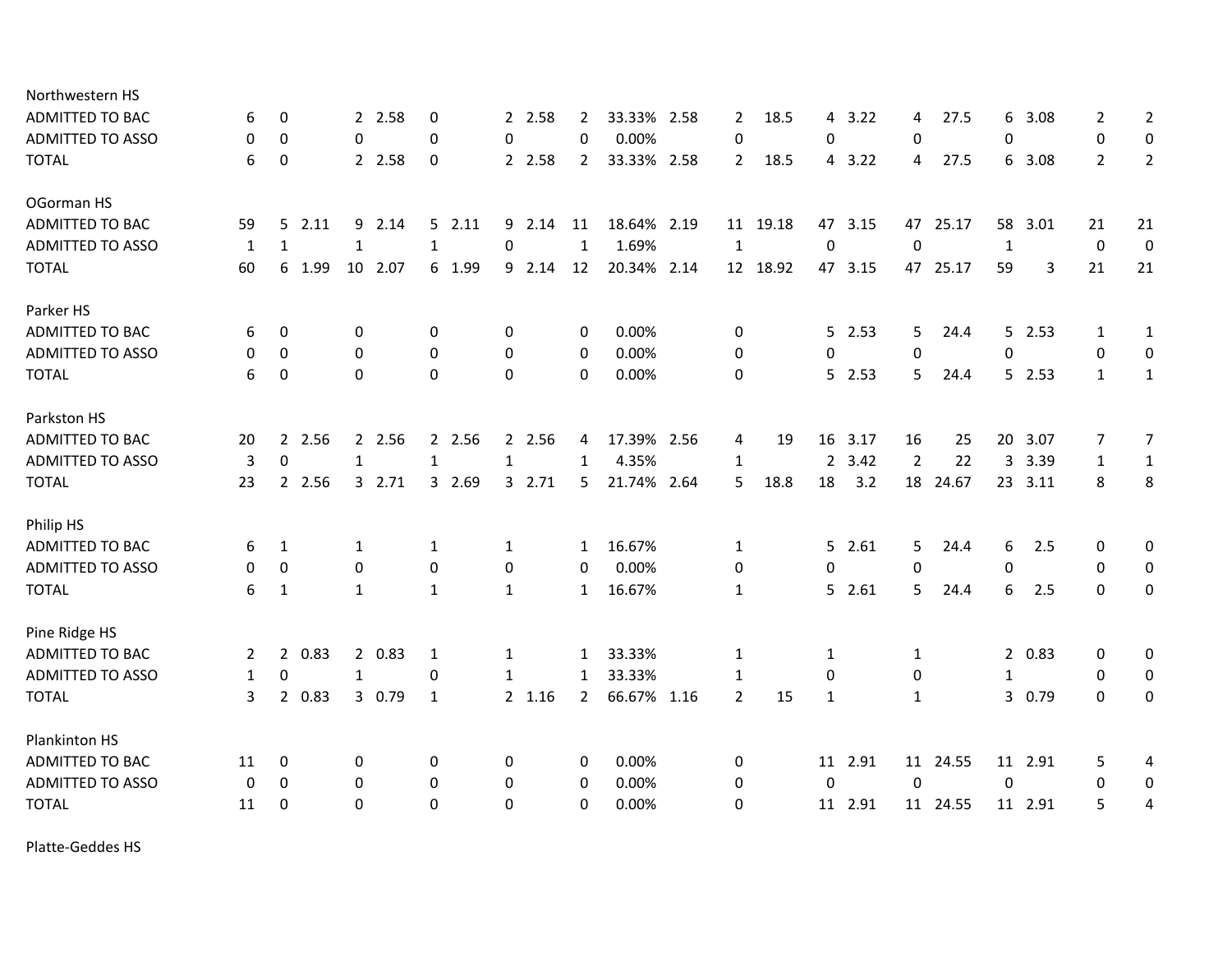| Northwestern HS         |                |             |        |              |         |              |        |              |        |                |             |                |          |                |         |                |          |              |         |                  |                  |
|-------------------------|----------------|-------------|--------|--------------|---------|--------------|--------|--------------|--------|----------------|-------------|----------------|----------|----------------|---------|----------------|----------|--------------|---------|------------------|------------------|
| ADMITTED TO BAC         | 6              | 0           |        |              | 2 2.58  | 0            |        |              | 2 2.58 | 2              | 33.33% 2.58 | 2              | 18.5     | 4              | 3.22    | 4              | 27.5     | 6            | 3.08    | 2                | $\overline{2}$   |
| ADMITTED TO ASSO        | 0              | $\Omega$    |        | 0            |         | $\Omega$     |        | $\mathbf{0}$ |        | $\mathbf{0}$   | 0.00%       | 0              |          | 0              |         | 0              |          | 0            |         | $\mathbf{0}$     | 0                |
| <b>TOTAL</b>            | 6              | $\mathbf 0$ |        |              | 2 2.58  | $\mathbf 0$  |        |              | 2 2.58 | $\overline{2}$ | 33.33% 2.58 | $\overline{2}$ | 18.5     | $\overline{4}$ | 3.22    | 4              | 27.5     |              | 6 3.08  | $\overline{2}$   | $\overline{2}$   |
| OGorman HS              |                |             |        |              |         |              |        |              |        |                |             |                |          |                |         |                |          |              |         |                  |                  |
| <b>ADMITTED TO BAC</b>  | 59             | 5           | 2.11   | 9            | 2.14    |              | 52.11  |              | 9 2.14 | 11             | 18.64% 2.19 |                | 11 19.18 | 47             | 3.15    | 47             | 25.17    | 58           | 3.01    | 21               | 21               |
| <b>ADMITTED TO ASSO</b> | 1              | 1           |        | $\mathbf{1}$ |         | $\mathbf{1}$ |        | $\pmb{0}$    |        | 1              | 1.69%       | 1              |          | 0              |         | $\mathbf 0$    |          | $\mathbf{1}$ |         | $\boldsymbol{0}$ | $\mathbf 0$      |
| <b>TOTAL</b>            | 60             | 6           | 1.99   |              | 10 2.07 |              | 6 1.99 | 9            | 2.14   | 12             | 20.34% 2.14 |                | 12 18.92 |                | 47 3.15 |                | 47 25.17 | 59           | 3       | 21               | 21               |
| Parker HS               |                |             |        |              |         |              |        |              |        |                |             |                |          |                |         |                |          |              |         |                  |                  |
| ADMITTED TO BAC         | 6              | 0           |        | 0            |         | 0            |        | 0            |        | 0              | 0.00%       | 0              |          | 5 <sup>1</sup> | 2.53    | 5              | 24.4     | 5.           | 2.53    | 1                | 1                |
| <b>ADMITTED TO ASSO</b> | 0              | $\mathbf 0$ |        | 0            |         | $\mathbf{0}$ |        | 0            |        | $\mathbf 0$    | 0.00%       | 0              |          | 0              |         | $\mathbf 0$    |          | $\mathbf 0$  |         | 0                | $\mathbf 0$      |
| <b>TOTAL</b>            | 6              | 0           |        | $\Omega$     |         | $\Omega$     |        | $\Omega$     |        | $\mathbf{0}$   | 0.00%       | $\mathbf 0$    |          |                | 5 2.53  | 5.             | 24.4     |              | 52.53   | $\mathbf{1}$     | $\mathbf{1}$     |
| Parkston HS             |                |             |        |              |         |              |        |              |        |                |             |                |          |                |         |                |          |              |         |                  |                  |
| <b>ADMITTED TO BAC</b>  | 20             | $2^{\circ}$ | 2.56   |              | 2 2.56  |              | 2 2.56 |              | 2 2.56 | 4              | 17.39% 2.56 | 4              | 19       | 16             | 3.17    | 16             | 25       | 20           | 3.07    | 7                | $\overline{7}$   |
| <b>ADMITTED TO ASSO</b> | 3              | $\mathbf 0$ |        | $\mathbf{1}$ |         | $\mathbf{1}$ |        | $\mathbf{1}$ |        | $\mathbf{1}$   | 4.35%       | $\mathbf{1}$   |          | $\overline{2}$ | 3.42    | $\overline{2}$ | 22       | 3            | 3.39    | $\mathbf{1}$     | $\mathbf{1}$     |
| <b>TOTAL</b>            | 23             |             | 2 2.56 |              | 3 2.71  |              | 3 2.69 | 3            | 2.71   | 5              | 21.74% 2.64 | 5              | 18.8     | 18             | 3.2     |                | 18 24.67 |              | 23 3.11 | 8                | 8                |
| Philip HS               |                |             |        |              |         |              |        |              |        |                |             |                |          |                |         |                |          |              |         |                  |                  |
| ADMITTED TO BAC         | 6              | 1           |        | 1            |         | 1            |        | 1            |        | 1              | 16.67%      | 1              |          | 5              | 2.61    | 5              | 24.4     | 6            | 2.5     | 0                | 0                |
| <b>ADMITTED TO ASSO</b> | 0              | $\mathbf 0$ |        | 0            |         | $\mathbf{0}$ |        | 0            |        | 0              | 0.00%       | $\mathbf 0$    |          | $\mathbf 0$    |         | $\Omega$       |          | 0            |         | $\mathbf 0$      | $\mathbf 0$      |
| <b>TOTAL</b>            | 6              | 1           |        | $\mathbf{1}$ |         | $\mathbf{1}$ |        | $\mathbf{1}$ |        | $\mathbf{1}$   | 16.67%      | $\mathbf{1}$   |          | 5              | 2.61    | 5              | 24.4     | 6            | 2.5     | $\Omega$         | 0                |
| Pine Ridge HS           |                |             |        |              |         |              |        |              |        |                |             |                |          |                |         |                |          |              |         |                  |                  |
| <b>ADMITTED TO BAC</b>  | $\overline{2}$ |             | 2 0.83 |              | 2 0.83  | 1            |        | 1            |        | $\mathbf{1}$   | 33.33%      | 1              |          | 1              |         | 1              |          |              | 2 0.83  | 0                | 0                |
| <b>ADMITTED TO ASSO</b> | $\mathbf{1}$   | 0           |        | $\mathbf{1}$ |         | 0            |        | 1            |        | $\mathbf{1}$   | 33.33%      | $\mathbf{1}$   |          | 0              |         | 0              |          | $\mathbf{1}$ |         | 0                | $\mathbf 0$      |
| <b>TOTAL</b>            | 3              |             | 2 0.83 |              | 3 0.79  | 1            |        |              | 2 1.16 | $\mathbf{2}$   | 66.67% 1.16 | $\overline{2}$ | 15       | $\mathbf{1}$   |         | $\mathbf{1}$   |          |              | 3 0.79  | $\mathbf{0}$     | 0                |
| Plankinton HS           |                |             |        |              |         |              |        |              |        |                |             |                |          |                |         |                |          |              |         |                  |                  |
| ADMITTED TO BAC         | 11             | 0           |        | 0            |         | $\mathbf 0$  |        | $\mathbf 0$  |        | 0              | 0.00%       | 0              |          |                | 11 2.91 |                | 11 24.55 |              | 11 2.91 | 5                | 4                |
| <b>ADMITTED TO ASSO</b> | 0              | 0           |        | 0            |         | $\mathbf 0$  |        | 0            |        | 0              | 0.00%       | 0              |          | $\mathbf 0$    |         | $\Omega$       |          | $\Omega$     |         | $\mathbf 0$      | $\boldsymbol{0}$ |
| <b>TOTAL</b>            | 11             | 0           |        | $\Omega$     |         | $\Omega$     |        | $\Omega$     |        | $\Omega$       | 0.00%       | 0              |          |                | 11 2.91 |                | 11 24.55 |              | 11 2.91 | 5                | 4                |
|                         |                |             |        |              |         |              |        |              |        |                |             |                |          |                |         |                |          |              |         |                  |                  |

Platte-Geddes HS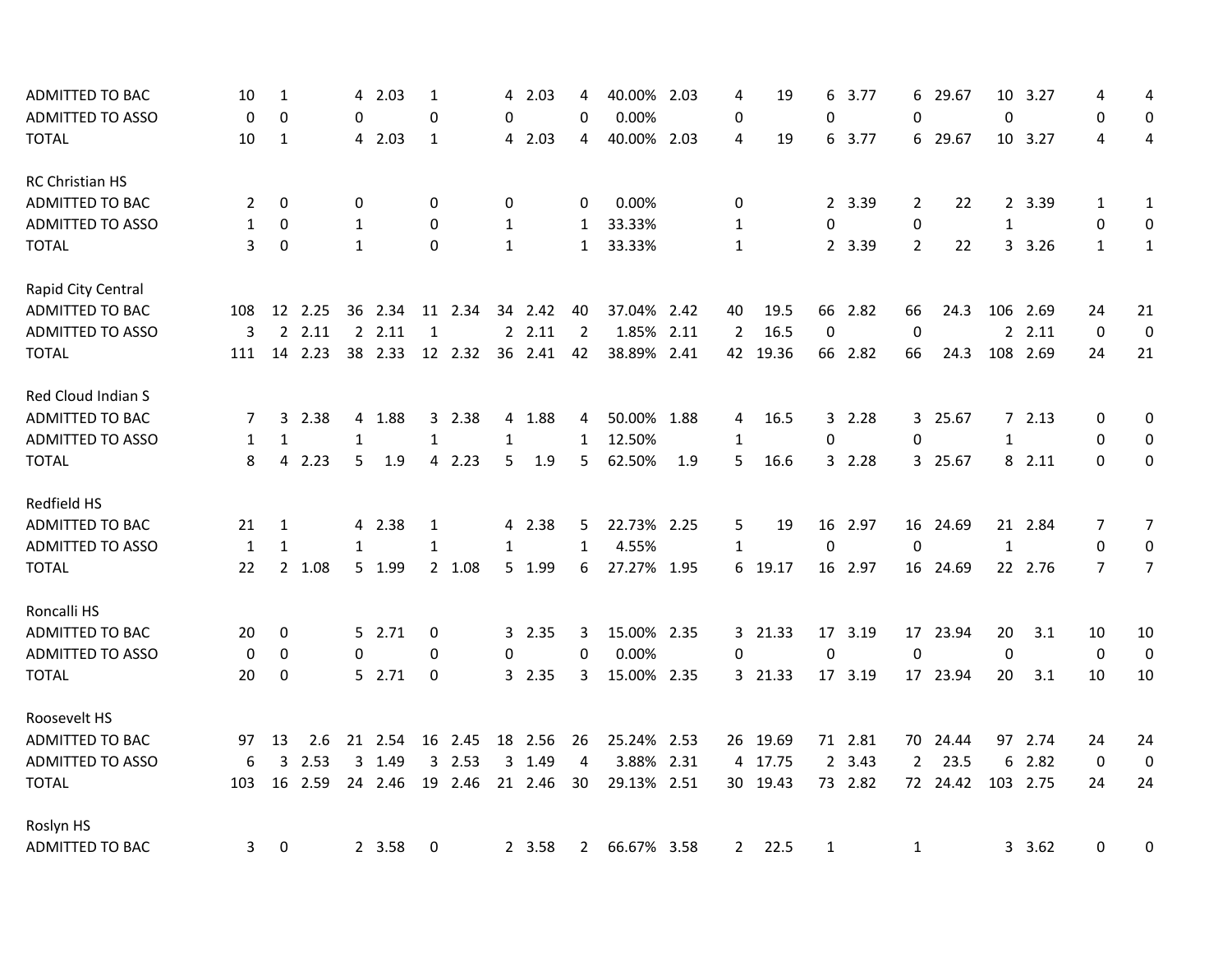| ADMITTED TO BAC         | 10           | $\mathbf{1}$ |         | 4            | 2.03    | $\mathbf{1}$ |         | 4            | 2.03    | 4              | 40.00% 2.03 |     | 4            | 19       | 6            | 3.77    | 6              | 29.67    | 10 <sup>°</sup>  | 3.27     | 4              | 4                |
|-------------------------|--------------|--------------|---------|--------------|---------|--------------|---------|--------------|---------|----------------|-------------|-----|--------------|----------|--------------|---------|----------------|----------|------------------|----------|----------------|------------------|
| <b>ADMITTED TO ASSO</b> | 0            | 0            |         | 0            |         | $\pmb{0}$    |         | $\Omega$     |         | 0              | 0.00%       |     | 0            |          | $\pmb{0}$    |         | $\Omega$       |          | $\boldsymbol{0}$ |          | 0              | 0                |
| <b>TOTAL</b>            | 10           | 1            |         |              | 4 2.03  | 1            |         |              | 4 2.03  | 4              | 40.00% 2.03 |     | 4            | 19       | 6            | 3.77    |                | 6 29.67  |                  | 10 3.27  | 4              | 4                |
| RC Christian HS         |              |              |         |              |         |              |         |              |         |                |             |     |              |          |              |         |                |          |                  |          |                |                  |
| ADMITTED TO BAC         | 2            | 0            |         | 0            |         | $\mathbf{0}$ |         | 0            |         | $\Omega$       | 0.00%       |     | 0            |          |              | 2 3.39  | 2              | 22       |                  | 2 3.39   | 1              | $\mathbf{1}$     |
| <b>ADMITTED TO ASSO</b> | $\mathbf{1}$ | $\Omega$     |         | $\mathbf{1}$ |         | $\Omega$     |         | $\mathbf{1}$ |         | 1              | 33.33%      |     | $\mathbf{1}$ |          | 0            |         | 0              |          | $\mathbf{1}$     |          | 0              | 0                |
| <b>TOTAL</b>            | 3            | $\Omega$     |         | $\mathbf{1}$ |         | $\Omega$     |         | $\mathbf{1}$ |         | 1              | 33.33%      |     | $\mathbf{1}$ |          |              | 2 3.39  | $\overline{2}$ | 22       |                  | 3 3.26   | $\mathbf{1}$   | $\mathbf{1}$     |
| Rapid City Central      |              |              |         |              |         |              |         |              |         |                |             |     |              |          |              |         |                |          |                  |          |                |                  |
| ADMITTED TO BAC         | 108          |              | 12 2.25 |              | 36 2.34 |              | 11 2.34 |              | 34 2.42 | 40             | 37.04% 2.42 |     | 40           | 19.5     |              | 66 2.82 | 66             | 24.3     |                  | 106 2.69 | 24             | 21               |
| ADMITTED TO ASSO        | 3            |              | 2.11    |              | 2.11    | 1            |         |              | 2.11    | 2              | 1.85% 2.11  |     | 2            | 16.5     | 0            |         | 0              |          |                  | 22.11    | 0              | $\boldsymbol{0}$ |
| <b>TOTAL</b>            | 111          | 14           | 2.23    |              | 38 2.33 |              | 12 2.32 |              | 36 2.41 | 42             | 38.89% 2.41 |     | 42           | 19.36    |              | 66 2.82 | 66             | 24.3     |                  | 108 2.69 | 24             | 21               |
| Red Cloud Indian S      |              |              |         |              |         |              |         |              |         |                |             |     |              |          |              |         |                |          |                  |          |                |                  |
| ADMITTED TO BAC         | 7            |              | 3 2.38  |              | 4 1.88  |              | 3 2.38  |              | 4 1.88  | 4              | 50.00% 1.88 |     | 4            | 16.5     | 3            | 2.28    | 3              | 25.67    |                  | 72.13    | 0              | 0                |
| <b>ADMITTED TO ASSO</b> | $\mathbf{1}$ | 1            |         | 1            |         | $\mathbf{1}$ |         | $\mathbf{1}$ |         | 1              | 12.50%      |     | $\mathbf{1}$ |          | $\pmb{0}$    |         | 0              |          | $\mathbf{1}$     |          | $\mathbf 0$    | $\mathbf 0$      |
| <b>TOTAL</b>            | 8            | 4            | 2.23    | 5            | 1.9     |              | 4 2.23  | 5            | 1.9     | 5              | 62.50%      | 1.9 | 5            | 16.6     |              | 3 2.28  |                | 3 25.67  |                  | 8 2.11   | $\Omega$       | 0                |
| Redfield HS             |              |              |         |              |         |              |         |              |         |                |             |     |              |          |              |         |                |          |                  |          |                |                  |
| ADMITTED TO BAC         | 21           | 1            |         |              | 4 2.38  | 1            |         |              | 4 2.38  | 5              | 22.73% 2.25 |     | 5            | 19       |              | 16 2.97 |                | 16 24.69 |                  | 21 2.84  | 7              | $\overline{7}$   |
| <b>ADMITTED TO ASSO</b> | $\mathbf{1}$ | 1            |         | 1            |         | 1            |         | 1            |         | 1              | 4.55%       |     | $\mathbf{1}$ |          | 0            |         | $\Omega$       |          | $\mathbf{1}$     |          | 0              | $\mathbf 0$      |
| <b>TOTAL</b>            | 22           |              | 2 1.08  |              | 5 1.99  |              | 2 1.08  |              | 5 1.99  | 6              | 27.27% 1.95 |     | 6            | 19.17    |              | 16 2.97 |                | 16 24.69 |                  | 22 2.76  | $\overline{7}$ | $\overline{7}$   |
| Roncalli HS             |              |              |         |              |         |              |         |              |         |                |             |     |              |          |              |         |                |          |                  |          |                |                  |
| ADMITTED TO BAC         | 20           | 0            |         |              | 5 2.71  | 0            |         |              | 3 2.35  | 3              | 15.00% 2.35 |     |              | 3 21.33  |              | 17 3.19 |                | 17 23.94 | 20               | 3.1      | 10             | 10               |
| <b>ADMITTED TO ASSO</b> | 0            | 0            |         | 0            |         | 0            |         | 0            |         | 0              | 0.00%       |     | 0            |          | $\pmb{0}$    |         | $\mathbf 0$    |          | $\mathbf 0$      |          | $\mathbf 0$    | $\mathbf 0$      |
| <b>TOTAL</b>            | 20           | 0            |         |              | 5 2.71  | 0            |         |              | 3 2.35  | 3              | 15.00% 2.35 |     |              | 3 21.33  |              | 17 3.19 |                | 17 23.94 | 20               | 3.1      | 10             | 10               |
| Roosevelt HS            |              |              |         |              |         |              |         |              |         |                |             |     |              |          |              |         |                |          |                  |          |                |                  |
| <b>ADMITTED TO BAC</b>  | 97           | 13           | 2.6     |              | 21 2.54 |              | 16 2.45 |              | 18 2.56 | 26             | 25.24% 2.53 |     |              | 26 19.69 |              | 71 2.81 |                | 70 24.44 |                  | 97 2.74  | 24             | 24               |
| ADMITTED TO ASSO        | 6            | 3            | 2.53    |              | 3 1.49  |              | 3 2.53  |              | 3 1.49  | $\overline{4}$ | 3.88% 2.31  |     |              | 4 17.75  |              | 2 3.43  | $\overline{2}$ | 23.5     |                  | 62.82    | $\mathbf{0}$   | 0                |
| <b>TOTAL</b>            | 103          |              | 16 2.59 |              | 24 2.46 |              | 19 2.46 |              | 21 2.46 | 30             | 29.13% 2.51 |     |              | 30 19.43 |              | 73 2.82 |                | 72 24.42 |                  | 103 2.75 | 24             | 24               |
| Roslyn HS               |              |              |         |              |         |              |         |              |         |                |             |     |              |          |              |         |                |          |                  |          |                |                  |
| ADMITTED TO BAC         | 3            | 0            |         |              | 2 3.58  | 0            |         |              | 2 3.58  | $\mathbf{2}$   | 66.67% 3.58 |     | 2            | 22.5     | $\mathbf{1}$ |         | 1              |          |                  | 3 3.62   | 0              | 0                |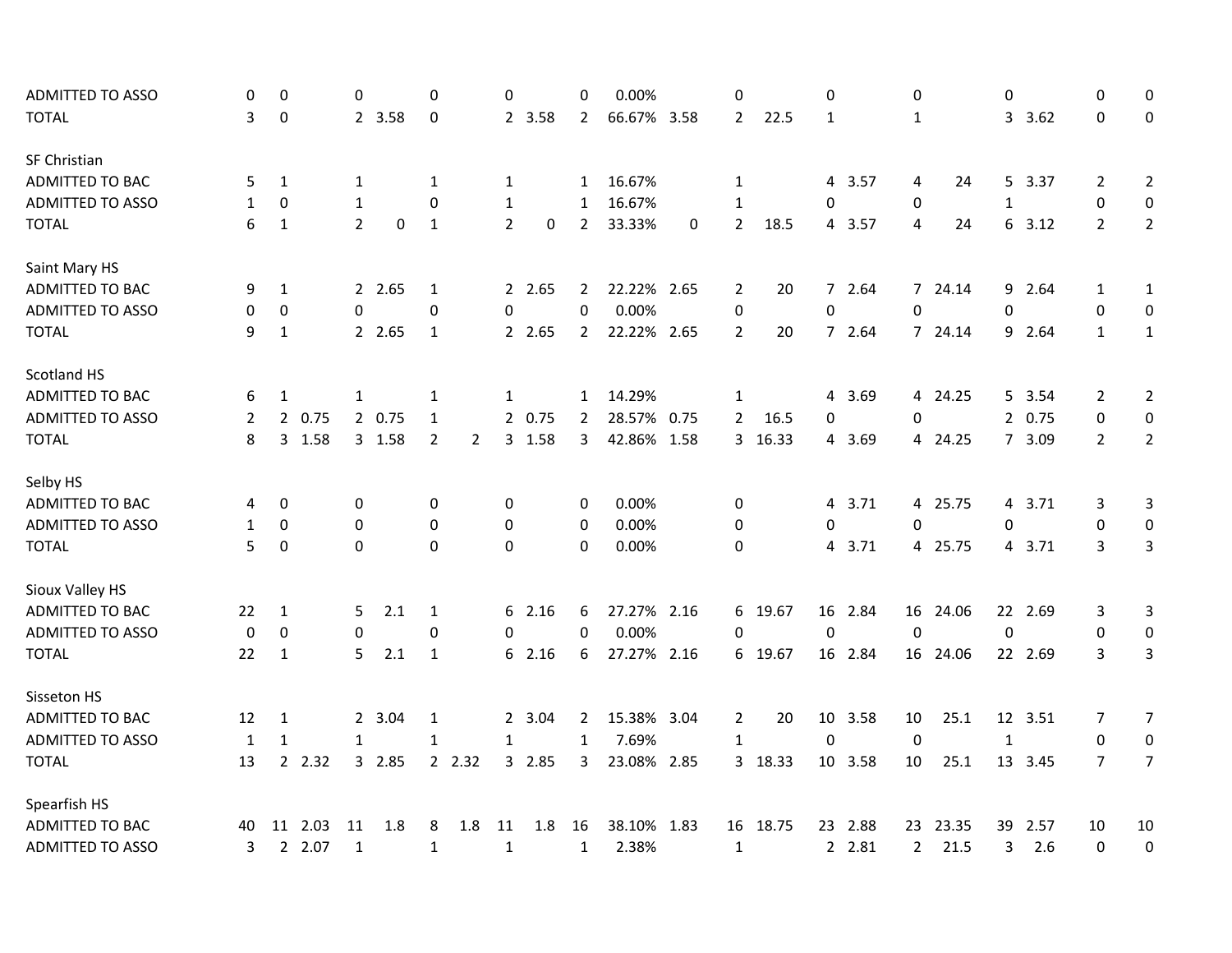| <b>ADMITTED TO ASSO</b> | 0                | 0            |         | 0              |        | $\Omega$     |                | 0              |        | $\Omega$       | 0.00%       |   | 0                |          | 0              |         | $\Omega$       |          | 0            |               | 0              | 0                |
|-------------------------|------------------|--------------|---------|----------------|--------|--------------|----------------|----------------|--------|----------------|-------------|---|------------------|----------|----------------|---------|----------------|----------|--------------|---------------|----------------|------------------|
| <b>TOTAL</b>            | 3                | 0            |         |                | 2 3.58 | 0            |                |                | 2 3.58 | $\overline{2}$ | 66.67% 3.58 |   | $\overline{2}$   | 22.5     | 1              |         | $\mathbf{1}$   |          |              | 3.62          | $\Omega$       | 0                |
| SF Christian            |                  |              |         |                |        |              |                |                |        |                |             |   |                  |          |                |         |                |          |              |               |                |                  |
| <b>ADMITTED TO BAC</b>  | 5                | $\mathbf{1}$ |         | $\mathbf{1}$   |        | 1            |                | $\mathbf{1}$   |        | $\mathbf{1}$   | 16.67%      |   | $\mathbf{1}$     |          |                | 4 3.57  | 4              | 24       |              | 5 3.37        | $\overline{2}$ | $\overline{2}$   |
| <b>ADMITTED TO ASSO</b> | 1                | 0            |         | $\mathbf{1}$   |        | 0            |                | $\mathbf{1}$   |        | 1              | 16.67%      |   | 1                |          | 0              |         | 0              |          | 1            |               | 0              | $\mathbf 0$      |
| <b>TOTAL</b>            | 6                | $\mathbf{1}$ |         | $\overline{2}$ | 0      | $\mathbf{1}$ |                | $\overline{2}$ | 0      | $\overline{2}$ | 33.33%      | 0 | $\overline{2}$   | 18.5     |                | 4 3.57  | 4              | 24       |              | $6\quad 3.12$ | $\overline{2}$ | $\overline{2}$   |
| Saint Mary HS           |                  |              |         |                |        |              |                |                |        |                |             |   |                  |          |                |         |                |          |              |               |                |                  |
| <b>ADMITTED TO BAC</b>  | 9                | $\mathbf{1}$ |         |                | 2 2.65 | 1            |                |                | 2 2.65 | $\overline{2}$ | 22.22% 2.65 |   | 2                | 20       |                | 7 2.64  |                | 7 24.14  |              | 9 2.64        | $\mathbf{1}$   | $\mathbf{1}$     |
| <b>ADMITTED TO ASSO</b> | 0                | 0            |         | 0              |        | 0            |                | 0              |        | 0              | 0.00%       |   | $\boldsymbol{0}$ |          | $\pmb{0}$      |         | 0              |          | 0            |               | 0              | 0                |
| <b>TOTAL</b>            | 9                | $1\,$        |         |                | 2 2.65 | 1            |                |                | 2 2.65 | $\overline{2}$ | 22.22% 2.65 |   | $\overline{2}$   | 20       |                | 7 2.64  |                | 7 24.14  |              | 9 2.64        | $\mathbf{1}$   | $\mathbf{1}$     |
| Scotland HS             |                  |              |         |                |        |              |                |                |        |                |             |   |                  |          |                |         |                |          |              |               |                |                  |
| ADMITTED TO BAC         | 6                | $\mathbf{1}$ |         | 1              |        | 1            |                | $\mathbf{1}$   |        | 1              | 14.29%      |   | $\mathbf{1}$     |          | 4              | 3.69    |                | 4 24.25  |              | 5 3.54        | 2              | $\overline{2}$   |
| <b>ADMITTED TO ASSO</b> | 2                |              | 2 0.75  |                | 2 0.75 | $\mathbf{1}$ |                |                | 2 0.75 | $\overline{2}$ | 28.57% 0.75 |   | $\overline{2}$   | 16.5     | 0              |         | 0              |          |              | 2 0.75        | $\pmb{0}$      | $\mathbf 0$      |
| <b>TOTAL</b>            | 8                |              | 3 1.58  |                | 3 1.58 | $\mathbf 2$  | $\overline{2}$ |                | 3 1.58 | 3              | 42.86% 1.58 |   |                  | 3 16.33  | 4              | 3.69    |                | 4 24.25  |              | 7 3.09        | $\overline{2}$ | $\overline{2}$   |
| Selby HS                |                  |              |         |                |        |              |                |                |        |                |             |   |                  |          |                |         |                |          |              |               |                |                  |
| ADMITTED TO BAC         | 4                | 0            |         | 0              |        | 0            |                | 0              |        | 0              | 0.00%       |   | 0                |          | $\overline{4}$ | 3.71    |                | 4 25.75  |              | 4 3.71        | 3              | 3                |
| ADMITTED TO ASSO        | 1                | 0            |         | 0              |        | 0            |                | 0              |        | 0              | 0.00%       |   | 0                |          | $\pmb{0}$      |         | 0              |          | 0            |               | 0              | $\boldsymbol{0}$ |
| <b>TOTAL</b>            | 5                | $\pmb{0}$    |         | 0              |        | $\Omega$     |                | 0              |        | 0              | 0.00%       |   | 0                |          | $\overline{4}$ | 3.71    |                | 4 25.75  |              | 4 3.71        | 3              | 3                |
| Sioux Valley HS         |                  |              |         |                |        |              |                |                |        |                |             |   |                  |          |                |         |                |          |              |               |                |                  |
| ADMITTED TO BAC         | 22               | $\mathbf{1}$ |         | 5.             | 2.1    | $\mathbf{1}$ |                |                | 62.16  | 6              | 27.27% 2.16 |   | 6                | 19.67    | 16             | 2.84    |                | 16 24.06 |              | 22 2.69       | 3              | $\mathbf{3}$     |
| <b>ADMITTED TO ASSO</b> | $\boldsymbol{0}$ | 0            |         | 0              |        | 0            |                | $\Omega$       |        | 0              | 0.00%       |   | 0                |          | 0              |         | $\mathbf 0$    |          | $\mathbf 0$  |               | 0              | $\mathbf 0$      |
| <b>TOTAL</b>            | 22               | 1            |         | 5              | 2.1    | $\mathbf{1}$ |                |                | 62.16  | 6              | 27.27% 2.16 |   |                  | 6 19.67  |                | 16 2.84 |                | 16 24.06 |              | 22 2.69       | 3              | 3                |
| Sisseton HS             |                  |              |         |                |        |              |                |                |        |                |             |   |                  |          |                |         |                |          |              |               |                |                  |
| ADMITTED TO BAC         | 12               | 1            |         |                | 2 3.04 | $\mathbf{1}$ |                |                | 2 3.04 | $\mathbf{2}$   | 15.38% 3.04 |   | 2                | 20       |                | 10 3.58 | 10             | 25.1     |              | 12 3.51       | 7              | $\overline{7}$   |
| <b>ADMITTED TO ASSO</b> | 1                | $\mathbf{1}$ |         | $\mathbf{1}$   |        | $\mathbf{1}$ |                | $\mathbf{1}$   |        | 1              | 7.69%       |   | $\mathbf{1}$     |          | $\mathbf 0$    |         | $\mathbf 0$    |          | $\mathbf{1}$ |               | $\mathbf 0$    | $\mathbf 0$      |
| <b>TOTAL</b>            | 13               |              | 2 2.32  |                | 3 2.85 |              | 2 2.32         |                | 3 2.85 | 3              | 23.08% 2.85 |   |                  | 3 18.33  |                | 10 3.58 | 10             | 25.1     |              | 13 3.45       | $\overline{7}$ | $\overline{7}$   |
| Spearfish HS            |                  |              |         |                |        |              |                |                |        |                |             |   |                  |          |                |         |                |          |              |               |                |                  |
| ADMITTED TO BAC         | 40               |              | 11 2.03 | 11             | 1.8    | 8            | 1.8            | 11             | 1.8    | 16             | 38.10% 1.83 |   |                  | 16 18.75 | 23             | 2.88    | 23             | 23.35    | 39           | 2.57          | 10             | 10               |
| <b>ADMITTED TO ASSO</b> | 3                |              | 2 2.07  | $\mathbf{1}$   |        | $\mathbf{1}$ |                | $\mathbf{1}$   |        | $\mathbf{1}$   | 2.38%       |   | $\mathbf{1}$     |          |                | 2 2.81  | $\overline{2}$ | 21.5     | 3            | 2.6           | 0              | $\pmb{0}$        |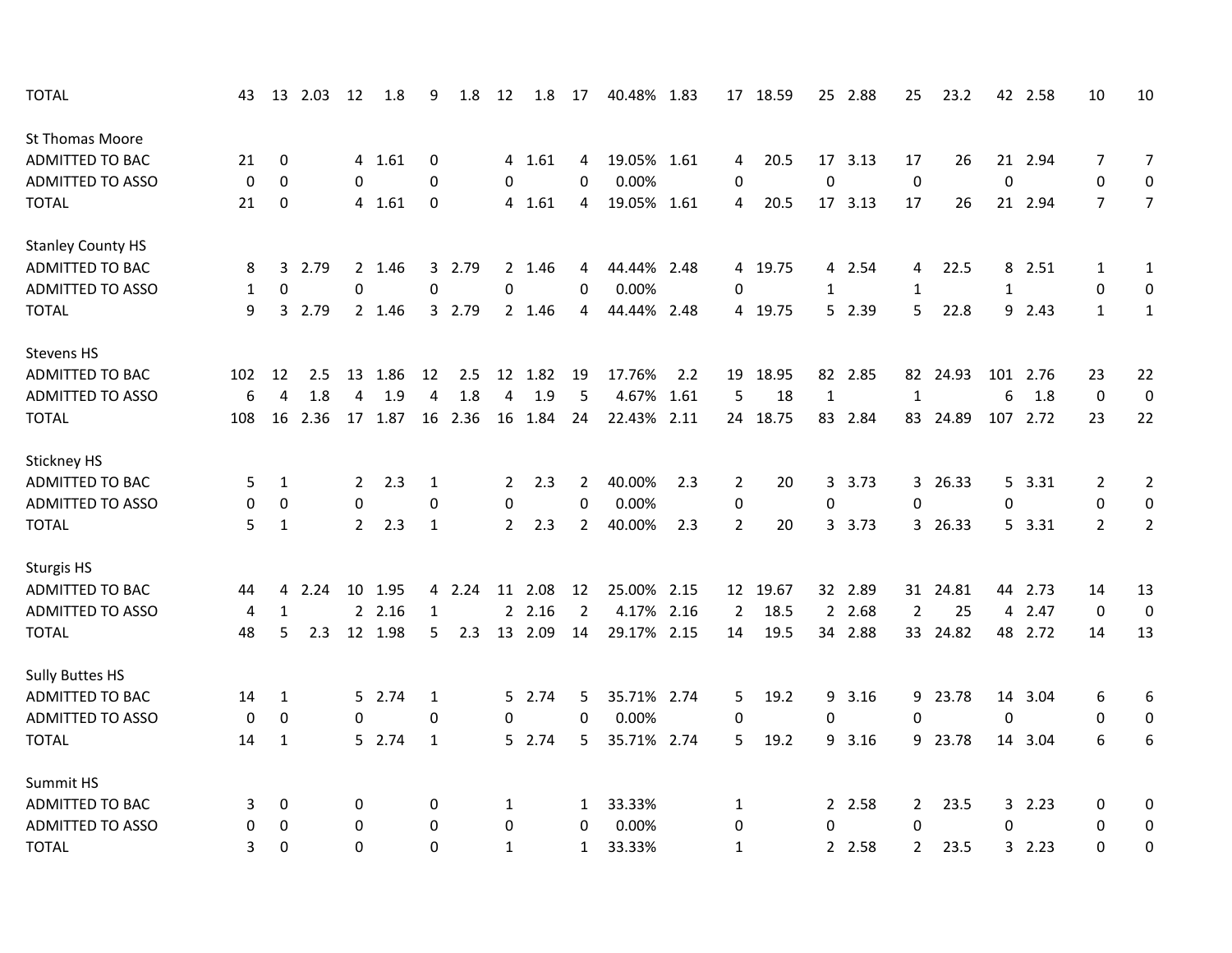| <b>TOTAL</b>             | 43  |                | 13 2.03 | 12               | 1.8     | 9                | 1.8     | 12             | 1.8     | 17             | 40.48% 1.83 |     |                  | 17 18.59 |                  | 25 2.88 | 25             | 23.2     |                | 42 2.58  | 10             | 10               |
|--------------------------|-----|----------------|---------|------------------|---------|------------------|---------|----------------|---------|----------------|-------------|-----|------------------|----------|------------------|---------|----------------|----------|----------------|----------|----------------|------------------|
| <b>St Thomas Moore</b>   |     |                |         |                  |         |                  |         |                |         |                |             |     |                  |          |                  |         |                |          |                |          |                |                  |
| ADMITTED TO BAC          | 21  | 0              |         |                  | 4 1.61  | 0                |         |                | 4 1.61  | 4              | 19.05% 1.61 |     | 4                | 20.5     |                  | 17 3.13 | 17             | 26       |                | 21 2.94  | 7              | $\overline{7}$   |
| <b>ADMITTED TO ASSO</b>  | 0   | 0              |         | 0                |         | $\Omega$         |         | 0              |         | 0              | 0.00%       |     | 0                |          | $\mathbf 0$      |         | $\pmb{0}$      |          | $\mathbf 0$    |          | $\mathbf 0$    | 0                |
| <b>TOTAL</b>             | 21  | 0              |         |                  | 4 1.61  | 0                |         |                | 4 1.61  | 4              | 19.05% 1.61 |     | 4                | 20.5     |                  | 17 3.13 | 17             | 26       |                | 21 2.94  | $\overline{7}$ | $\overline{7}$   |
| <b>Stanley County HS</b> |     |                |         |                  |         |                  |         |                |         |                |             |     |                  |          |                  |         |                |          |                |          |                |                  |
| <b>ADMITTED TO BAC</b>   | 8   | 3              | 2.79    |                  | 2 1.46  |                  | 3 2.79  |                | 2 1.46  | 4              | 44.44% 2.48 |     | 4                | 19.75    | 4                | 2.54    | 4              | 22.5     |                | 8 2.51   | $\mathbf{1}$   | $\mathbf{1}$     |
| <b>ADMITTED TO ASSO</b>  | 1   | $\pmb{0}$      |         | $\boldsymbol{0}$ |         | $\boldsymbol{0}$ |         | 0              |         | $\pmb{0}$      | 0.00%       |     | $\boldsymbol{0}$ |          | $\mathbf{1}$     |         | $\mathbf{1}$   |          | $\mathbf{1}$   |          | $\pmb{0}$      | $\pmb{0}$        |
| <b>TOTAL</b>             | 9   | 3              | 2.79    |                  | 2 1.46  |                  | 3 2.79  |                | 2 1.46  | 4              | 44.44% 2.48 |     |                  | 4 19.75  |                  | 5 2.39  | 5              | 22.8     |                | 9 2.43   | $\mathbf{1}$   | $\mathbf{1}$     |
| Stevens HS               |     |                |         |                  |         |                  |         |                |         |                |             |     |                  |          |                  |         |                |          |                |          |                |                  |
| ADMITTED TO BAC          | 102 | 12             | 2.5     | 13               | 1.86    | 12               | 2.5     |                | 12 1.82 | 19             | 17.76%      | 2.2 | 19               | 18.95    |                  | 82 2.85 |                | 82 24.93 |                | 101 2.76 | 23             | 22               |
| <b>ADMITTED TO ASSO</b>  | 6   | $\overline{4}$ | 1.8     | 4                | 1.9     | 4                | 1.8     | 4              | 1.9     | 5              | 4.67% 1.61  |     | 5                | 18       | $\mathbf{1}$     |         | $\mathbf{1}$   |          | 6              | 1.8      | $\mathbf 0$    | $\mathbf 0$      |
| <b>TOTAL</b>             | 108 | 16             | 2.36    |                  | 17 1.87 |                  | 16 2.36 |                | 16 1.84 | 24             | 22.43% 2.11 |     |                  | 24 18.75 | 83               | 2.84    |                | 83 24.89 |                | 107 2.72 | 23             | 22               |
| Stickney HS              |     |                |         |                  |         |                  |         |                |         |                |             |     |                  |          |                  |         |                |          |                |          |                |                  |
| <b>ADMITTED TO BAC</b>   | 5   | 1              |         | $\overline{2}$   | 2.3     | 1                |         | 2              | 2.3     | 2              | 40.00%      | 2.3 | 2                | 20       | 3                | 3.73    |                | 3 26.33  | 5              | 3.31     | 2              | $\overline{2}$   |
| <b>ADMITTED TO ASSO</b>  | 0   | 0              |         | 0                |         | 0                |         | 0              |         | $\mathbf 0$    | 0.00%       |     | 0                |          | $\boldsymbol{0}$ |         | 0              |          | 0              |          | 0              | $\boldsymbol{0}$ |
| <b>TOTAL</b>             | 5   | $\mathbf{1}$   |         | $\overline{2}$   | 2.3     | $\mathbf{1}$     |         | $\overline{2}$ | 2.3     | $\overline{2}$ | 40.00%      | 2.3 | $\overline{2}$   | 20       | $\overline{3}$   | 3.73    |                | 3 26.33  |                | 5 3.31   | $\overline{2}$ | $\overline{2}$   |
| <b>Sturgis HS</b>        |     |                |         |                  |         |                  |         |                |         |                |             |     |                  |          |                  |         |                |          |                |          |                |                  |
| ADMITTED TO BAC          | 44  | 4              | 2.24    | 10               | 1.95    |                  | 4 2.24  | 11             | 2.08    | 12             | 25.00% 2.15 |     | 12               | 19.67    | 32               | 2.89    |                | 31 24.81 | 44             | 2.73     | 14             | 13               |
| <b>ADMITTED TO ASSO</b>  | 4   | $\mathbf{1}$   |         | $\overline{2}$   | 2.16    | $\mathbf{1}$     |         |                | 22.16   | $\overline{2}$ | 4.17% 2.16  |     | $\overline{2}$   | 18.5     | $2^{\circ}$      | 2.68    | $\overline{2}$ | 25       | $\overline{4}$ | 2.47     | $\mathbf 0$    | $\mathbf 0$      |
| <b>TOTAL</b>             | 48  | 5              | 2.3     |                  | 12 1.98 | 5                | 2.3     | 13             | 2.09    | 14             | 29.17% 2.15 |     | 14               | 19.5     |                  | 34 2.88 |                | 33 24.82 |                | 48 2.72  | 14             | 13               |
| <b>Sully Buttes HS</b>   |     |                |         |                  |         |                  |         |                |         |                |             |     |                  |          |                  |         |                |          |                |          |                |                  |
| <b>ADMITTED TO BAC</b>   | 14  | 1              |         |                  | 5 2.74  | 1                |         |                | 5 2.74  | 5              | 35.71% 2.74 |     | 5                | 19.2     | 9                | 3.16    |                | 9 23.78  |                | 14 3.04  | 6              | 6                |
| <b>ADMITTED TO ASSO</b>  | 0   | $\mathbf 0$    |         | 0                |         | 0                |         | 0              |         | $\Omega$       | 0.00%       |     | 0                |          | $\mathbf 0$      |         | 0              |          | 0              |          | 0              | $\boldsymbol{0}$ |
| <b>TOTAL</b>             | 14  | 1              |         |                  | 5 2.74  | 1                |         |                | 5 2.74  | 5              | 35.71% 2.74 |     | 5                | 19.2     | 9                | 3.16    |                | 9 23.78  |                | 14 3.04  | 6              | 6                |
| Summit HS                |     |                |         |                  |         |                  |         |                |         |                |             |     |                  |          |                  |         |                |          |                |          |                |                  |
| ADMITTED TO BAC          | 3   | 0              |         | 0                |         | 0                |         | 1              |         | 1              | 33.33%      |     | 1                |          |                  | 2 2.58  | $\mathbf{2}$   | 23.5     |                | 32.23    | 0              | 0                |
| <b>ADMITTED TO ASSO</b>  | 0   | 0              |         | 0                |         | $\Omega$         |         | 0              |         | 0              | 0.00%       |     | 0                |          | 0                |         | $\Omega$       |          | $\Omega$       |          | 0              | 0                |
| <b>TOTAL</b>             | 3   | $\Omega$       |         | $\Omega$         |         | 0                |         | $\mathbf{1}$   |         | $\mathbf{1}$   | 33.33%      |     | $\mathbf{1}$     |          | $2^{\circ}$      | 2.58    | $\overline{2}$ | 23.5     |                | 32.23    | $\Omega$       | 0                |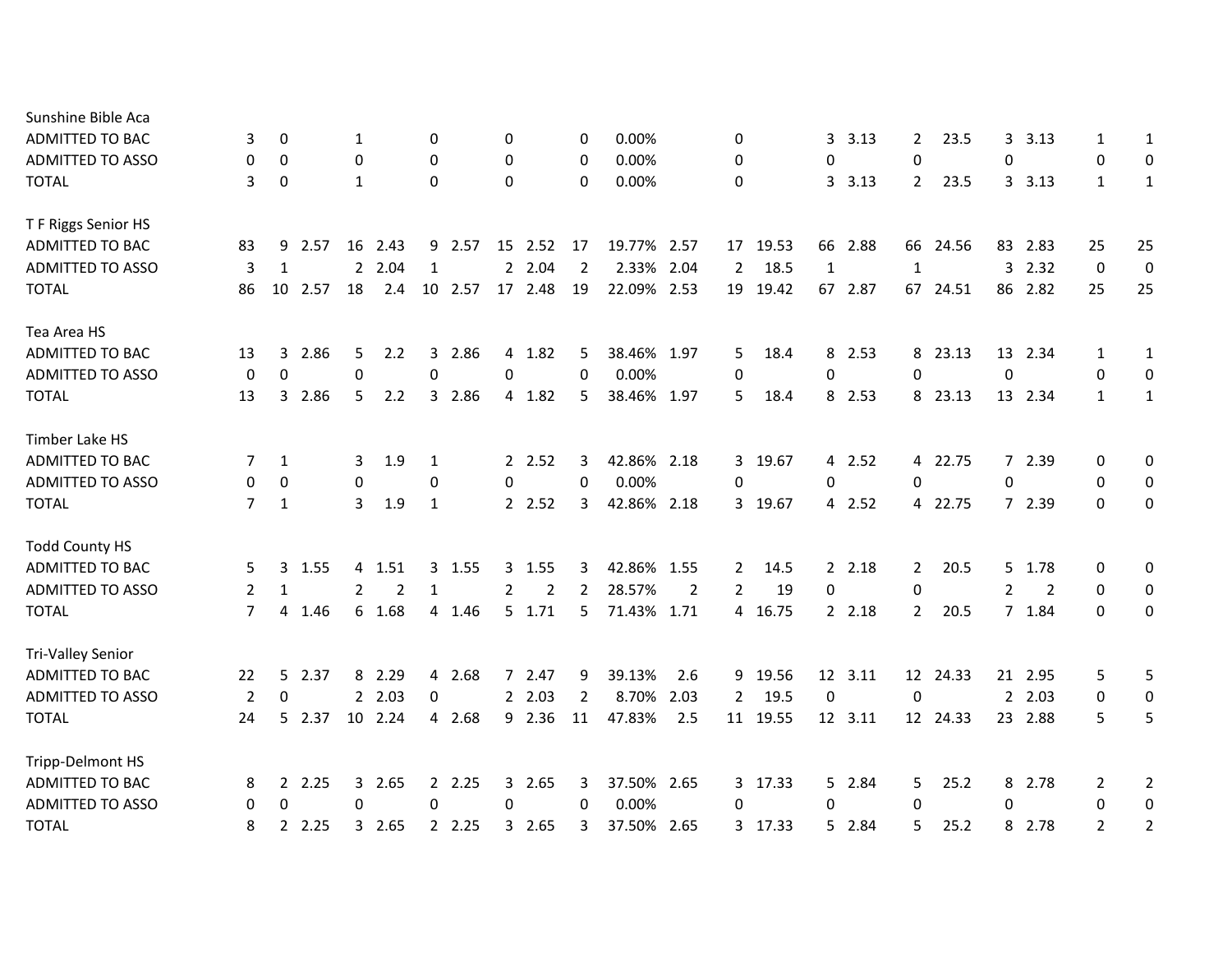| Sunshine Bible Aca       |    |             |         |    |                |              |         |             |                |                |             |      |                |          |              |            |                |          |                |                |                |                  |
|--------------------------|----|-------------|---------|----|----------------|--------------|---------|-------------|----------------|----------------|-------------|------|----------------|----------|--------------|------------|----------------|----------|----------------|----------------|----------------|------------------|
| ADMITTED TO BAC          | 3  | 0           |         | 1  |                | 0            |         | 0           |                | 0              | 0.00%       |      | 0              |          | 3            | 3.13       | $\overline{2}$ | 23.5     | 3              | 3.13           | 1              | 1                |
| <b>ADMITTED TO ASSO</b>  | 0  | 0           |         | 0  |                | $\Omega$     |         | $\mathbf 0$ |                | 0              | 0.00%       |      | 0              |          | 0            |            | 0              |          | 0              |                | 0              | 0                |
| <b>TOTAL</b>             | 3  | 0           |         | 1  |                | $\Omega$     |         | 0           |                | 0              | 0.00%       |      | 0              |          | 3            | 3.13       | $\overline{2}$ | 23.5     |                | 3.13           | $\mathbf{1}$   | 1                |
| T F Riggs Senior HS      |    |             |         |    |                |              |         |             |                |                |             |      |                |          |              |            |                |          |                |                |                |                  |
| ADMITTED TO BAC          | 83 | 9           | 2.57    |    | 16 2.43        |              | 9 2.57  |             | 15 2.52        | 17             | 19.77% 2.57 |      |                | 17 19.53 |              | 66 2.88    |                | 66 24.56 |                | 83 2.83        | 25             | 25               |
| <b>ADMITTED TO ASSO</b>  | 3  | 1           |         |    | 2 2.04         | $\mathbf{1}$ |         |             | 2 2.04         | $\overline{2}$ | 2.33% 2.04  |      | $\overline{2}$ | 18.5     | $\mathbf{1}$ |            | 1              |          | $\mathbf{3}$   | 2.32           | $\mathbf 0$    | $\boldsymbol{0}$ |
| <b>TOTAL</b>             | 86 |             | 10 2.57 | 18 | 2.4            |              | 10 2.57 |             | 17 2.48        | 19             | 22.09% 2.53 |      |                | 19 19.42 |              | 67 2.87    |                | 67 24.51 |                | 86 2.82        | 25             | 25               |
| Tea Area HS              |    |             |         |    |                |              |         |             |                |                |             |      |                |          |              |            |                |          |                |                |                |                  |
| ADMITTED TO BAC          | 13 | 3           | 2.86    | 5  | 2.2            |              | 3 2.86  |             | 4 1.82         | 5              | 38.46% 1.97 |      | 5              | 18.4     | 8            | 2.53       |                | 8 23.13  |                | 13 2.34        | 1              | 1                |
| <b>ADMITTED TO ASSO</b>  | 0  | 0           |         | 0  |                | $\Omega$     |         | 0           |                | $\Omega$       | 0.00%       |      | 0              |          | 0            |            | $\Omega$       |          | $\Omega$       |                | 0              | 0                |
| <b>TOTAL</b>             | 13 |             | 3 2.86  | 5. | 2.2            |              | 3 2.86  |             | 4 1.82         | 5              | 38.46% 1.97 |      | 5              | 18.4     |              | 8 2.53     |                | 8 23.13  |                | 13 2.34        | 1              | 1                |
| Timber Lake HS           |    |             |         |    |                |              |         |             |                |                |             |      |                |          |              |            |                |          |                |                |                |                  |
| ADMITTED TO BAC          | 7  | 1           |         | 3  | 1.9            | 1            |         |             | 2.52           | 3              | 42.86% 2.18 |      | 3              | 19.67    |              | 4 2.52     |                | 4 22.75  |                | 7 2.39         | 0              | 0                |
| <b>ADMITTED TO ASSO</b>  | 0  | 0           |         | 0  |                | 0            |         | $\mathbf 0$ |                | $\mathbf 0$    | 0.00%       |      | 0              |          | 0            |            | 0              |          | 0              |                | 0              | $\mathbf 0$      |
| <b>TOTAL</b>             | 7  | 1           |         | 3  | 1.9            | 1            |         |             | 2 2.52         | 3              | 42.86% 2.18 |      | 3              | 19.67    | 4            | 2.52       |                | 4 22.75  |                | 7 2.39         | 0              | 0                |
| <b>Todd County HS</b>    |    |             |         |    |                |              |         |             |                |                |             |      |                |          |              |            |                |          |                |                |                |                  |
| ADMITTED TO BAC          | 5  |             | 3 1.55  |    | 4 1.51         |              | 3, 1.55 |             | 3 1.55         | 3              | 42.86% 1.55 |      | 2              | 14.5     |              | 2 2.18     | $\mathbf{2}$   | 20.5     |                | 5 1.78         | 0              | 0                |
| <b>ADMITTED TO ASSO</b>  | 2  | 1           |         | 2  | $\overline{2}$ | 1            |         | 2           | $\overline{2}$ | $\overline{2}$ | 28.57%      | 2    | $\overline{2}$ | 19       | 0            |            | 0              |          | $\overline{2}$ | $\overline{2}$ | 0              | 0                |
| <b>TOTAL</b>             | 7  |             | 4 1.46  |    | 6 1.68         |              | 4 1.46  |             | $5$ 1.71       | 5              | 71.43% 1.71 |      | 4              | 16.75    |              | $2 \t2.18$ | $\overline{2}$ | 20.5     |                | 7 1.84         | 0              | 0                |
| <b>Tri-Valley Senior</b> |    |             |         |    |                |              |         |             |                |                |             |      |                |          |              |            |                |          |                |                |                |                  |
| ADMITTED TO BAC          | 22 |             | 5 2.37  |    | 8 2.29         |              | 4 2.68  |             | 7 2.47         | 9              | 39.13%      | 2.6  | 9              | 19.56    |              | 12 3.11    |                | 12 24.33 |                | 21 2.95        | 5              | 5                |
| <b>ADMITTED TO ASSO</b>  | 2  | $\mathbf 0$ |         |    | 2, 2.03        | $\mathbf 0$  |         |             | 2, 2.03        | $\overline{2}$ | 8.70%       | 2.03 | $\mathbf{2}$   | 19.5     | 0            |            | 0              |          |                | 2, 2.03        | 0              | $\mathbf 0$      |
| <b>TOTAL</b>             | 24 |             | 5 2.37  |    | 10 2.24        |              | 4 2.68  |             | 9 2.36         | 11             | 47.83%      | 2.5  |                | 11 19.55 |              | 12 3.11    |                | 12 24.33 |                | 23 2.88        | 5              | 5                |
| Tripp-Delmont HS         |    |             |         |    |                |              |         |             |                |                |             |      |                |          |              |            |                |          |                |                |                |                  |
| <b>ADMITTED TO BAC</b>   | 8  |             | 2, 2.25 |    | 3 2.65         |              | 2, 2.25 |             | 3 2.65         | 3              | 37.50% 2.65 |      |                | 3 17.33  |              | 5 2.84     | 5              | 25.2     |                | 8 2.78         | 2              | $\overline{2}$   |
| <b>ADMITTED TO ASSO</b>  | 0  | 0           |         | 0  |                | 0            |         | 0           |                | 0              | 0.00%       |      | 0              |          | 0            |            | 0              |          | 0              |                | 0              | $\mathbf 0$      |
| <b>TOTAL</b>             | 8  |             | 2.25    |    | 3 2.65         |              | 2 2.25  | 3           | 2.65           | 3              | 37.50% 2.65 |      | 3              | 17.33    | 5.           | 2.84       | 5              | 25.2     | 8              | 2.78           | $\overline{2}$ | $\overline{2}$   |
|                          |    |             |         |    |                |              |         |             |                |                |             |      |                |          |              |            |                |          |                |                |                |                  |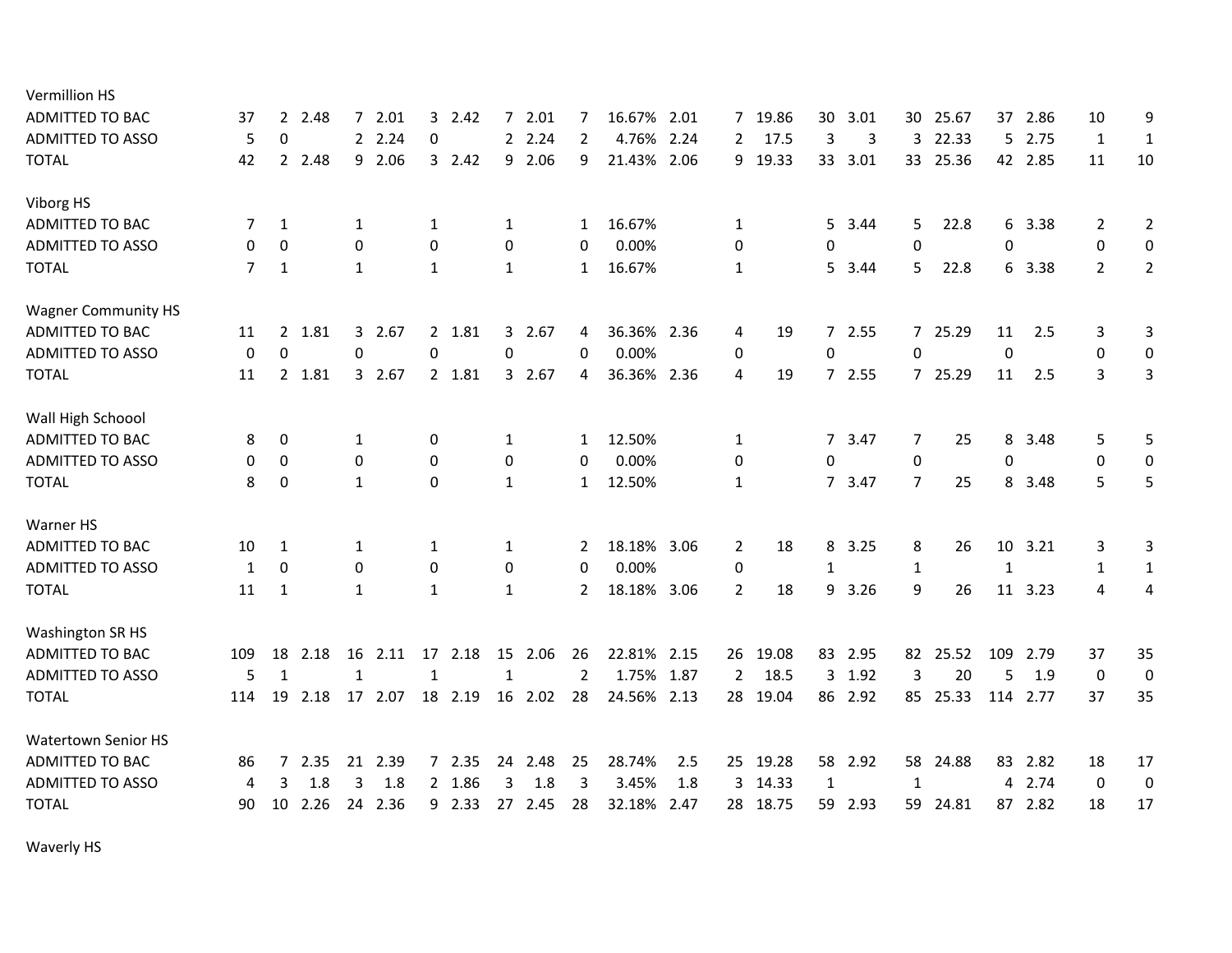| <b>Vermillion HS</b>       |     |                |      |              |         |              |          |              |         |                |             |      |                |       |                |       |                  |          |              |          |                |                |
|----------------------------|-----|----------------|------|--------------|---------|--------------|----------|--------------|---------|----------------|-------------|------|----------------|-------|----------------|-------|------------------|----------|--------------|----------|----------------|----------------|
| <b>ADMITTED TO BAC</b>     | 37  | 2              | 2.48 | 7            | 2.01    |              | $3$ 2.42 | $7^{\circ}$  | 2.01    | 7              | 16.67%      | 2.01 | 7              | 19.86 | 30             | 3.01  | 30               | 25.67    | 37           | 2.86     | 10             | 9              |
| <b>ADMITTED TO ASSO</b>    | 5   | $\mathbf 0$    |      |              | 2 2.24  | $\mathbf 0$  |          |              | 2.24    | $\overline{2}$ | 4.76%       | 2.24 | 2              | 17.5  | 3              | 3     | 3                | 22.33    |              | 5 2.75   | $\mathbf{1}$   | $\mathbf{1}$   |
| <b>TOTAL</b>               | 42  | $\overline{2}$ | 2.48 |              | 9 2.06  |              | 32.42    | 9            | 2.06    | 9              | 21.43% 2.06 |      | 9              | 19.33 | 33             | 3.01  |                  | 33 25.36 |              | 42 2.85  | 11             | 10             |
| Viborg HS                  |     |                |      |              |         |              |          |              |         |                |             |      |                |       |                |       |                  |          |              |          |                |                |
| <b>ADMITTED TO BAC</b>     | 7   | 1              |      | 1            |         | 1            |          | 1            |         | 1              | 16.67%      |      | 1              |       | 5              | 3.44  | 5                | 22.8     | 6            | 3.38     | 2              | $\overline{2}$ |
| <b>ADMITTED TO ASSO</b>    | 0   | 0              |      | 0            |         | 0            |          | 0            |         | 0              | 0.00%       |      | 0              |       | 0              |       | 0                |          | 0            |          | 0              | $\mathbf 0$    |
| <b>TOTAL</b>               | 7   | 1              |      | $\mathbf{1}$ |         | 1            |          | 1            |         | 1              | 16.67%      |      | $\mathbf{1}$   |       | 5              | 3.44  | 5                | 22.8     |              | 6 3.38   | $\overline{2}$ | $\overline{2}$ |
| <b>Wagner Community HS</b> |     |                |      |              |         |              |          |              |         |                |             |      |                |       |                |       |                  |          |              |          |                |                |
| <b>ADMITTED TO BAC</b>     | 11  | $\mathbf{2}$   | 1.81 | 3            | 2.67    |              | 2 1.81   |              | 3 2.67  | 4              | 36.36% 2.36 |      | 4              | 19    | $\overline{7}$ | 2.55  |                  | 7 25.29  | 11           | 2.5      | 3              | 3              |
| <b>ADMITTED TO ASSO</b>    | 0   | $\mathbf 0$    |      | 0            |         | 0            |          | 0            |         | 0              | 0.00%       |      | 0              |       | 0              |       | $\mathbf 0$      |          | 0            |          | 0              | $\mathbf 0$    |
| <b>TOTAL</b>               | 11  | $\mathbf{2}$   | 1.81 |              | 3 2.67  |              | 2 1.81   |              | 3 2.67  | 4              | 36.36% 2.36 |      | 4              | 19    |                | 72.55 |                  | 7 25.29  | 11           | 2.5      | 3              | 3              |
| Wall High Schoool          |     |                |      |              |         |              |          |              |         |                |             |      |                |       |                |       |                  |          |              |          |                |                |
| <b>ADMITTED TO BAC</b>     | 8   | 0              |      | 1            |         | 0            |          | $\mathbf{1}$ |         | 1              | 12.50%      |      | $\mathbf{1}$   |       | $7^{\circ}$    | 3.47  | 7                | 25       | 8            | 3.48     | 5              | 5              |
| <b>ADMITTED TO ASSO</b>    | 0   | $\mathbf 0$    |      | 0            |         | 0            |          | 0            |         | 0              | 0.00%       |      | 0              |       | $\pmb{0}$      |       | $\boldsymbol{0}$ |          | 0            |          | 0              | $\mathbf 0$    |
| <b>TOTAL</b>               | 8   | 0              |      | $\mathbf{1}$ |         | 0            |          | $\mathbf{1}$ |         | $\mathbf{1}$   | 12.50%      |      | $\mathbf{1}$   |       | $7^{\circ}$    | 3.47  | $\overline{7}$   | 25       | 8            | 3.48     | 5              | 5              |
| Warner HS                  |     |                |      |              |         |              |          |              |         |                |             |      |                |       |                |       |                  |          |              |          |                |                |
| <b>ADMITTED TO BAC</b>     | 10  | 1              |      | 1            |         | $\mathbf{1}$ |          | 1            |         | 2              | 18.18% 3.06 |      | $\overline{2}$ | 18    | 8              | 3.25  | 8                | 26       | 10           | 3.21     | 3              | 3              |
| <b>ADMITTED TO ASSO</b>    | 1   | $\mathbf 0$    |      | 0            |         | $\mathbf 0$  |          | 0            |         | 0              | 0.00%       |      | 0              |       | $\mathbf{1}$   |       | $\mathbf{1}$     |          | $\mathbf{1}$ |          | $\mathbf{1}$   | $\mathbf{1}$   |
| <b>TOTAL</b>               | 11  | 1              |      | $\mathbf{1}$ |         | $\mathbf{1}$ |          | 1            |         | $\overline{2}$ | 18.18% 3.06 |      | $\overline{2}$ | 18    | 9              | 3.26  | 9                | 26       |              | 11 3.23  | 4              | 4              |
| Washington SR HS           |     |                |      |              |         |              |          |              |         |                |             |      |                |       |                |       |                  |          |              |          |                |                |
| ADMITTED TO BAC            | 109 | 18             | 2.18 | 16           | 2.11    |              | 17 2.18  |              | 15 2.06 | 26             | 22.81% 2.15 |      | 26             | 19.08 | 83             | 2.95  |                  | 82 25.52 | 109          | 2.79     | 37             | 35             |
| <b>ADMITTED TO ASSO</b>    | 5   | $\mathbf{1}$   |      | $\mathbf{1}$ |         | $\mathbf{1}$ |          | $\mathbf{1}$ |         | $\overline{2}$ | 1.75% 1.87  |      | $\overline{2}$ | 18.5  | 3              | 1.92  | 3                | 20       | 5            | 1.9      | $\mathbf 0$    | $\mathbf 0$    |
| <b>TOTAL</b>               | 114 | 19             | 2.18 |              | 17 2.07 |              | 18 2.19  | 16           | 2.02    | 28             | 24.56% 2.13 |      | 28             | 19.04 | 86             | 2.92  |                  | 85 25.33 |              | 114 2.77 | 37             | 35             |
| Watertown Senior HS        |     |                |      |              |         |              |          |              |         |                |             |      |                |       |                |       |                  |          |              |          |                |                |
| <b>ADMITTED TO BAC</b>     | 86  | $\overline{7}$ | 2.35 | 21           | 2.39    |              | 72.35    |              | 24 2.48 | 25             | 28.74%      | 2.5  | 25             | 19.28 | 58             | 2.92  | 58               | 24.88    | 83           | 2.82     | 18             | 17             |
| <b>ADMITTED TO ASSO</b>    | 4   | 3              | 1.8  | 3            | 1.8     |              | 2 1.86   | 3            | 1.8     | 3              | 3.45%       | 1.8  | 3              | 14.33 | 1              |       | 1                |          | 4            | 2.74     | $\Omega$       | $\pmb{0}$      |
| <b>TOTAL</b>               | 90  | 10             | 2.26 | 24           | 2.36    |              | 9 2.33   | 27           | 2.45    | 28             | 32.18%      | 2.47 | 28             | 18.75 | 59             | 2.93  | 59               | 24.81    | 87           | 2.82     | 18             | 17             |
|                            |     |                |      |              |         |              |          |              |         |                |             |      |                |       |                |       |                  |          |              |          |                |                |

Waverly HS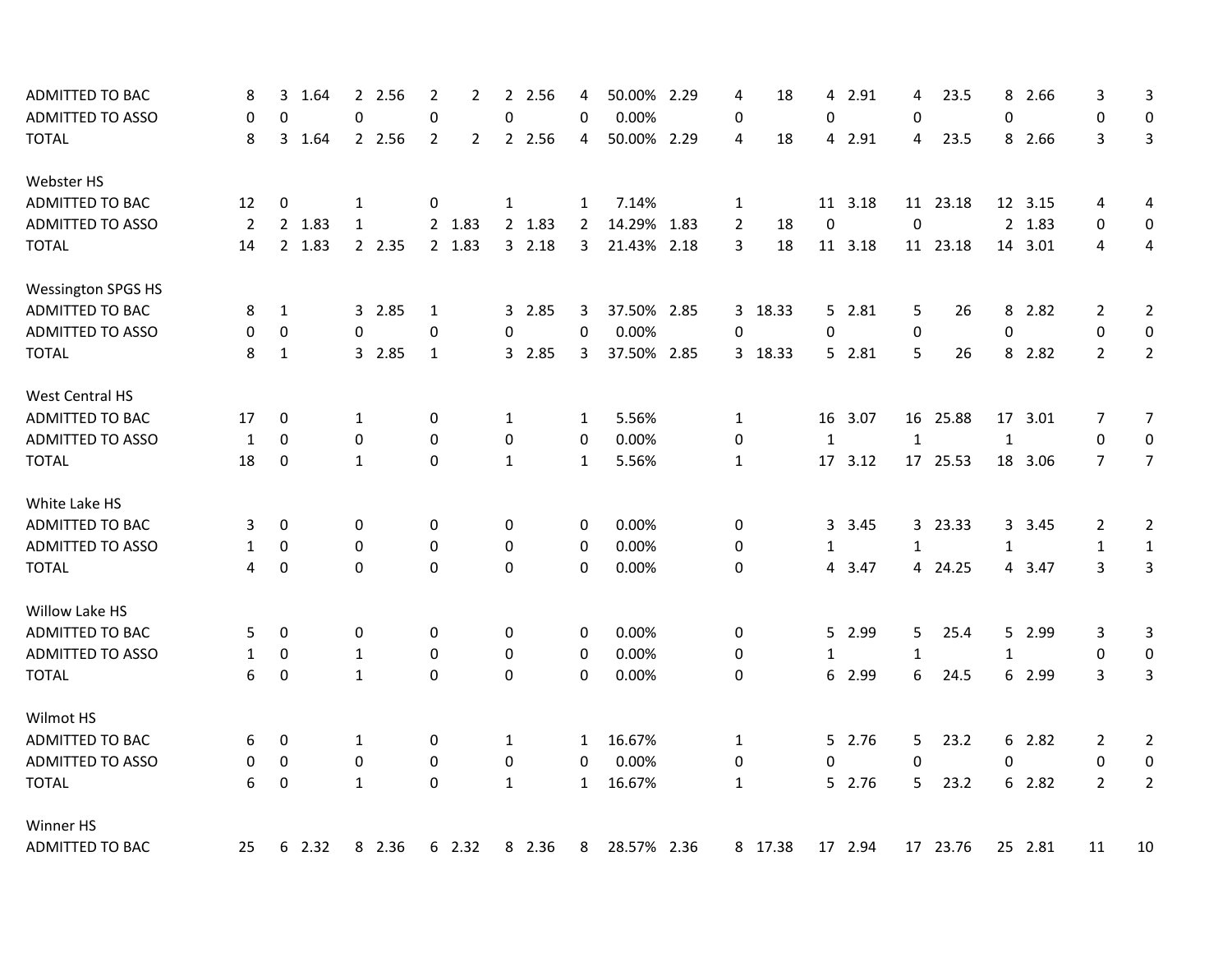| <b>ADMITTED TO BAC</b>    | 8              | 3            | 1.64   |              | 2 2.56 | $\overline{2}$ | $\overline{2}$ | $2^{\circ}$  | 2.56   | 4              | 50.00% 2.29 |      | 4              | 18      | 4            | 2.91    | 4            | 23.5     | 8            | 2.66    | 3              | 3              |
|---------------------------|----------------|--------------|--------|--------------|--------|----------------|----------------|--------------|--------|----------------|-------------|------|----------------|---------|--------------|---------|--------------|----------|--------------|---------|----------------|----------------|
| <b>ADMITTED TO ASSO</b>   | 0              | $\mathbf 0$  |        | 0            |        | $\pmb{0}$      |                | 0            |        | 0              | 0.00%       |      | 0              |         | $\pmb{0}$    |         | 0            |          | $\mathbf 0$  |         | $\mathbf 0$    | $\mathbf 0$    |
| <b>TOTAL</b>              | 8              |              | 3 1.64 |              | 2 2.56 | 2              | $\overline{2}$ |              | 2 2.56 | 4              | 50.00% 2.29 |      | 4              | 18      | 4            | 2.91    | 4            | 23.5     |              | 8 2.66  | 3              | 3              |
| Webster HS                |                |              |        |              |        |                |                |              |        |                |             |      |                |         |              |         |              |          |              |         |                |                |
| ADMITTED TO BAC           | 12             | 0            |        | 1            |        | 0              |                | 1            |        | $\mathbf{1}$   | 7.14%       |      | $\mathbf{1}$   |         |              | 11 3.18 |              | 11 23.18 |              | 12 3.15 | 4              | 4              |
| <b>ADMITTED TO ASSO</b>   | $\overline{2}$ |              | 2 1.83 | $\mathbf{1}$ |        |                | 2 1.83         |              | 2 1.83 | $\overline{2}$ | 14.29%      | 1.83 | $\overline{2}$ | 18      | $\mathbf 0$  |         | $\Omega$     |          |              | 2 1.83  | 0              | $\pmb{0}$      |
| <b>TOTAL</b>              | 14             |              | 2 1.83 |              | 2 2.35 |                | 2 1.83         |              | 32.18  | 3              | 21.43% 2.18 |      | 3              | 18      |              | 11 3.18 |              | 11 23.18 |              | 14 3.01 | 4              | 4              |
| <b>Wessington SPGS HS</b> |                |              |        |              |        |                |                |              |        |                |             |      |                |         |              |         |              |          |              |         |                |                |
| ADMITTED TO BAC           | 8              | 1            |        |              | 3 2.85 | $\mathbf 1$    |                |              | 3 2.85 | 3              | 37.50% 2.85 |      |                | 3 18.33 |              | 5 2.81  | 5            | 26       | 8            | 2.82    | 2              | $\overline{2}$ |
| <b>ADMITTED TO ASSO</b>   | 0              | $\pmb{0}$    |        | 0            |        | 0              |                | 0            |        | $\mathbf 0$    | 0.00%       |      | 0              |         | 0            |         | 0            |          | $\mathbf 0$  |         | $\pmb{0}$      | $\mathbf 0$    |
| <b>TOTAL</b>              | 8              | $\mathbf{1}$ |        |              | 3 2.85 | $\mathbf{1}$   |                |              | 3 2.85 | 3              | 37.50% 2.85 |      |                | 3 18.33 |              | 5 2.81  | 5            | 26       |              | 8 2.82  | $\overline{2}$ | $\overline{2}$ |
| West Central HS           |                |              |        |              |        |                |                |              |        |                |             |      |                |         |              |         |              |          |              |         |                |                |
| ADMITTED TO BAC           | 17             | 0            |        | 1            |        | 0              |                | 1            |        | 1              | 5.56%       |      | 1              |         | 16           | 3.07    |              | 16 25.88 | 17           | 3.01    | 7              | 7              |
| <b>ADMITTED TO ASSO</b>   | 1              | $\mathbf 0$  |        | 0            |        | $\mathbf 0$    |                | 0            |        | 0              | 0.00%       |      | 0              |         | $\mathbf{1}$ |         | $\mathbf{1}$ |          | $\mathbf{1}$ |         | $\mathbf 0$    | $\mathbf 0$    |
| <b>TOTAL</b>              | 18             | 0            |        | $\mathbf{1}$ |        | 0              |                | $\mathbf{1}$ |        | $\mathbf{1}$   | 5.56%       |      | $\mathbf{1}$   |         | 17           | 3.12    |              | 17 25.53 |              | 18 3.06 | $\overline{7}$ | $\overline{7}$ |
| White Lake HS             |                |              |        |              |        |                |                |              |        |                |             |      |                |         |              |         |              |          |              |         |                |                |
| <b>ADMITTED TO BAC</b>    | 3              | 0            |        | 0            |        | 0              |                | 0            |        | 0              | 0.00%       |      | 0              |         | 3            | 3.45    |              | 3 23.33  |              | 3 3.45  | 2              | $\overline{2}$ |
| ADMITTED TO ASSO          | $\mathbf{1}$   | 0            |        | 0            |        | 0              |                | 0            |        | 0              | 0.00%       |      | 0              |         | $\mathbf{1}$ |         | $\mathbf{1}$ |          | $\mathbf{1}$ |         | $\mathbf{1}$   | $\mathbf{1}$   |
| <b>TOTAL</b>              | 4              | 0            |        | 0            |        | 0              |                | 0            |        | 0              | 0.00%       |      | 0              |         | 4            | 3.47    |              | 4 24.25  |              | 4 3.47  | 3              | 3              |
| Willow Lake HS            |                |              |        |              |        |                |                |              |        |                |             |      |                |         |              |         |              |          |              |         |                |                |
| <b>ADMITTED TO BAC</b>    | 5              | 0            |        | 0            |        | 0              |                | 0            |        | 0              | 0.00%       |      | 0              |         | 5            | 2.99    | 5            | 25.4     |              | 5 2.99  | 3              | 3              |
| ADMITTED TO ASSO          | $\mathbf{1}$   | 0            |        | $\mathbf{1}$ |        | 0              |                | 0            |        | 0              | 0.00%       |      | 0              |         | $\mathbf{1}$ |         | $\mathbf{1}$ |          | $\mathbf{1}$ |         | 0              | $\pmb{0}$      |
| <b>TOTAL</b>              | 6              | 0            |        | $\mathbf{1}$ |        | $\Omega$       |                | 0            |        | 0              | 0.00%       |      | 0              |         |              | 6 2.99  | 6            | 24.5     |              | 6 2.99  | 3              | 3              |
| Wilmot HS                 |                |              |        |              |        |                |                |              |        |                |             |      |                |         |              |         |              |          |              |         |                |                |
| ADMITTED TO BAC           | 6              | 0            |        | 1            |        | 0              |                | 1            |        | 1              | 16.67%      |      | 1              |         |              | 5 2.76  | 5            | 23.2     |              | 6 2.82  | 2              | $\overline{2}$ |
| <b>ADMITTED TO ASSO</b>   | 0              | 0            |        | 0            |        | 0              |                | 0            |        | 0              | 0.00%       |      | 0              |         | 0            |         | 0            |          | 0            |         | $\mathbf 0$    | $\pmb{0}$      |
| <b>TOTAL</b>              | 6              | 0            |        | $\mathbf{1}$ |        | $\Omega$       |                | $\mathbf{1}$ |        | $\mathbf{1}$   | 16.67%      |      | $\mathbf{1}$   |         |              | 5 2.76  | 5            | 23.2     |              | 6 2.82  | $\overline{2}$ | $\overline{2}$ |
| Winner HS                 |                |              |        |              |        |                |                |              |        |                |             |      |                |         |              |         |              |          |              |         |                |                |
| <b>ADMITTED TO BAC</b>    | 25             |              | 6 2.32 |              | 8 2.36 |                | 6 2.32         |              | 8 2.36 | 8              | 28.57% 2.36 |      |                | 8 17.38 |              | 17 2.94 |              | 17 23.76 |              | 25 2.81 | 11             | 10             |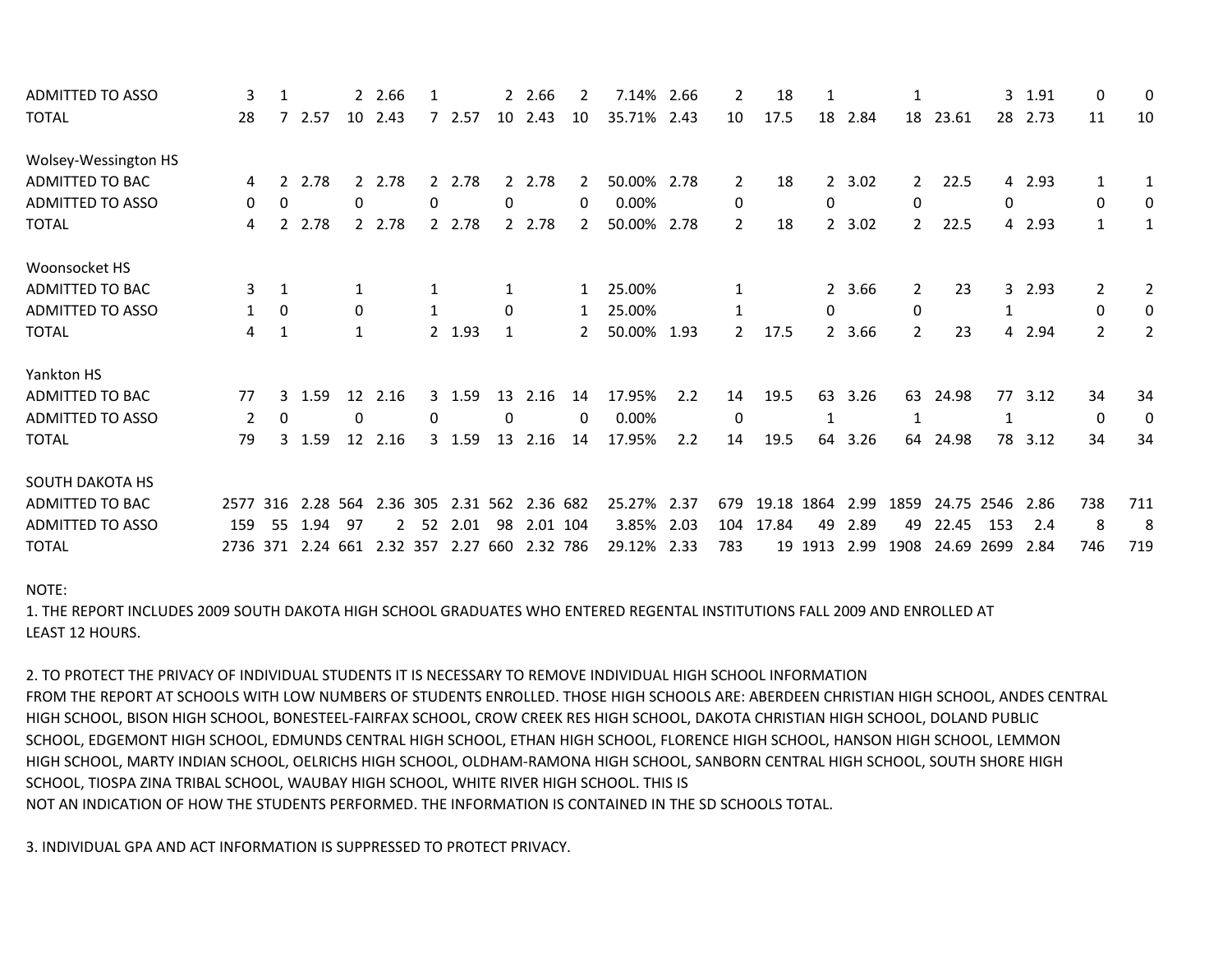| <b>ADMITTED TO ASSO</b> |          |              |          | $\mathbf{2}$ | 2.66     |              |          |              | 2 2.66   |              | 7.14%  | 2.66 |                | 18    |                |      |                       |       | 3    | 1.91   | 0            | 0   |
|-------------------------|----------|--------------|----------|--------------|----------|--------------|----------|--------------|----------|--------------|--------|------|----------------|-------|----------------|------|-----------------------|-------|------|--------|--------------|-----|
| <b>TOTAL</b>            | 28       |              | 2.57     | 10           | 2.43     |              | 2.57     | 10           | 2.43     | 10           | 35.71% | 2.43 | 10             | 17.5  | 18             | 2.84 | 18                    | 23.61 | 28   | 2.73   | 11           | 10  |
| Wolsey-Wessington HS    |          |              |          |              |          |              |          |              |          |              |        |      |                |       |                |      |                       |       |      |        |              |     |
| ADMITTED TO BAC         | 4        |              | 2.78     | 2            | 2.78     | 2            | 2.78     | 2            | 2.78     |              | 50.00% | 2.78 | $\overline{2}$ | 18    | $\mathbf{2}$   | 3.02 | $2^{\circ}$           | 22.5  |      | 4 2.93 |              |     |
| ADMITTED TO ASSO        | 0        | 0            |          | 0            |          | 0            |          | 0            |          | 0            | 0.00%  |      | 0              |       | 0              |      | 0                     |       | 0    |        | 0            | 0   |
| <b>TOTAL</b>            | 4        | $\mathbf{2}$ | 2.78     | $2^{\circ}$  | 2.78     | $2^{\circ}$  | 2.78     | $\mathbf{2}$ | 2.78     | 2            | 50.00% | 2.78 | $\overline{2}$ | 18    | 2              | 3.02 | $\mathbf{2}$          | 22.5  |      | 4 2.93 | $\mathbf{1}$ | 1   |
| Woonsocket HS           |          |              |          |              |          |              |          |              |          |              |        |      |                |       |                |      |                       |       |      |        |              |     |
| <b>ADMITTED TO BAC</b>  | 3        |              |          |              |          |              |          |              |          | $\mathbf{1}$ | 25.00% |      |                |       | $\overline{2}$ | 3.66 | $\mathbf{2}^{\prime}$ | 23    | 3    | 2.93   | 2            | 2   |
| ADMITTED TO ASSO        |          | 0            |          | 0            |          |              |          | 0            |          | 1            | 25.00% |      |                |       | 0              |      | $\Omega$              |       |      |        | 0            | 0   |
| <b>TOTAL</b>            |          | 1            |          |              |          |              | 2 1.93   |              |          | 2            | 50.00% | 1.93 | $\overline{2}$ | 17.5  | 2              | 3.66 | $\overline{2}$        | 23    |      | 4 2.94 | 2            | 2   |
| Yankton HS              |          |              |          |              |          |              |          |              |          |              |        |      |                |       |                |      |                       |       |      |        |              |     |
| <b>ADMITTED TO BAC</b>  | 77       | 3            | 1.59     | 12           | 2.16     |              | 3 1.59   | 13           | 2.16     | 14           | 17.95% | 2.2  | 14             | 19.5  | 63             | 3.26 | 63                    | 24.98 | 77   | 3.12   | 34           | 34  |
| ADMITTED TO ASSO        | 2        | $\mathbf{0}$ |          | 0            |          | $\mathbf{0}$ |          | 0            |          | 0            | 0.00%  |      | 0              |       |                |      |                       |       |      |        | 0            | 0   |
| <b>TOTAL</b>            | 79       | 3            | 1.59     | 12           | 2.16     |              | 3 1.59   | 13           | 2.16     | 14           | 17.95% | 2.2  | 14             | 19.5  | 64             | 3.26 | 64                    | 24.98 | 78   | 3.12   | 34           | 34  |
| <b>SOUTH DAKOTA HS</b>  |          |              |          |              |          |              |          |              |          |              |        |      |                |       |                |      |                       |       |      |        |              |     |
| ADMITTED TO BAC         | 2577     | 316          | 2.28 564 |              | 2.36 305 |              | 2.31 562 |              | 2.36 682 |              | 25.27% | 2.37 | 679            | 19.18 | 1864           | 2.99 | 1859                  | 24.75 | 2546 | 2.86   | 738          | 711 |
| <b>ADMITTED TO ASSO</b> | 159      | -55          | 1.94     | -97          |          | 52           | 2.01     | 98           | 2.01 104 |              | 3.85%  | 2.03 | 104            | 17.84 | 49             | 2.89 | 49                    | 22.45 | 153  | 2.4    | 8            | 8   |
| <b>TOTAL</b>            | 2736 371 |              | 2.24 661 |              | 2.32     | 357          | 2.27     | 660          | 2.32     | 786          | 29.12% | 2.33 | 783            | 19    | 1913           | 2.99 | 1908                  | 24.69 | 2699 | 2.84   | 746          | 719 |

NOTE:

1. THE REPORT INCLUDES 2009 SOUTH DAKOTA HIGH SCHOOL GRADUATES WHO ENTERED REGENTAL INSTITUTIONS FALL 2009 AND ENROLLED AT LEAST 12 HOURS.

SCHOOL, TIOSPA ZINA TRIBAL SCHOOL, WAUBAY HIGH SCHOOL, WHITE RIVER HIGH SCHOOL. THIS IS NOT AN INDICATION OF HOW THE STUDENTS PERFORMED. THE INFORMATION IS CONTAINED IN THE SD SCHOOLS TOTAL. HIGH SCHOOL, MARTY INDIAN SCHOOL, OELRICHS HIGH SCHOOL, OLDHAM-RAMONA HIGH SCHOOL, SANBORN CENTRAL HIGH SCHOOL, SOUTH SHORE HIGH SCHOOL, EDGEMONT HIGH SCHOOL, EDMUNDS CENTRAL HIGH SCHOOL, ETHAN HIGH SCHOOL, FLORENCE HIGH SCHOOL, HANSON HIGH SCHOOL, LEMMON HIGH SCHOOL, BISON HIGH SCHOOL, BONESTEEL-FAIRFAX SCHOOL, CROW CREEK RES HIGH SCHOOL, DAKOTA CHRISTIAN HIGH SCHOOL, DOLAND PUBLIC FROM THE REPORT AT SCHOOLS WITH LOW NUMBERS OF STUDENTS ENROLLED. THOSE HIGH SCHOOLS ARE: ABERDEEN CHRISTIAN HIGH SCHOOL, ANDES CENTRAL 2. TO PROTECT THE PRIVACY OF INDIVIDUAL STUDENTS IT IS NECESSARY TO REMOVE INDIVIDUAL HIGH SCHOOL INFORMATION

3. INDIVIDUAL GPA AND ACT INFORMATION IS SUPPRESSED TO PROTECT PRIVACY.